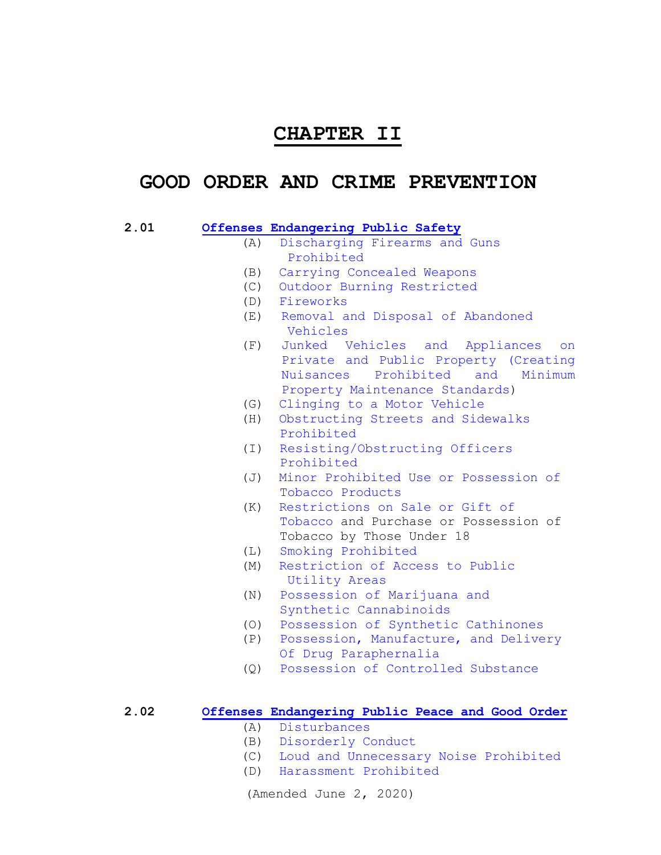## **CHAPTER II**

# **GOOD ORDER AND CRIME PREVENTION**

#### **[2.01 Offenses Endangering Public Safety](#page-3-0)**

- (A) [Discharging Firearms and Guns](#page-3-1)  [Prohibited](#page-3-1)
- [\(B\) Carrying Concealed Weapons](#page-3-2)
- [\(C\) Outdoor Burning](#page-4-0) Restricted
- [\(D\) Fireworks](#page-5-0)
- (E) [Removal and Disposal of Abandoned](#page-7-0)  [Vehicles](#page-7-0)
- (F) [Junked Vehicles and Appliances on](#page-10-0)  [Private and Public Property \(Creating](#page-10-0)  [Nuisances Prohibited and Minimum](#page-10-0)  [Property Maintenance Standards\)](#page-10-0)
- (G) [Clinging to a Motor Vehicle](#page-19-0)
- (H) [Obstructing Streets and Sidewalks](#page-19-1)  [Prohibited](#page-19-1)
- (I) [Resisting/Obstructing Officers](#page-20-0)   [Prohibited](#page-20-0)
- (J) [Minor Prohibited Use or Possession of](#page-20-1)  [Tobacco Products](#page-20-1)
- (K) [Restrictions on Sale or Gift of](#page-21-0)  [Tobacco](#page-21-0) and Purchase or Possession of Tobacco by Those Under 18
- (L) [Smoking Prohibited](#page-22-0)
- (M) [Restriction of Access to Public](#page-26-0)  [Utility](#page-26-0) Areas
- (N) [Possession of Marijuana and](#page-27-0)   [Synthetic Cannabinoids](#page-27-0)
- (O) [Possession of Synthetic Cathinones](#page-27-1)
- (P) [Possession, Manufacture, and Delivery](#page-28-0) [Of Drug Paraphernalia](#page-28-0)
- (Q) [Possession of Controlled Substance](#page-31-0)

## **[2.02 Offenses Endangering Public Peace and Good Order](#page-32-0)**

- (A) [Disturbances](#page-32-1)
- (B) [Disorderly Conduct](#page-32-2)
- (C) [Loud and Unnecessary Noise Prohibited](#page-33-0)
- (D) [Harassment Prohibited](#page-34-0)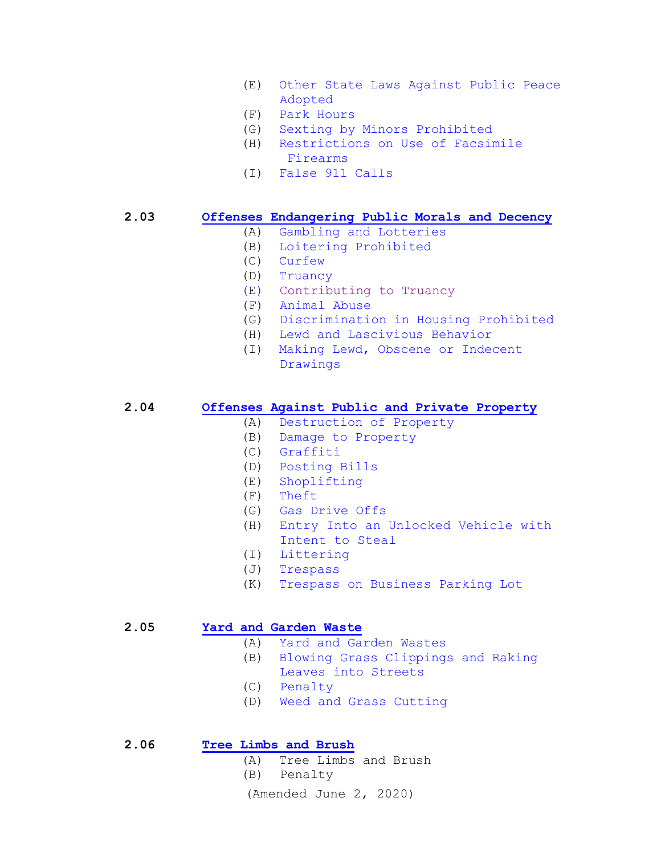- (E) [Other State Laws Against](#page-37-0) Public Peace Adopted<br>F) Park Hou
- [Park Hours](#page-37-1)
- (G) [Sexting by Minors Prohibited](#page-38-0)
- (H) [Restrictions on Use of Facsimile](#page-40-0)  [Firearms](#page-40-0)
- (I) [False 911 Calls](#page-40-1)

**2.03 [Offenses Endangering Public Morals and Decency](#page-41-0)**

- (A) [Gambling and Lotteries](#page-41-1)
- (B) [Loitering Prohibited](#page-41-2)
- (C) [Curfew](#page-41-3)
- (D) [Truancy](#page-43-0)
- (E) [Contributing to Truancy](#page-46-0)
- (F) [Animal Abuse](#page-46-0)
- (G) [Discrimination in Housing Prohibited](#page-46-1)
- (H) Lewd and [Lascivious Behavior](#page-54-0)
- (I) [Making Lewd, Obscene or Indecent](#page-54-1) [Drawings](#page-54-1)

## **[2.04 Offenses Against Public and Private Property](#page-55-0)**

- (A) [Destruction of Property](#page-55-1)
- (B) [Damage to Property](#page-55-2)
- (C) [Graffiti](#page-55-3)
- (D) [Posting Bills](#page-55-4)
- (E) [Shoplifting](#page-55-5)
- (F) [Theft](#page-56-0)
- (G) [Gas Drive Offs](#page-56-1)
- (H) [Entry Into an Unlocked Vehicle with](#page-56-2)   [Intent to Steal](#page-56-2)
- (I) [Littering](#page-57-0)
- (J) [Trespass](#page-57-1)
- (K) [Trespass on Business Parking Lot](#page-58-0)

## **2.05 [Yard and Garden Waste](#page-59-0)**

- (A) [Yard and Garden Wastes](#page-59-1)
- (B) [Blowing Grass Clippings and Raking](#page-59-2)   [Leaves into Streets](#page-59-2)
- 
- (C) [Penalty](#page-60-0)
- (D) [Weed and Grass Cutting](#page-60-1)

#### **2.06 [Tree Limbs and Brush](#page-61-0)**

(A) Tree Limbs and Brush

(B) Penalty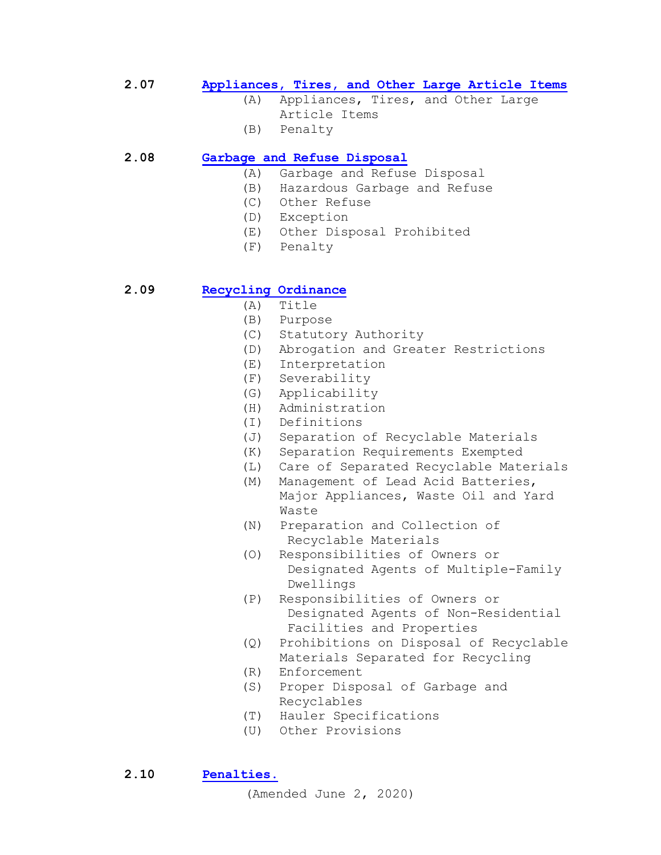## **2.07 [Appliances, Tires, and Other Large Article Items](#page-62-0)**

- (A) Appliances, Tires, and Other Large Article Items
- (B) Penalty

## **2.08 [Garbage and Refuse Disposal](#page-63-0)**

- (A) Garbage and Refuse Disposal
- (B) Hazardous Garbage and Refuse
- (C) Other Refuse
- (D) Exception
- (E) Other Disposal Prohibited
- (F) Penalty

## **2.09 [Recycling Ordinance](#page-65-0)**

- (A) Title
- (B) Purpose
- (C) Statutory Authority<br>(D) Abrogation and Great
- Abrogation and Greater Restrictions
- (E) Interpretation<br>(F) Severability
- 
- (F) Severability Applicability
- (H) Administration
- (I) Definitions
- (J) Separation of Recyclable Materials<br>(K) Separation Requirements Exempted
- (K) Separation Requirements Exempted<br>(L) Care of Separated Recyclable Mate
- Care of Separated Recyclable Materials
- (M) Management of Lead Acid Batteries, Major Appliances, Waste Oil and Yard Waste
- (N) Preparation and Collection of Recyclable Materials<br>(0) Responsibilities of O
- Responsibilities of Owners or Designated Agents of Multiple-Family Dwellings
- (P) Responsibilities of Owners or Designated Agents of Non-Residential Facilities and Properties
- (Q) Prohibitions on Disposal of Recyclable Materials Separated for Recycling<br>(R) Enforcement
- Enforcement
- (S) Proper Disposal of Garbage and Recyclables
- (T) Hauler Specifications
- (U) Other Provisions

**2.10 [Penalties.](#page-75-0)**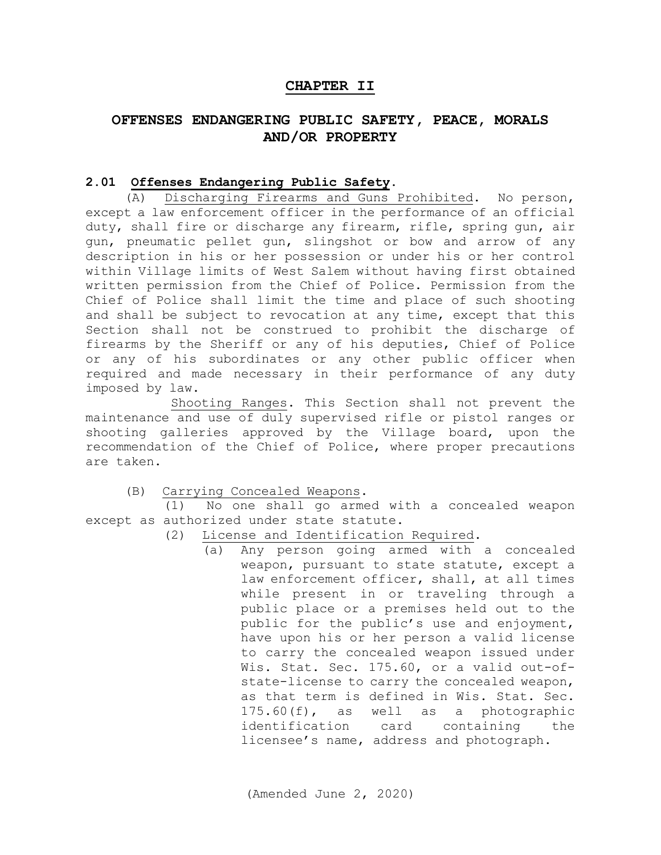## **CHAPTER II**

## **OFFENSES ENDANGERING PUBLIC SAFETY, PEACE, MORALS AND/OR PROPERTY**

#### <span id="page-3-0"></span>**2.01 Offenses Endangering Public Safety**.

<span id="page-3-1"></span>(A) Discharging Firearms and Guns Prohibited. No person, except a law enforcement officer in the performance of an official duty, shall fire or discharge any firearm, rifle, spring gun, air gun, pneumatic pellet gun, slingshot or bow and arrow of any description in his or her possession or under his or her control within Village limits of West Salem without having first obtained written permission from the Chief of Police. Permission from the Chief of Police shall limit the time and place of such shooting and shall be subject to revocation at any time, except that this Section shall not be construed to prohibit the discharge of firearms by the Sheriff or any of his deputies, Chief of Police or any of his subordinates or any other public officer when required and made necessary in their performance of any duty imposed by law.

 Shooting Ranges. This Section shall not prevent the maintenance and use of duly supervised rifle or pistol ranges or shooting galleries approved by the Village board, upon the recommendation of the Chief of Police, where proper precautions are taken.

<span id="page-3-2"></span>(B) Carrying Concealed Weapons.

 (1) No one shall go armed with a concealed weapon except as authorized under state statute.

- (2) License and Identification Required.
	- (a) Any person going armed with a concealed weapon, pursuant to state statute, except a law enforcement officer, shall, at all times while present in or traveling through a public place or a premises held out to the public for the public's use and enjoyment, have upon his or her person a valid license to carry the concealed weapon issued under Wis. Stat. Sec. 175.60, or a valid out-ofstate-license to carry the concealed weapon, as that term is defined in Wis. Stat. Sec. 175.60(f), as well as a photographic identification card containing the licensee's name, address and photograph.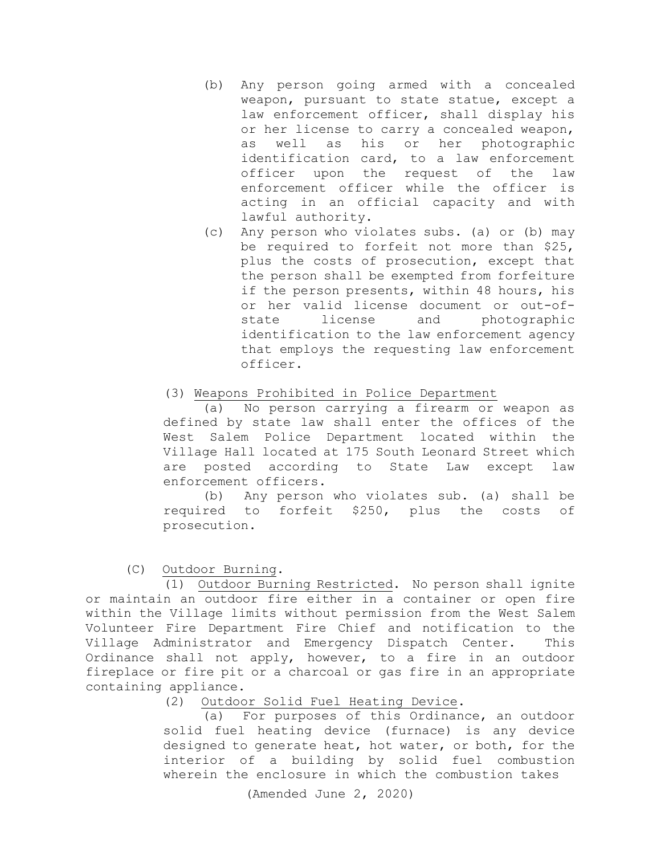- (b) Any person going armed with a concealed weapon, pursuant to state statue, except a law enforcement officer, shall display his or her license to carry a concealed weapon, as well as his or her photographic identification card, to a law enforcement officer upon the request of the law enforcement officer while the officer is acting in an official capacity and with lawful authority.
- (c) Any person who violates subs. (a) or (b) may be required to forfeit not more than \$25, plus the costs of prosecution, except that the person shall be exempted from forfeiture if the person presents, within 48 hours, his or her valid license document or out-ofstate license and photographic identification to the law enforcement agency that employs the requesting law enforcement officer.

## (3) Weapons Prohibited in Police Department

(a) No person carrying a firearm or weapon as defined by state law shall enter the offices of the West Salem Police Department located within the Village Hall located at 175 South Leonard Street which are posted according to State Law except law enforcement officers.

(b) Any person who violates sub. (a) shall be required to forfeit \$250, plus the costs of prosecution.

<span id="page-4-0"></span>(C) Outdoor Burning.

 (1) Outdoor Burning Restricted. No person shall ignite or maintain an outdoor fire either in a container or open fire within the Village limits without permission from the West Salem Volunteer Fire Department Fire Chief and notification to the Village Administrator and Emergency Dispatch Center. This Ordinance shall not apply, however, to a fire in an outdoor fireplace or fire pit or a charcoal or gas fire in an appropriate containing appliance.<br>2) Outdoo

Outdoor Solid Fuel Heating Device.

(a) For purposes of this Ordinance, an outdoor solid fuel heating device (furnace) is any device designed to generate heat, hot water, or both, for the interior of a building by solid fuel combustion wherein the enclosure in which the combustion takes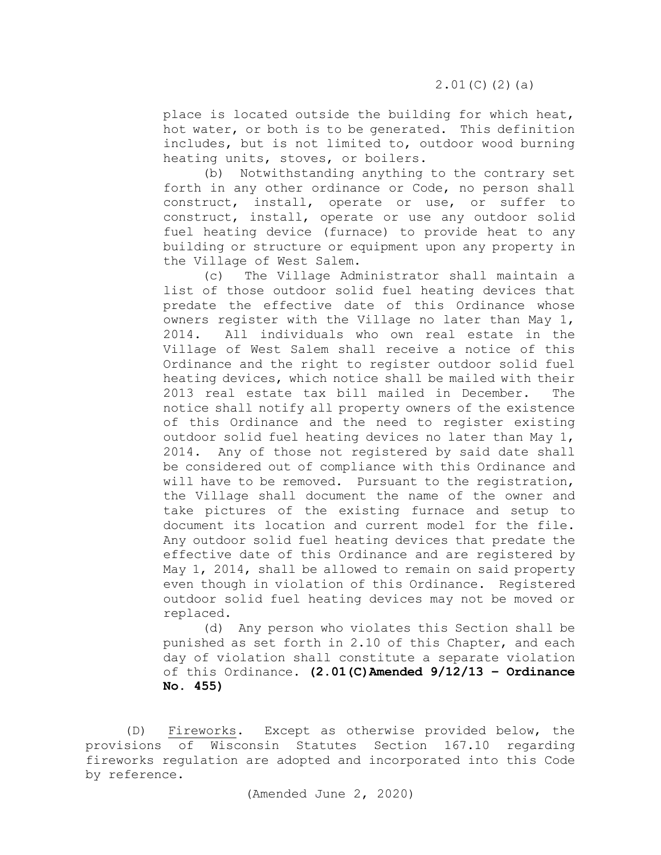place is located outside the building for which heat, hot water, or both is to be generated. This definition includes, but is not limited to, outdoor wood burning heating units, stoves, or boilers.

(b) Notwithstanding anything to the contrary set forth in any other ordinance or Code, no person shall construct, install, operate or use, or suffer to construct, install, operate or use any outdoor solid fuel heating device (furnace) to provide heat to any building or structure or equipment upon any property in the Village of West Salem.

(c) The Village Administrator shall maintain a list of those outdoor solid fuel heating devices that predate the effective date of this Ordinance whose owners register with the Village no later than May 1,<br>2014. All individuals who own real estate in the All individuals who own real estate in the Village of West Salem shall receive a notice of this Ordinance and the right to register outdoor solid fuel heating devices, which notice shall be mailed with their<br>2013 real estate tax bill mailed in December. The 2013 real estate tax bill mailed in December. notice shall notify all property owners of the existence of this Ordinance and the need to register existing outdoor solid fuel heating devices no later than May 1, 2014. Any of those not registered by said date shall be considered out of compliance with this Ordinance and will have to be removed. Pursuant to the registration, the Village shall document the name of the owner and take pictures of the existing furnace and setup to document its location and current model for the file. Any outdoor solid fuel heating devices that predate the effective date of this Ordinance and are registered by May 1, 2014, shall be allowed to remain on said property even though in violation of this Ordinance. Registered outdoor solid fuel heating devices may not be moved or replaced.

(d) Any person who violates this Section shall be punished as set forth in 2.10 of this Chapter, and each day of violation shall constitute a separate violation of this Ordinance. **(2.01(C)Amended 9/12/13 – Ordinance No. 455)**

<span id="page-5-0"></span>(D) Fireworks. Except as otherwise provided below, the provisions of Wisconsin Statutes Section 167.10 regarding fireworks regulation are adopted and incorporated into this Code by reference.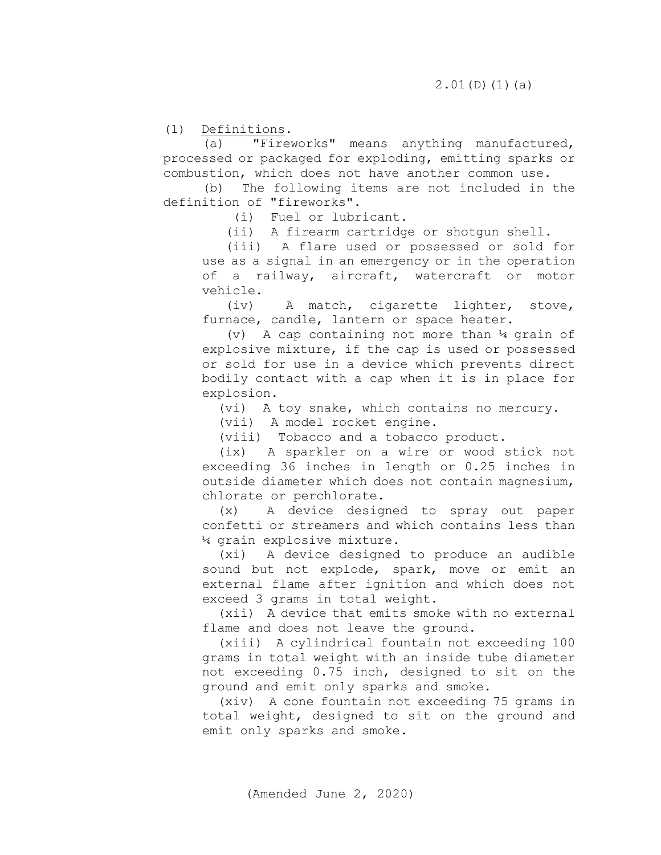(1) Definitions.<br>(a)  $T = \frac{1}{\pi}$ 

"Fireworks" means anything manufactured, processed or packaged for exploding, emitting sparks or combustion, which does not have another common use.

 (b) The following items are not included in the definition of "fireworks".

(i) Fuel or lubricant.

(ii) A firearm cartridge or shotgun shell.

 (iii) A flare used or possessed or sold for use as a signal in an emergency or in the operation of a railway, aircraft, watercraft or motor vehicle.

 (iv) A match, cigarette lighter, stove, furnace, candle, lantern or space heater.

 (v) A cap containing not more than ¼ grain of explosive mixture, if the cap is used or possessed or sold for use in a device which prevents direct bodily contact with a cap when it is in place for explosion.

(vi) A toy snake, which contains no mercury.

(vii) A model rocket engine.

(viii) Tobacco and a tobacco product.

 (ix) A sparkler on a wire or wood stick not exceeding 36 inches in length or 0.25 inches in outside diameter which does not contain magnesium, chlorate or perchlorate.

 (x) A device designed to spray out paper confetti or streamers and which contains less than ¼ grain explosive mixture.

 (xi) A device designed to produce an audible sound but not explode, spark, move or emit an external flame after ignition and which does not exceed 3 grams in total weight.

 (xii) A device that emits smoke with no external flame and does not leave the ground.

 (xiii) A cylindrical fountain not exceeding 100 grams in total weight with an inside tube diameter not exceeding 0.75 inch, designed to sit on the ground and emit only sparks and smoke.

 (xiv) A cone fountain not exceeding 75 grams in total weight, designed to sit on the ground and emit only sparks and smoke.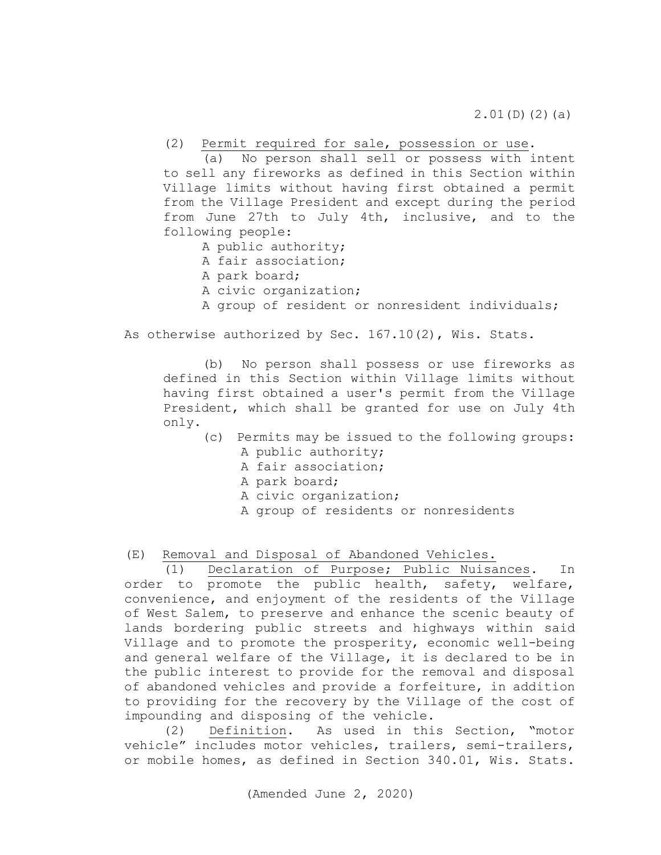2.01(D)(2)(a)

(2) Permit required for sale, possession or use.

 (a) No person shall sell or possess with intent to sell any fireworks as defined in this Section within Village limits without having first obtained a permit from the Village President and except during the period from June 27th to July 4th, inclusive, and to the following people:

- A public authority;
- A fair association;
- A park board;
- A civic organization;
- A group of resident or nonresident individuals;

As otherwise authorized by Sec. 167.10(2), Wis. Stats.

 (b) No person shall possess or use fireworks as defined in this Section within Village limits without having first obtained a user's permit from the Village President, which shall be granted for use on July 4th only.

- (c) Permits may be issued to the following groups: A public authority;
	- A fair association;
	- A park board;
	- A civic organization;
	- A group of residents or nonresidents

<span id="page-7-0"></span>(E) Removal and Disposal of Abandoned Vehicles.<br>(1) Declaration of Purpose; Public Nuisa

Declaration of Purpose; Public Nuisances. In order to promote the public health, safety, welfare, convenience, and enjoyment of the residents of the Village of West Salem, to preserve and enhance the scenic beauty of lands bordering public streets and highways within said Village and to promote the prosperity, economic well-being and general welfare of the Village, it is declared to be in the public interest to provide for the removal and disposal of abandoned vehicles and provide a forfeiture, in addition to providing for the recovery by the Village of the cost of impounding and disposing of the vehicle.

(2) Definition. As used in this Section, "motor vehicle" includes motor vehicles, trailers, semi-trailers, or mobile homes, as defined in Section 340.01, Wis. Stats.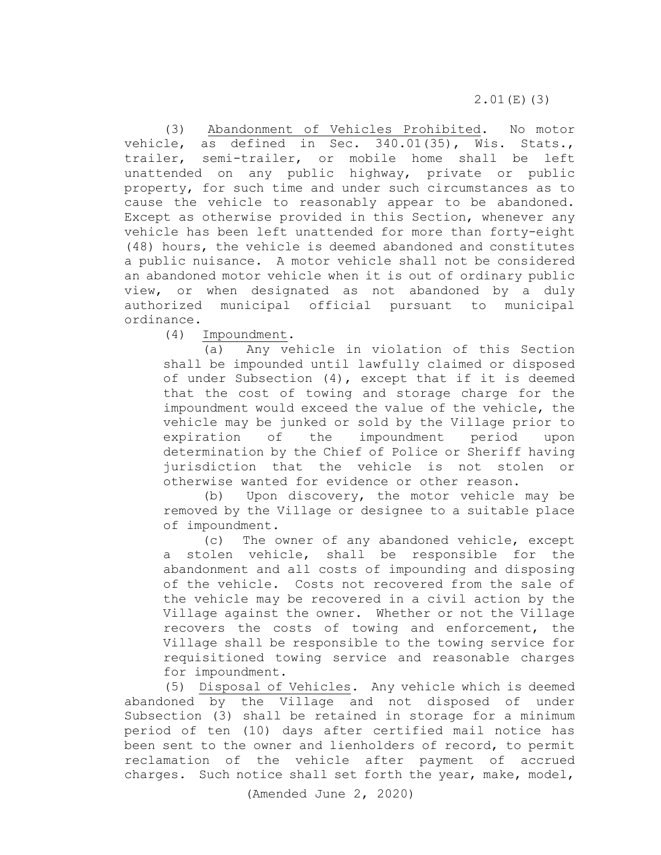2.01(E)(3)

(3) Abandonment of Vehicles Prohibited. No motor vehicle, as defined in Sec. 340.01(35), Wis. Stats., trailer, semi-trailer, or mobile home shall be left unattended on any public highway, private or public property, for such time and under such circumstances as to cause the vehicle to reasonably appear to be abandoned. Except as otherwise provided in this Section, whenever any vehicle has been left unattended for more than forty-eight (48) hours, the vehicle is deemed abandoned and constitutes a public nuisance. A motor vehicle shall not be considered an abandoned motor vehicle when it is out of ordinary public view, or when designated as not abandoned by a duly authorized municipal official pursuant to municipal ordinance.<br>(4)

 $\frac{Im\text{poundment}}{(a)}$ .

Any vehicle in violation of this Section shall be impounded until lawfully claimed or disposed of under Subsection (4), except that if it is deemed that the cost of towing and storage charge for the impoundment would exceed the value of the vehicle, the vehicle may be junked or sold by the Village prior to expiration of the impoundment period upon determination by the Chief of Police or Sheriff having jurisdiction that the vehicle is not stolen or otherwise wanted for evidence or other reason.

(b) Upon discovery, the motor vehicle may be removed by the Village or designee to a suitable place of impoundment.

(c) The owner of any abandoned vehicle, except a stolen vehicle, shall be responsible for the abandonment and all costs of impounding and disposing of the vehicle. Costs not recovered from the sale of the vehicle may be recovered in a civil action by the Village against the owner. Whether or not the Village recovers the costs of towing and enforcement, the Village shall be responsible to the towing service for requisitioned towing service and reasonable charges for impoundment.

(5) Disposal of Vehicles. Any vehicle which is deemed abandoned by the Village and not disposed of under Subsection (3) shall be retained in storage for a minimum period of ten (10) days after certified mail notice has been sent to the owner and lienholders of record, to permit reclamation of the vehicle after payment of accrued charges. Such notice shall set forth the year, make, model,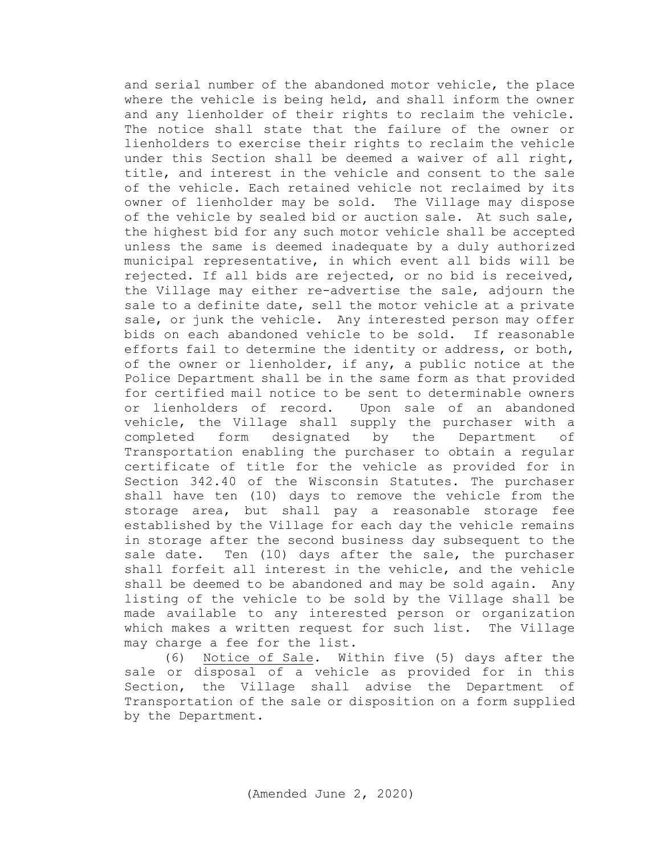and serial number of the abandoned motor vehicle, the place where the vehicle is being held, and shall inform the owner and any lienholder of their rights to reclaim the vehicle. The notice shall state that the failure of the owner or lienholders to exercise their rights to reclaim the vehicle under this Section shall be deemed a waiver of all right, title, and interest in the vehicle and consent to the sale of the vehicle. Each retained vehicle not reclaimed by its owner of lienholder may be sold. The Village may dispose of the vehicle by sealed bid or auction sale. At such sale, the highest bid for any such motor vehicle shall be accepted unless the same is deemed inadequate by a duly authorized municipal representative, in which event all bids will be rejected. If all bids are rejected, or no bid is received, the Village may either re-advertise the sale, adjourn the sale to a definite date, sell the motor vehicle at a private sale, or junk the vehicle. Any interested person may offer bids on each abandoned vehicle to be sold. If reasonable efforts fail to determine the identity or address, or both, of the owner or lienholder, if any, a public notice at the Police Department shall be in the same form as that provided for certified mail notice to be sent to determinable owners or lienholders of record. Upon sale of an abandoned vehicle, the Village shall supply the purchaser with a completed form designated by the Department of Transportation enabling the purchaser to obtain a regular certificate of title for the vehicle as provided for in Section 342.40 of the Wisconsin Statutes. The purchaser shall have ten (10) days to remove the vehicle from the storage area, but shall pay a reasonable storage fee established by the Village for each day the vehicle remains in storage after the second business day subsequent to the sale date. Ten (10) days after the sale, the purchaser shall forfeit all interest in the vehicle, and the vehicle shall be deemed to be abandoned and may be sold again. Any listing of the vehicle to be sold by the Village shall be made available to any interested person or organization which makes a written request for such list. The Village may charge a fee for the list.

(6) Notice of Sale. Within five (5) days after the sale or disposal of a vehicle as provided for in this Section, the Village shall advise the Department of Transportation of the sale or disposition on a form supplied by the Department.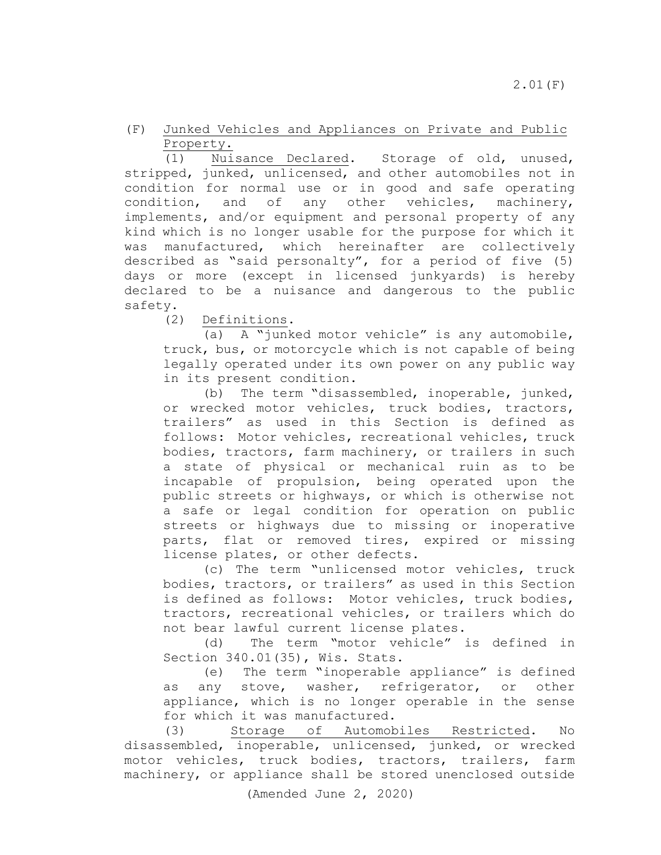<span id="page-10-0"></span>(F) Junked Vehicles and Appliances on Private and Public

 $\frac{Property.}{(1)}$ Nuisance Declared. Storage of old, unused, stripped, junked, unlicensed, and other automobiles not in condition for normal use or in good and safe operating condition, and of any other vehicles, machinery, implements, and/or equipment and personal property of any kind which is no longer usable for the purpose for which it was manufactured, which hereinafter are collectively described as "said personalty", for a period of five (5) days or more (except in licensed junkyards) is hereby declared to be a nuisance and dangerous to the public safety.

(2) Definitions.

(a) A "junked motor vehicle" is any automobile, truck, bus, or motorcycle which is not capable of being legally operated under its own power on any public way in its present condition.

(b) The term "disassembled, inoperable, junked, or wrecked motor vehicles, truck bodies, tractors, trailers" as used in this Section is defined as follows: Motor vehicles, recreational vehicles, truck bodies, tractors, farm machinery, or trailers in such a state of physical or mechanical ruin as to be incapable of propulsion, being operated upon the public streets or highways, or which is otherwise not a safe or legal condition for operation on public streets or highways due to missing or inoperative parts, flat or removed tires, expired or missing license plates, or other defects.

(c) The term "unlicensed motor vehicles, truck bodies, tractors, or trailers" as used in this Section is defined as follows: Motor vehicles, truck bodies, tractors, recreational vehicles, or trailers which do not bear lawful current license plates.

(d) The term "motor vehicle" is defined in Section 340.01(35), Wis. Stats.

(e) The term "inoperable appliance" is defined as any stove, washer, refrigerator, or other appliance, which is no longer operable in the sense for which it was manufactured.<br>(3) Storage of Automob

Storage of Automobiles Restricted. No disassembled, inoperable, unlicensed, junked, or wrecked motor vehicles, truck bodies, tractors, trailers, farm machinery, or appliance shall be stored unenclosed outside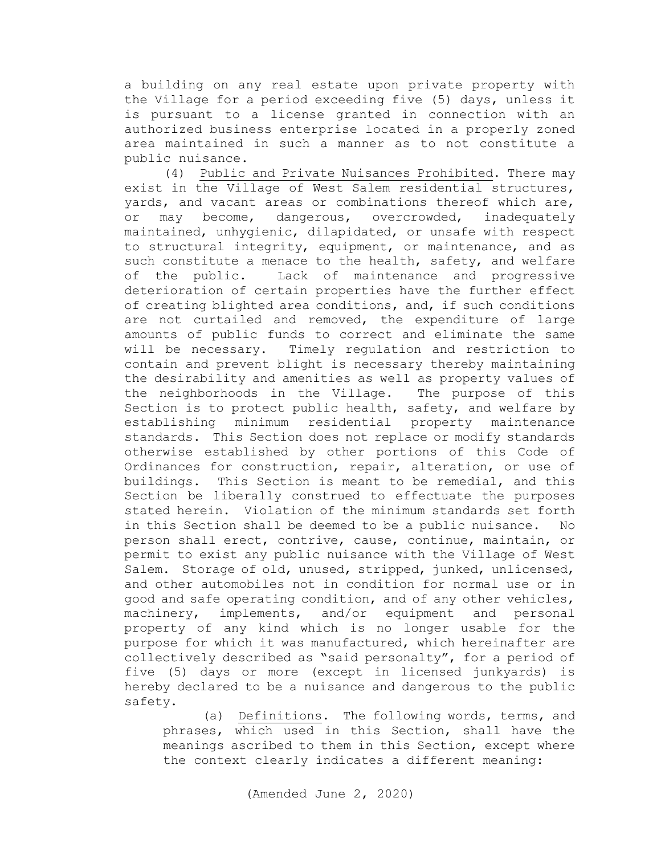a building on any real estate upon private property with the Village for a period exceeding five (5) days, unless it is pursuant to a license granted in connection with an authorized business enterprise located in a properly zoned area maintained in such a manner as to not constitute a public nuisance.

(4) Public and Private Nuisances Prohibited. There may exist in the Village of West Salem residential structures, yards, and vacant areas or combinations thereof which are, or may become, dangerous, overcrowded, inadequately maintained, unhygienic, dilapidated, or unsafe with respect to structural integrity, equipment, or maintenance, and as such constitute a menace to the health, safety, and welfare<br>of the public. Lack of maintenance and progressive Lack of maintenance and progressive deterioration of certain properties have the further effect of creating blighted area conditions, and, if such conditions are not curtailed and removed, the expenditure of large amounts of public funds to correct and eliminate the same will be necessary. Timely regulation and restriction to contain and prevent blight is necessary thereby maintaining the desirability and amenities as well as property values of<br>the neighborhoods in the Village. The purpose of this the neighborhoods in the Village. Section is to protect public health, safety, and welfare by establishing minimum residential property maintenance standards. This Section does not replace or modify standards otherwise established by other portions of this Code of Ordinances for construction, repair, alteration, or use of buildings. This Section is meant to be remedial, and this Section be liberally construed to effectuate the purposes stated herein. Violation of the minimum standards set forth in this Section shall be deemed to be a public nuisance. No person shall erect, contrive, cause, continue, maintain, or permit to exist any public nuisance with the Village of West Salem. Storage of old, unused, stripped, junked, unlicensed, and other automobiles not in condition for normal use or in good and safe operating condition, and of any other vehicles, machinery, implements, and/or equipment and personal property of any kind which is no longer usable for the purpose for which it was manufactured, which hereinafter are collectively described as "said personalty", for a period of five (5) days or more (except in licensed junkyards) is hereby declared to be a nuisance and dangerous to the public safety.

(a) Definitions. The following words, terms, and phrases, which used in this Section, shall have the meanings ascribed to them in this Section, except where the context clearly indicates a different meaning: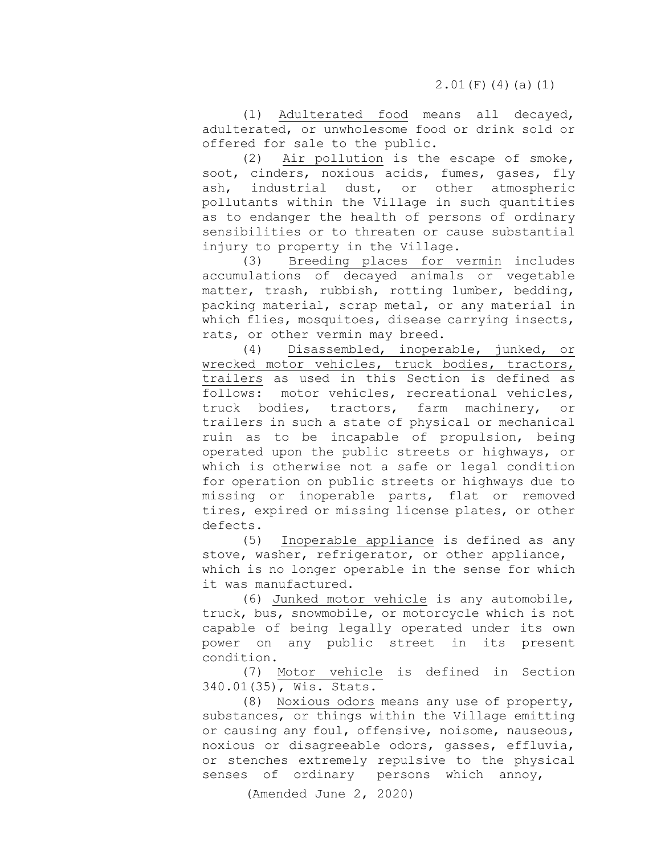(1) Adulterated food means all decayed, adulterated, or unwholesome food or drink sold or offered for sale to the public.

(2) Air pollution is the escape of smoke, soot, cinders, noxious acids, fumes, gases, fly ash, industrial dust, or other atmospheric pollutants within the Village in such quantities as to endanger the health of persons of ordinary sensibilities or to threaten or cause substantial injury to property in the Village.<br>(3) Breeding places for

Breeding places for vermin includes accumulations of decayed animals or vegetable matter, trash, rubbish, rotting lumber, bedding, packing material, scrap metal, or any material in which flies, mosquitoes, disease carrying insects, rats, or other vermin may breed.<br>(4) Disassembled, inopera

Disassembled, inoperable, junked, or wrecked motor vehicles, truck bodies, tractors, trailers as used in this Section is defined as<br>follows: motor vehicles, recreational vehicles, motor vehicles, recreational vehicles, truck bodies, tractors, farm machinery, or trailers in such a state of physical or mechanical ruin as to be incapable of propulsion, being operated upon the public streets or highways, or which is otherwise not a safe or legal condition for operation on public streets or highways due to missing or inoperable parts, flat or removed tires, expired or missing license plates, or other defects.

(5) Inoperable appliance is defined as any stove, washer, refrigerator, or other appliance, which is no longer operable in the sense for which it was manufactured.

(6) Junked motor vehicle is any automobile, truck, bus, snowmobile, or motorcycle which is not capable of being legally operated under its own power on any public street in its present condition.

(7) Motor vehicle is defined in Section 340.01(35), Wis. Stats.

(8) Noxious odors means any use of property, substances, or things within the Village emitting or causing any foul, offensive, noisome, nauseous, noxious or disagreeable odors, gasses, effluvia, or stenches extremely repulsive to the physical senses of ordinary persons which annoy,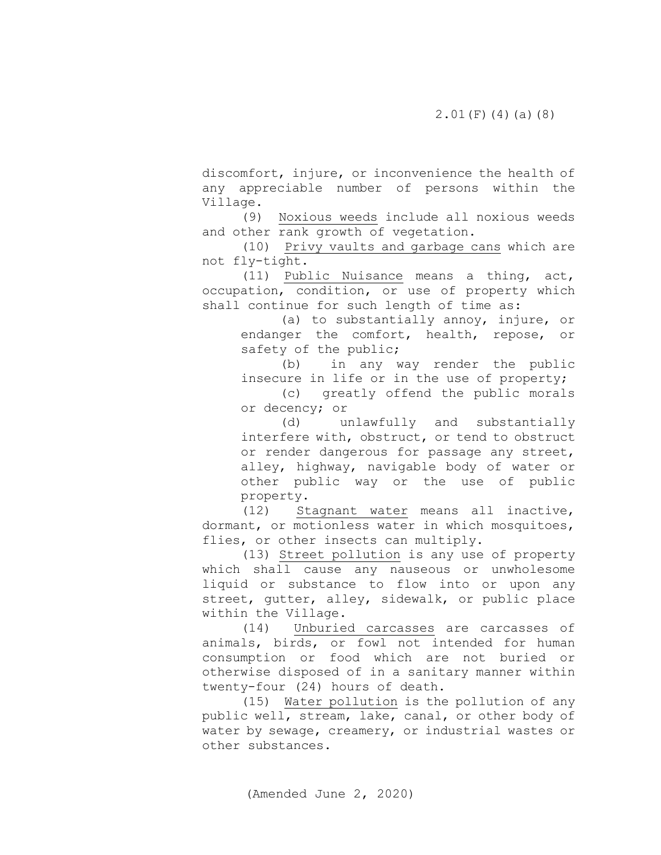discomfort, injure, or inconvenience the health of any appreciable number of persons within the Village.

(9) Noxious weeds include all noxious weeds and other rank growth of vegetation.

(10) Privy vaults and garbage cans which are not fly-tight.

(11) Public Nuisance means a thing, act, occupation, condition, or use of property which shall continue for such length of time as:

> (a) to substantially annoy, injure, or endanger the comfort, health, repose, or safety of the public;<br>(b) in any v

> in any way render the public insecure in life or in the use of property;

> (c) greatly offend the public morals or decency; or

> (d) unlawfully and substantially interfere with, obstruct, or tend to obstruct or render dangerous for passage any street, alley, highway, navigable body of water or other public way or the use of public property.<br>(12) St

Stagnant water means all inactive, dormant, or motionless water in which mosquitoes, flies, or other insects can multiply.

(13) Street pollution is any use of property which shall cause any nauseous or unwholesome liquid or substance to flow into or upon any street, gutter, alley, sidewalk, or public place within the Village.

(14) Unburied carcasses are carcasses of animals, birds, or fowl not intended for human consumption or food which are not buried or otherwise disposed of in a sanitary manner within twenty-four (24) hours of death.

(15) Water pollution is the pollution of any public well, stream, lake, canal, or other body of water by sewage, creamery, or industrial wastes or other substances.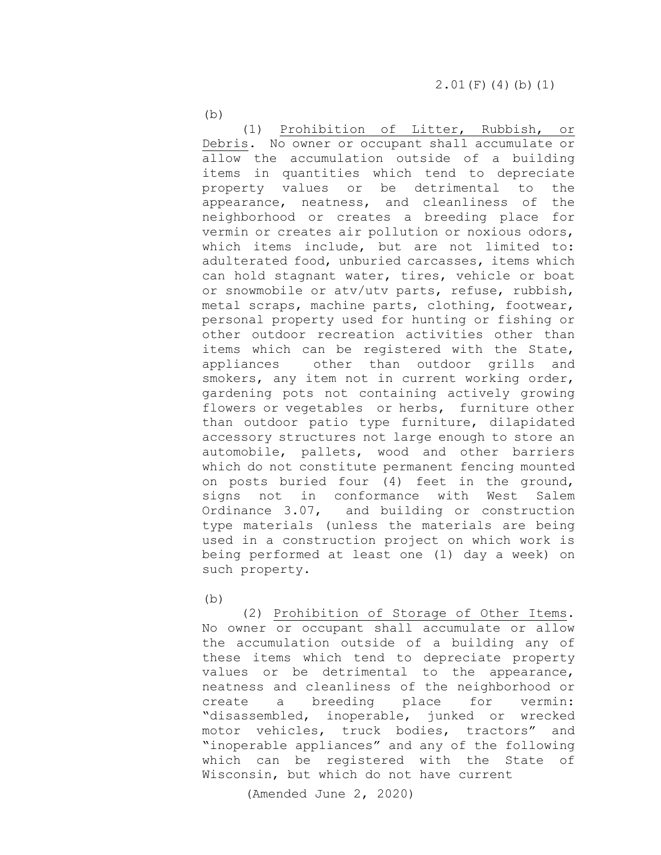$(b)$ 

(1) Prohibition of Litter, Rubbish, or Debris. No owner or occupant shall accumulate or allow the accumulation outside of a building items in quantities which tend to depreciate property values or be detrimental to the appearance, neatness, and cleanliness of the neighborhood or creates a breeding place for vermin or creates air pollution or noxious odors, which items include, but are not limited to: adulterated food, unburied carcasses, items which can hold stagnant water, tires, vehicle or boat or snowmobile or atv/utv parts, refuse, rubbish, metal scraps, machine parts, clothing, footwear, personal property used for hunting or fishing or other outdoor recreation activities other than items which can be registered with the State,<br>appliances other than outdoor grills and other than outdoor grills and smokers, any item not in current working order, gardening pots not containing actively growing flowers or vegetables or herbs, furniture other than outdoor patio type furniture, dilapidated accessory structures not large enough to store an automobile, pallets, wood and other barriers which do not constitute permanent fencing mounted on posts buried four (4) feet in the ground,<br>signs not in conformance with West Salem signs not in conformance with West Salem<br>Ordinance 3.07, and building or construction and building or construction type materials (unless the materials are being used in a construction project on which work is being performed at least one (1) day a week) on such property.

 $(b)$ 

(2) Prohibition of Storage of Other Items. No owner or occupant shall accumulate or allow the accumulation outside of a building any of these items which tend to depreciate property values or be detrimental to the appearance, neatness and cleanliness of the neighborhood or<br>create a breeding place for vermin: create a breeding place for vermin: "disassembled, inoperable, junked or wrecked motor vehicles, truck bodies, tractors" and "inoperable appliances" and any of the following which can be registered with the State of Wisconsin, but which do not have current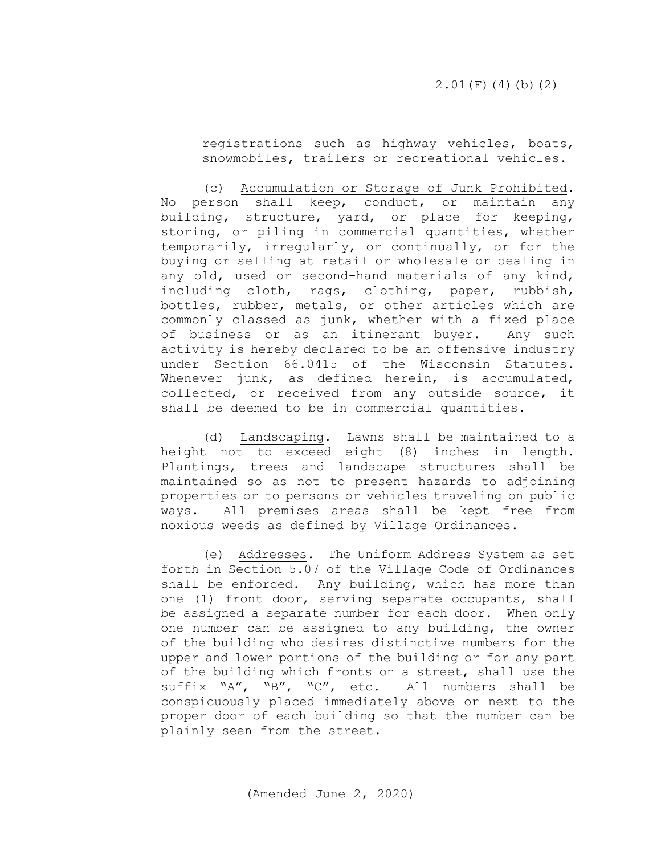registrations such as highway vehicles, boats, snowmobiles, trailers or recreational vehicles.

 (c) Accumulation or Storage of Junk Prohibited. No person shall keep, conduct, or maintain any building, structure, yard, or place for keeping, storing, or piling in commercial quantities, whether temporarily, irregularly, or continually, or for the buying or selling at retail or wholesale or dealing in any old, used or second-hand materials of any kind, including cloth, rags, clothing, paper, rubbish, bottles, rubber, metals, or other articles which are commonly classed as junk, whether with a fixed place<br>of business or as an itinerant buyer. Any such of business or as an itinerant buyer. activity is hereby declared to be an offensive industry under Section 66.0415 of the Wisconsin Statutes. Whenever junk, as defined herein, is accumulated, collected, or received from any outside source, it shall be deemed to be in commercial quantities.

 (d) Landscaping. Lawns shall be maintained to a height not to exceed eight (8) inches in length. Plantings, trees and landscape structures shall be maintained so as not to present hazards to adjoining properties or to persons or vehicles traveling on public ways. All premises areas shall be kept free from noxious weeds as defined by Village Ordinances.

 (e) Addresses. The Uniform Address System as set forth in Section 5.07 of the Village Code of Ordinances shall be enforced. Any building, which has more than one (1) front door, serving separate occupants, shall be assigned a separate number for each door. When only one number can be assigned to any building, the owner of the building who desires distinctive numbers for the upper and lower portions of the building or for any part of the building which fronts on a street, shall use the suffix "A", "B", "C", etc. All numbers shall be conspicuously placed immediately above or next to the proper door of each building so that the number can be plainly seen from the street.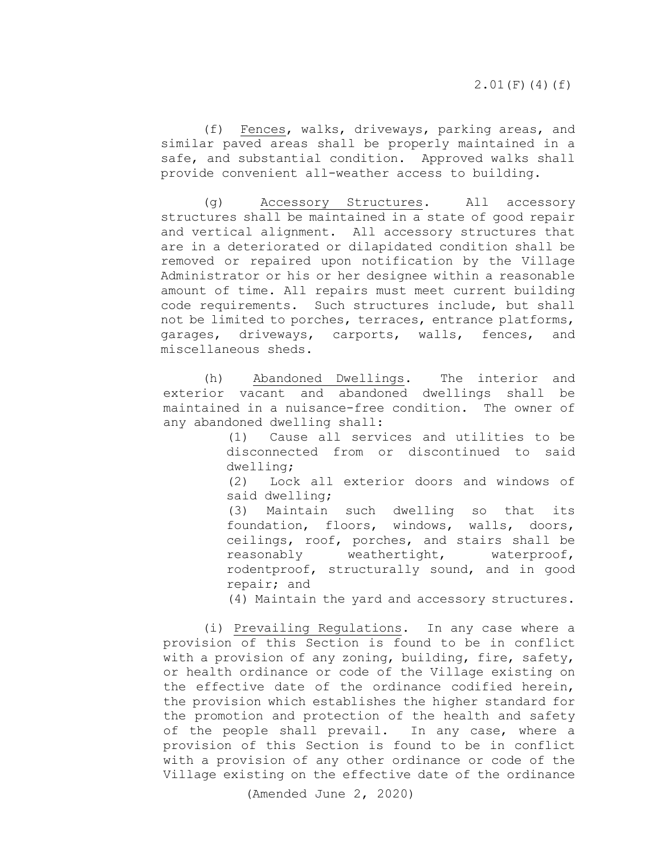(f) Fences, walks, driveways, parking areas, and similar paved areas shall be properly maintained in a safe, and substantial condition. Approved walks shall provide convenient all-weather access to building.

 (g) Accessory Structures. All accessory structures shall be maintained in a state of good repair and vertical alignment. All accessory structures that are in a deteriorated or dilapidated condition shall be removed or repaired upon notification by the Village Administrator or his or her designee within a reasonable amount of time. All repairs must meet current building code requirements. Such structures include, but shall not be limited to porches, terraces, entrance platforms, garages, driveways, carports, walls, fences, and miscellaneous sheds.

(h) Abandoned Dwellings. The interior and exterior vacant and abandoned dwellings shall be maintained in a nuisance-free condition. The owner of any abandoned dwelling shall:

> (1) Cause all services and utilities to be disconnected from or discontinued to said dwelling;

> (2) Lock all exterior doors and windows of said dwelling;

> (3) Maintain such dwelling so that its foundation, floors, windows, walls, doors, ceilings, roof, porches, and stairs shall be<br>reasonably weathertight, waterproof, weathertight, waterproof, rodentproof, structurally sound, and in good repair; and

> (4) Maintain the yard and accessory structures.

 (i) Prevailing Regulations. In any case where a provision of this Section is found to be in conflict with a provision of any zoning, building, fire, safety, or health ordinance or code of the Village existing on the effective date of the ordinance codified herein, the provision which establishes the higher standard for the promotion and protection of the health and safety of the people shall prevail. In any case, where a provision of this Section is found to be in conflict with a provision of any other ordinance or code of the Village existing on the effective date of the ordinance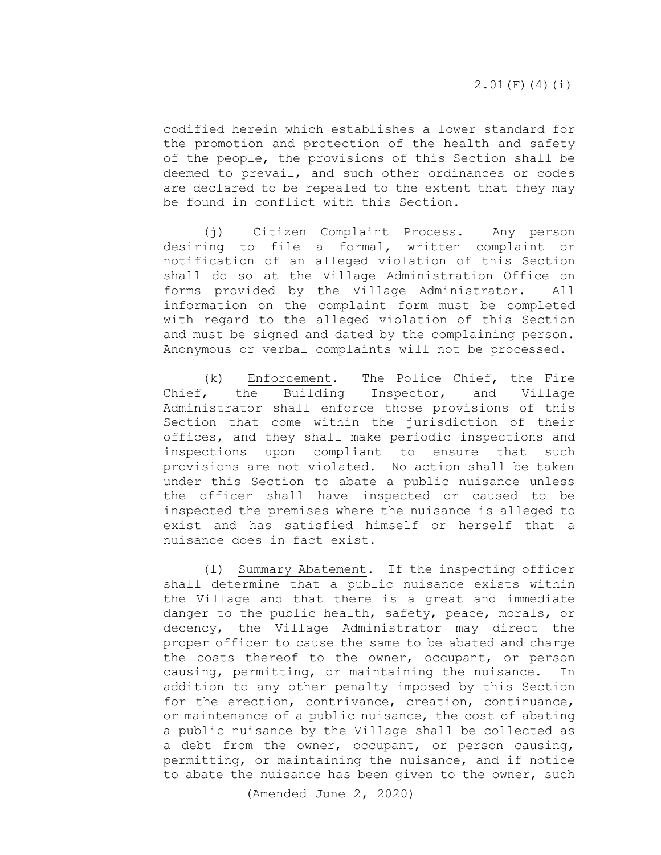codified herein which establishes a lower standard for the promotion and protection of the health and safety of the people, the provisions of this Section shall be deemed to prevail, and such other ordinances or codes are declared to be repealed to the extent that they may be found in conflict with this Section.

 (j) Citizen Complaint Process. Any person desiring to file a formal, written complaint or notification of an alleged violation of this Section shall do so at the Village Administration Office on forms provided by the Village Administrator. All information on the complaint form must be completed with regard to the alleged violation of this Section and must be signed and dated by the complaining person. Anonymous or verbal complaints will not be processed.

(k) Enforcement. The Police Chief, the Fire<br>Chief, the Building Inspector, and Village the Building Inspector, Administrator shall enforce those provisions of this Section that come within the jurisdiction of their offices, and they shall make periodic inspections and inspections upon compliant to ensure that such provisions are not violated. No action shall be taken under this Section to abate a public nuisance unless the officer shall have inspected or caused to be inspected the premises where the nuisance is alleged to exist and has satisfied himself or herself that a nuisance does in fact exist.

 (l) Summary Abatement. If the inspecting officer shall determine that a public nuisance exists within the Village and that there is a great and immediate danger to the public health, safety, peace, morals, or decency, the Village Administrator may direct the proper officer to cause the same to be abated and charge the costs thereof to the owner, occupant, or person causing, permitting, or maintaining the nuisance. In addition to any other penalty imposed by this Section for the erection, contrivance, creation, continuance, or maintenance of a public nuisance, the cost of abating a public nuisance by the Village shall be collected as a debt from the owner, occupant, or person causing, permitting, or maintaining the nuisance, and if notice to abate the nuisance has been given to the owner, such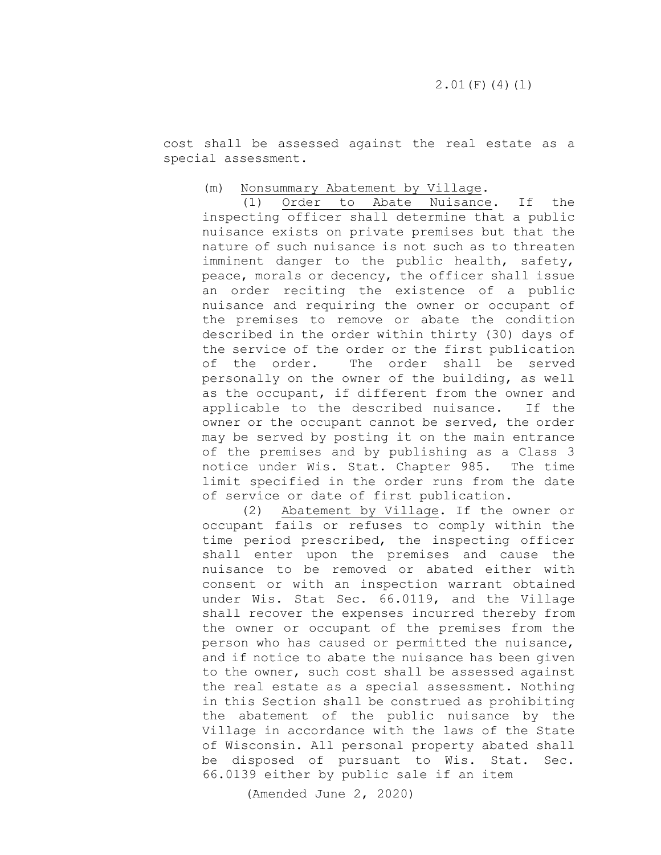cost shall be assessed against the real estate as a special assessment.

# (m) Nonsummary Abatement by Village.<br>(1) Order to Abate Nuisance

Order to Abate Nuisance. If the inspecting officer shall determine that a public nuisance exists on private premises but that the nature of such nuisance is not such as to threaten imminent danger to the public health, safety, peace, morals or decency, the officer shall issue an order reciting the existence of a public nuisance and requiring the owner or occupant of the premises to remove or abate the condition described in the order within thirty (30) days of the service of the order or the first publication<br>of the order. The order shall be served The order shall be served personally on the owner of the building, as well as the occupant, if different from the owner and applicable to the described nuisance. If the owner or the occupant cannot be served, the order may be served by posting it on the main entrance of the premises and by publishing as a Class 3 notice under Wis. Stat. Chapter 985. The time notice under Wis. Stat. Chapter 985. limit specified in the order runs from the date of service or date of first publication.

(2) Abatement by Village. If the owner or occupant fails or refuses to comply within the time period prescribed, the inspecting officer shall enter upon the premises and cause the nuisance to be removed or abated either with consent or with an inspection warrant obtained under Wis. Stat Sec. 66.0119, and the Village shall recover the expenses incurred thereby from the owner or occupant of the premises from the person who has caused or permitted the nuisance, and if notice to abate the nuisance has been given to the owner, such cost shall be assessed against the real estate as a special assessment. Nothing in this Section shall be construed as prohibiting the abatement of the public nuisance by the Village in accordance with the laws of the State of Wisconsin. All personal property abated shall be disposed of pursuant to Wis. Stat. Sec. 66.0139 either by public sale if an item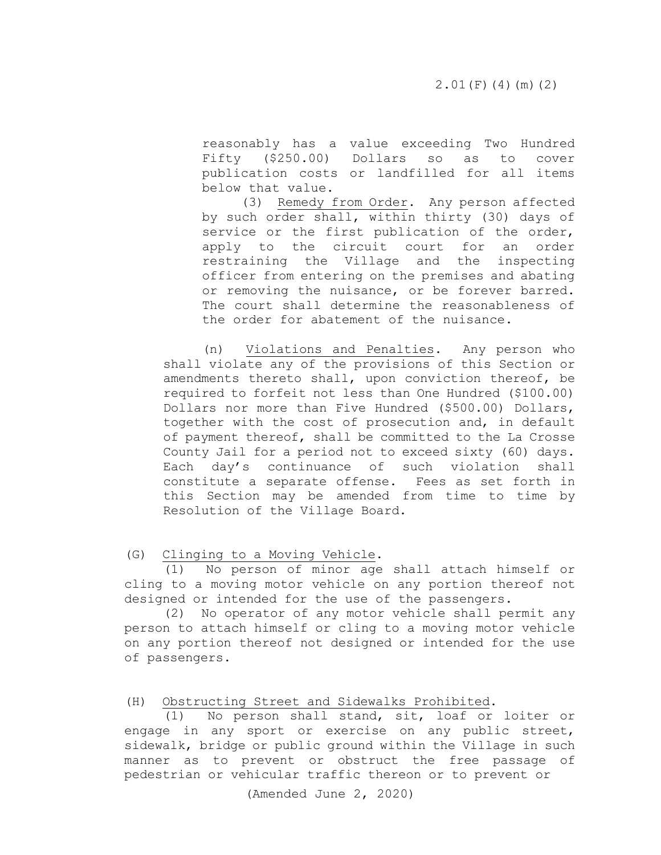reasonably has a value exceeding Two Hundred Fifty (\$250.00) Dollars so as to cover publication costs or landfilled for all items below that value.

(3) Remedy from Order. Any person affected by such order shall, within thirty (30) days of service or the first publication of the order,<br>apply to the circuit court for an order apply to the circuit court for an restraining the Village and the inspecting officer from entering on the premises and abating or removing the nuisance, or be forever barred. The court shall determine the reasonableness of the order for abatement of the nuisance.

 (n) Violations and Penalties. Any person who shall violate any of the provisions of this Section or amendments thereto shall, upon conviction thereof, be required to forfeit not less than One Hundred (\$100.00) Dollars nor more than Five Hundred (\$500.00) Dollars, together with the cost of prosecution and, in default of payment thereof, shall be committed to the La Crosse County Jail for a period not to exceed sixty (60) days. Each day's continuance of such violation shall constitute a separate offense. Fees as set forth in this Section may be amended from time to time by Resolution of the Village Board.

<span id="page-19-0"></span>(G) Clinging to a Moving Vehicle.

 (1) No person of minor age shall attach himself or cling to a moving motor vehicle on any portion thereof not designed or intended for the use of the passengers.

 (2) No operator of any motor vehicle shall permit any person to attach himself or cling to a moving motor vehicle on any portion thereof not designed or intended for the use of passengers.

#### <span id="page-19-1"></span>(H) Obstructing Street and Sidewalks Prohibited.

 (1) No person shall stand, sit, loaf or loiter or engage in any sport or exercise on any public street, sidewalk, bridge or public ground within the Village in such manner as to prevent or obstruct the free passage of pedestrian or vehicular traffic thereon or to prevent or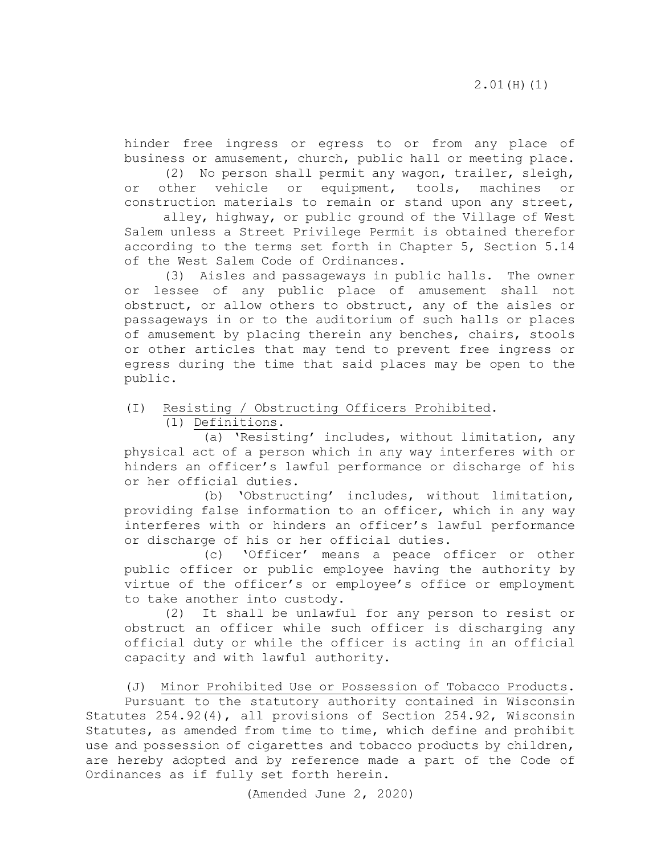hinder free ingress or egress to or from any place of business or amusement, church, public hall or meeting place.

 (2) No person shall permit any wagon, trailer, sleigh, or other vehicle or equipment, tools, machines or construction materials to remain or stand upon any street,

alley, highway, or public ground of the Village of West Salem unless a Street Privilege Permit is obtained therefor according to the terms set forth in Chapter 5, Section 5.14 of the West Salem Code of Ordinances.

(3) Aisles and passageways in public halls. The owner or lessee of any public place of amusement shall not obstruct, or allow others to obstruct, any of the aisles or passageways in or to the auditorium of such halls or places of amusement by placing therein any benches, chairs, stools or other articles that may tend to prevent free ingress or egress during the time that said places may be open to the public.

<span id="page-20-0"></span>(I) Resisting / Obstructing Officers Prohibited.

(1) Definitions.

 (a) 'Resisting' includes, without limitation, any physical act of a person which in any way interferes with or hinders an officer's lawful performance or discharge of his or her official duties.

 (b) 'Obstructing' includes, without limitation, providing false information to an officer, which in any way interferes with or hinders an officer's lawful performance or discharge of his or her official duties.

 (c) 'Officer' means a peace officer or other public officer or public employee having the authority by virtue of the officer's or employee's office or employment to take another into custody.

(2) It shall be unlawful for any person to resist or obstruct an officer while such officer is discharging any official duty or while the officer is acting in an official capacity and with lawful authority.

<span id="page-20-1"></span>(J) Minor Prohibited Use or Possession of Tobacco Products.

Pursuant to the statutory authority contained in Wisconsin Statutes 254.92(4), all provisions of Section 254.92, Wisconsin Statutes, as amended from time to time, which define and prohibit use and possession of cigarettes and tobacco products by children, are hereby adopted and by reference made a part of the Code of Ordinances as if fully set forth herein.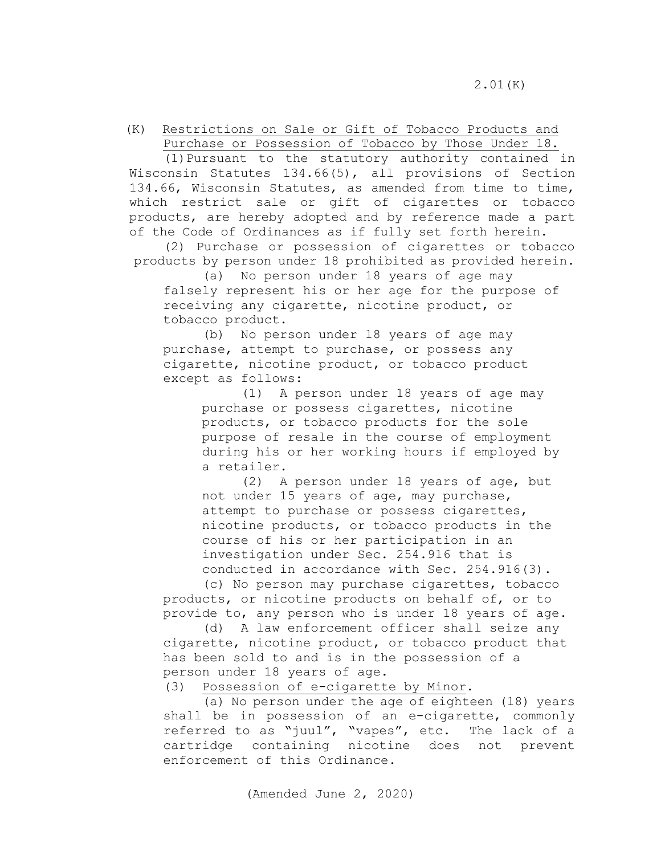<span id="page-21-0"></span> (K) Restrictions on Sale or Gift of Tobacco Products and Purchase or Possession of Tobacco by Those Under 18.

 (1)Pursuant to the statutory authority contained in Wisconsin Statutes 134.66(5), all provisions of Section 134.66, Wisconsin Statutes, as amended from time to time, which restrict sale or gift of cigarettes or tobacco products, are hereby adopted and by reference made a part of the Code of Ordinances as if fully set forth herein.

(2) Purchase or possession of cigarettes or tobacco products by person under 18 prohibited as provided herein.

 (a) No person under 18 years of age may falsely represent his or her age for the purpose of receiving any cigarette, nicotine product, or tobacco product.

 (b) No person under 18 years of age may purchase, attempt to purchase, or possess any cigarette, nicotine product, or tobacco product except as follows:

> (1) A person under 18 years of age may purchase or possess cigarettes, nicotine products, or tobacco products for the sole purpose of resale in the course of employment during his or her working hours if employed by a retailer.

 (2) A person under 18 years of age, but not under 15 years of age, may purchase, attempt to purchase or possess cigarettes, nicotine products, or tobacco products in the course of his or her participation in an investigation under Sec. 254.916 that is conducted in accordance with Sec. 254.916(3).

(c) No person may purchase cigarettes, tobacco products, or nicotine products on behalf of, or to provide to, any person who is under 18 years of age.

 (d) A law enforcement officer shall seize any cigarette, nicotine product, or tobacco product that has been sold to and is in the possession of a person under 18 years of age.<br>(3) Possession of e-cigarett

Possession of e-cigarette by Minor.

 (a) No person under the age of eighteen (18) years shall be in possession of an e-cigarette, commonly referred to as "juul", "vapes", etc. The lack of a cartridge containing nicotine does not prevent enforcement of this Ordinance.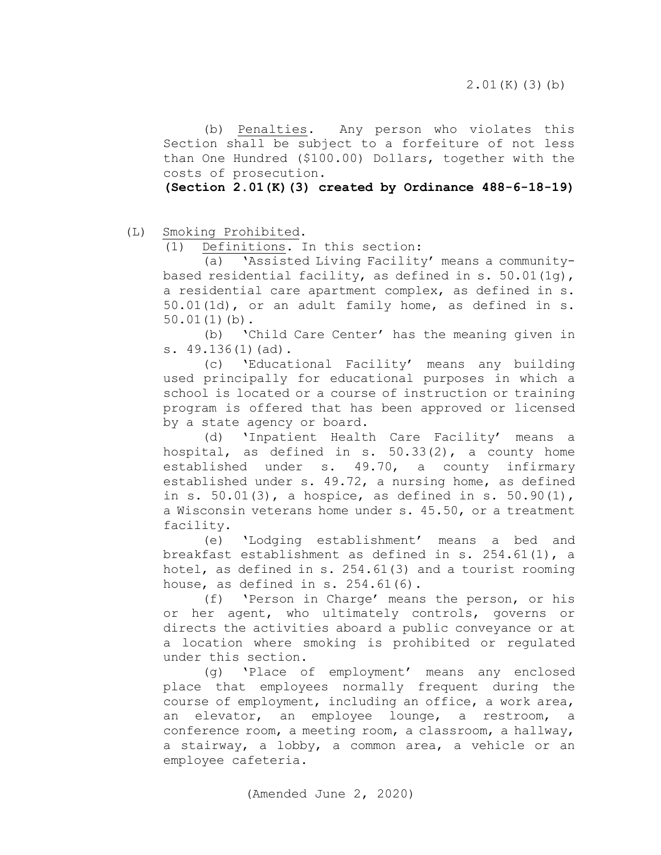(b) Penalties. Any person who violates this Section shall be subject to a forfeiture of not less than One Hundred (\$100.00) Dollars, together with the costs of prosecution.

**(Section 2.01(K)(3) created by Ordinance 488-6-18-19)**

<span id="page-22-0"></span>(L) Smoking Prohibited.<br>(1) Definitions. I

Definitions. In this section:

 (a) 'Assisted Living Facility' means a communitybased residential facility, as defined in s. 50.01(1g), a residential care apartment complex, as defined in s. 50.01(1d), or an adult family home, as defined in s. 50.01(1)(b).

 (b) 'Child Care Center' has the meaning given in s. 49.136(1)(ad).

 (c) 'Educational Facility' means any building used principally for educational purposes in which a school is located or a course of instruction or training program is offered that has been approved or licensed by a state agency or board.

 (d) 'Inpatient Health Care Facility' means a hospital, as defined in s.  $50.33(2)$ , a county home established under s. 49.70, a county infirmary established under s. 49.72, a nursing home, as defined in s. 50.01(3), a hospice, as defined in s. 50.90(1), a Wisconsin veterans home under s. 45.50, or a treatment facility.

 (e) 'Lodging establishment' means a bed and breakfast establishment as defined in s. 254.61(1), a hotel, as defined in s. 254.61(3) and a tourist rooming house, as defined in s.  $254.61(6)$ .

 (f) 'Person in Charge' means the person, or his or her agent, who ultimately controls, governs or directs the activities aboard a public conveyance or at a location where smoking is prohibited or regulated under this section.

 (g) 'Place of employment' means any enclosed place that employees normally frequent during the course of employment, including an office, a work area, an elevator, an employee lounge, a restroom, a conference room, a meeting room, a classroom, a hallway, a stairway, a lobby, a common area, a vehicle or an employee cafeteria.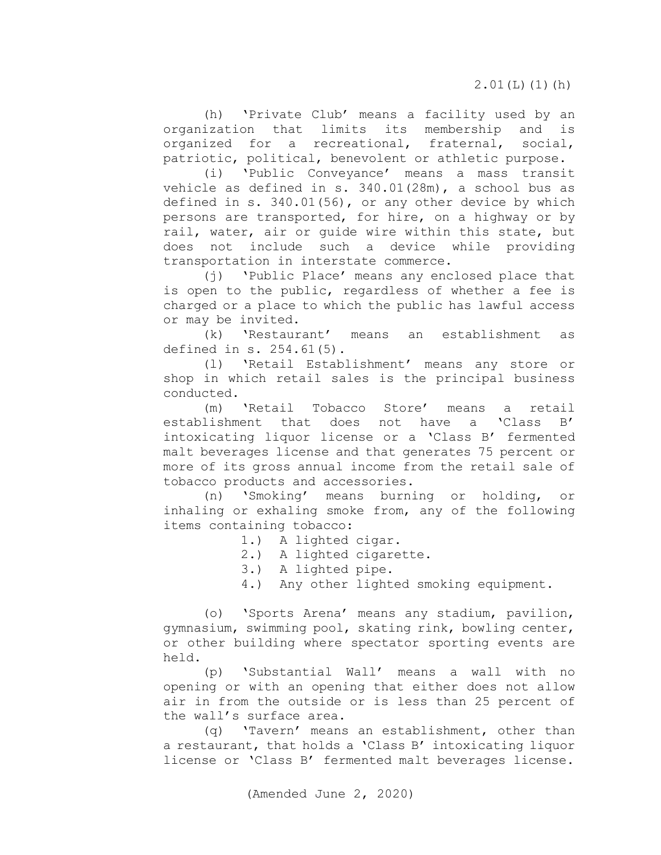$2.01(L)(1)(h)$ 

(h) 'Private Club' means a facility used by an organization that limits its membership and is organized for a recreational, fraternal, social, patriotic, political, benevolent or athletic purpose.

(i) 'Public Conveyance' means a mass transit vehicle as defined in s. 340.01(28m), a school bus as defined in s. 340.01(56), or any other device by which persons are transported, for hire, on a highway or by rail, water, air or guide wire within this state, but does not include such a device while providing transportation in interstate commerce.

(j) 'Public Place' means any enclosed place that is open to the public, regardless of whether a fee is charged or a place to which the public has lawful access or may be invited.<br>(k) 'Restaurant'

means an establishment as defined in s. 254.61(5).

(l) 'Retail Establishment' means any store or shop in which retail sales is the principal business conducted.

(m) 'Retail Tobacco Store' means a retail<br>lishment that does not have a 'Class B' establishment that does not have a 'Class B' intoxicating liquor license or a 'Class B' fermented malt beverages license and that generates 75 percent or more of its gross annual income from the retail sale of tobacco products and accessories.

(n) 'Smoking' means burning or holding, or inhaling or exhaling smoke from, any of the following items containing tobacco:

- 1.) A lighted cigar.
- 2.) A lighted cigarette.
- 3.) A lighted pipe.
- 4.) Any other lighted smoking equipment.

(o) 'Sports Arena' means any stadium, pavilion, gymnasium, swimming pool, skating rink, bowling center, or other building where spectator sporting events are held.

(p) 'Substantial Wall' means a wall with no opening or with an opening that either does not allow air in from the outside or is less than 25 percent of the wall's surface area.

(q) 'Tavern' means an establishment, other than a restaurant, that holds a 'Class B' intoxicating liquor license or 'Class B' fermented malt beverages license.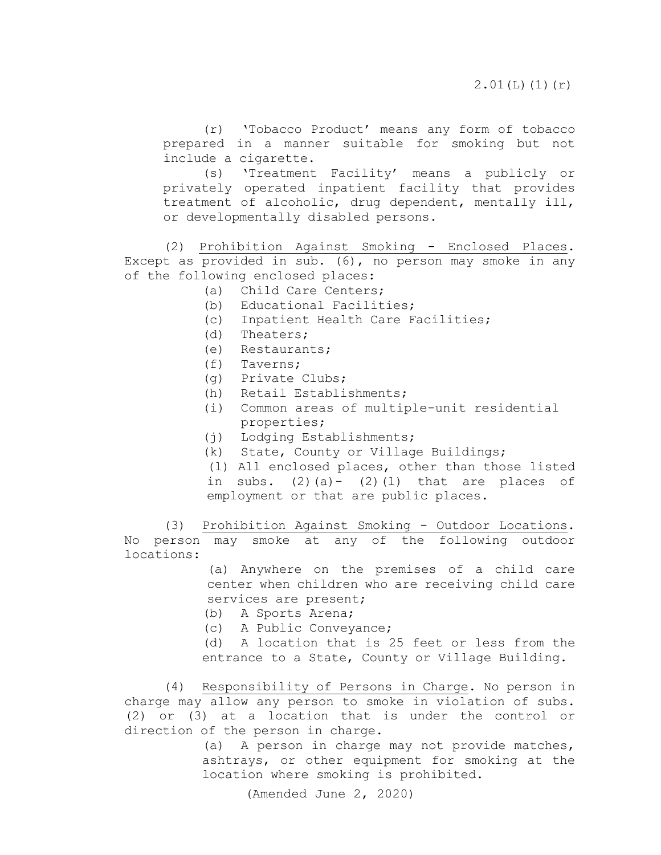(r) 'Tobacco Product' means any form of tobacco prepared in a manner suitable for smoking but not include a cigarette.

(s) 'Treatment Facility' means a publicly or privately operated inpatient facility that provides treatment of alcoholic, drug dependent, mentally ill, or developmentally disabled persons.

(2) Prohibition Against Smoking - Enclosed Places. Except as provided in sub. (6), no person may smoke in any of the following enclosed places:

(a) Child Care Centers;

- (b) Educational Facilities;
- (c) Inpatient Health Care Facilities;
- (d) Theaters;
- (e) Restaurants;
- (f) Taverns;
- (g) Private Clubs;
- (h) Retail Establishments;
- (i) Common areas of multiple-unit residential properties;
- (j) Lodging Establishments;
- (k) State, County or Village Buildings;

(l) All enclosed places, other than those listed in subs.  $(2)(a) - (2)(1)$  that are places of employment or that are public places.

 (3) Prohibition Against Smoking - Outdoor Locations. No person may smoke at any of the following outdoor locations:

> (a) Anywhere on the premises of a child care center when children who are receiving child care services are present;

- (b) A Sports Arena;
- (c) A Public Conveyance;

 (d) A location that is 25 feet or less from the entrance to a State, County or Village Building.

 (4) Responsibility of Persons in Charge. No person in charge may allow any person to smoke in violation of subs. (2) or (3) at a location that is under the control or direction of the person in charge.

> (a) A person in charge may not provide matches, ashtrays, or other equipment for smoking at the location where smoking is prohibited.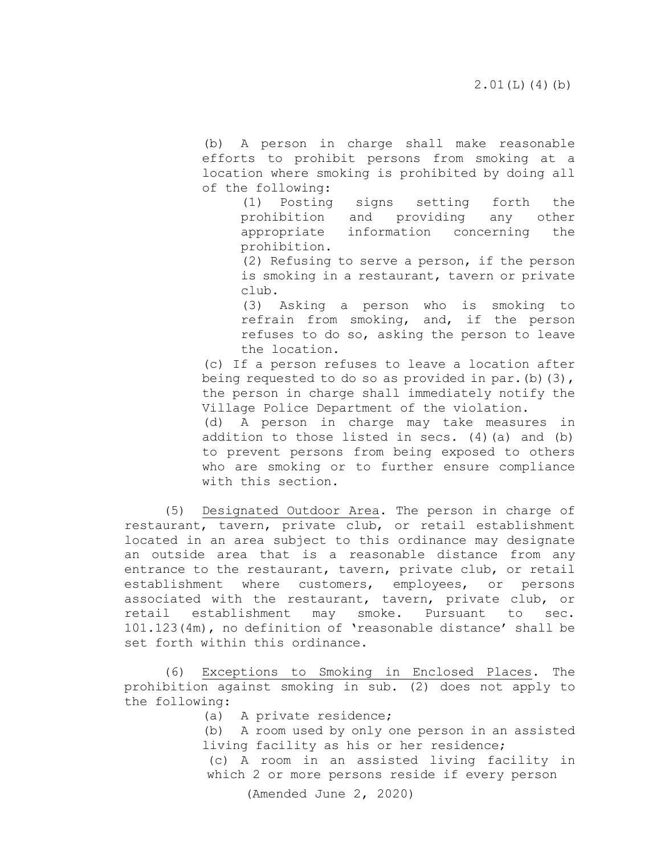(b) A person in charge shall make reasonable efforts to prohibit persons from smoking at a location where smoking is prohibited by doing all of the following:

> (1) Posting signs setting forth the prohibition and providing any other appropriate information concerning the prohibition.

> (2) Refusing to serve a person, if the person is smoking in a restaurant, tavern or private club.

> (3) Asking a person who is smoking to refrain from smoking, and, if the person refuses to do so, asking the person to leave the location.

(c) If a person refuses to leave a location after being requested to do so as provided in par. (b)  $(3)$ , the person in charge shall immediately notify the Village Police Department of the violation.

(d) A person in charge may take measures in addition to those listed in secs. (4)(a) and (b) to prevent persons from being exposed to others who are smoking or to further ensure compliance with this section.

(5) Designated Outdoor Area. The person in charge of restaurant, tavern, private club, or retail establishment located in an area subject to this ordinance may designate an outside area that is a reasonable distance from any entrance to the restaurant, tavern, private club, or retail establishment where customers, employees, or persons associated with the restaurant, tavern, private club, or retail establishment may smoke. Pursuant to sec. 101.123(4m), no definition of 'reasonable distance' shall be set forth within this ordinance.

 (6) Exceptions to Smoking in Enclosed Places. The prohibition against smoking in sub. (2) does not apply to the following:

(a) A private residence;

(b) A room used by only one person in an assisted living facility as his or her residence; (c) A room in an assisted living facility in

which 2 or more persons reside if every person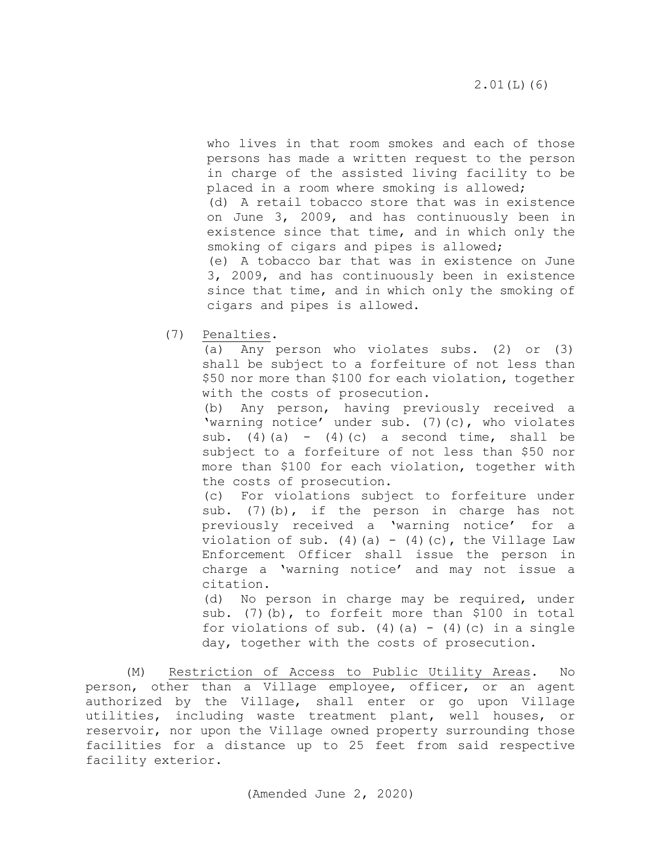who lives in that room smokes and each of those persons has made a written request to the person in charge of the assisted living facility to be placed in a room where smoking is allowed; (d) A retail tobacco store that was in existence on June 3, 2009, and has continuously been in existence since that time, and in which only the smoking of cigars and pipes is allowed; (e) A tobacco bar that was in existence on June 3, 2009, and has continuously been in existence since that time, and in which only the smoking of

(7) Penalties.

(a) Any person who violates subs. (2) or (3) shall be subject to a forfeiture of not less than \$50 nor more than \$100 for each violation, together with the costs of prosecution.

cigars and pipes is allowed.

(b) Any person, having previously received a 'warning notice' under sub. (7)(c), who violates sub. (4)(a) - (4)(c) a second time, shall be subject to a forfeiture of not less than \$50 nor more than \$100 for each violation, together with the costs of prosecution.

(c) For violations subject to forfeiture under sub. (7)(b), if the person in charge has not previously received a 'warning notice' for a violation of sub. (4)(a) - (4)(c), the Village Law Enforcement Officer shall issue the person in charge a 'warning notice' and may not issue a citation.

(d) No person in charge may be required, under sub. (7)(b), to forfeit more than \$100 in total for violations of sub. (4)(a) - (4)(c) in a single day, together with the costs of prosecution.

<span id="page-26-0"></span>(M) Restriction of Access to Public Utility Areas. No person, other than a Village employee, officer, or an agent authorized by the Village, shall enter or go upon Village utilities, including waste treatment plant, well houses, or reservoir, nor upon the Village owned property surrounding those facilities for a distance up to 25 feet from said respective facility exterior.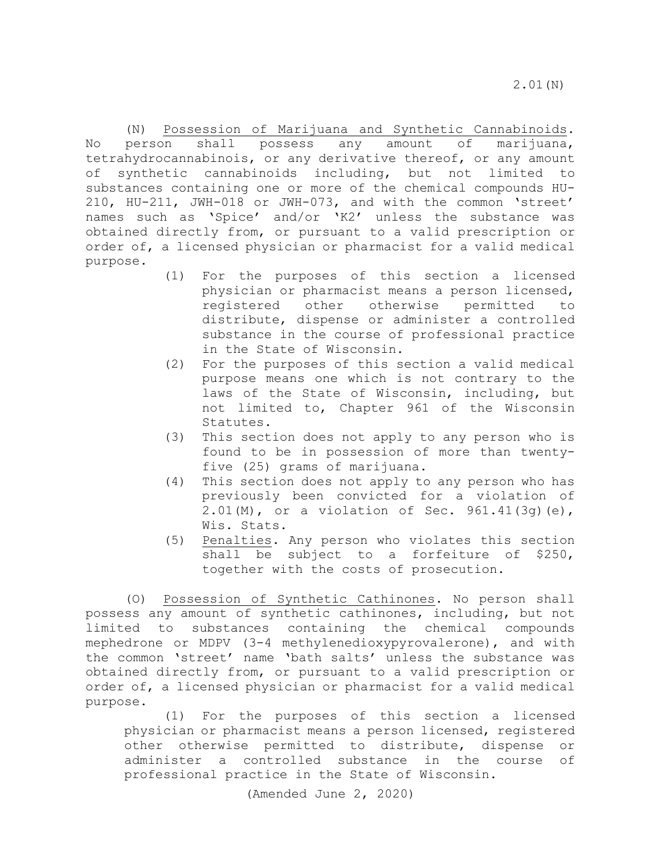<span id="page-27-0"></span> (N) Possession of Marijuana and Synthetic Cannabinoids. No person shall possess any amount of marijuana, tetrahydrocannabinois, or any derivative thereof, or any amount of synthetic cannabinoids including, but not limited to substances containing one or more of the chemical compounds HU-210, HU-211, JWH-018 or JWH-073, and with the common 'street' names such as 'Spice' and/or 'K2' unless the substance was obtained directly from, or pursuant to a valid prescription or order of, a licensed physician or pharmacist for a valid medical purpose.

- (1) For the purposes of this section a licensed physician or pharmacist means a person licensed, registered other otherwise permitted to distribute, dispense or administer a controlled substance in the course of professional practice in the State of Wisconsin.
- (2) For the purposes of this section a valid medical purpose means one which is not contrary to the laws of the State of Wisconsin, including, but not limited to, Chapter 961 of the Wisconsin Statutes.
- (3) This section does not apply to any person who is found to be in possession of more than twentyfive (25) grams of marijuana.
- (4) This section does not apply to any person who has previously been convicted for a violation of 2.01(M), or a violation of Sec. 961.41(3g)(e), Wis. Stats.
- (5) Penalties. Any person who violates this section shall be subject to a forfeiture of \$250, together with the costs of prosecution.

<span id="page-27-1"></span>(O) Possession of Synthetic Cathinones. No person shall possess any amount of synthetic cathinones, including, but not limited to substances containing the chemical compounds mephedrone or MDPV (3-4 methylenedioxypyrovalerone), and with the common 'street' name 'bath salts' unless the substance was obtained directly from, or pursuant to a valid prescription or order of, a licensed physician or pharmacist for a valid medical purpose.

(1) For the purposes of this section a licensed physician or pharmacist means a person licensed, registered other otherwise permitted to distribute, dispense or administer a controlled substance in the course of professional practice in the State of Wisconsin.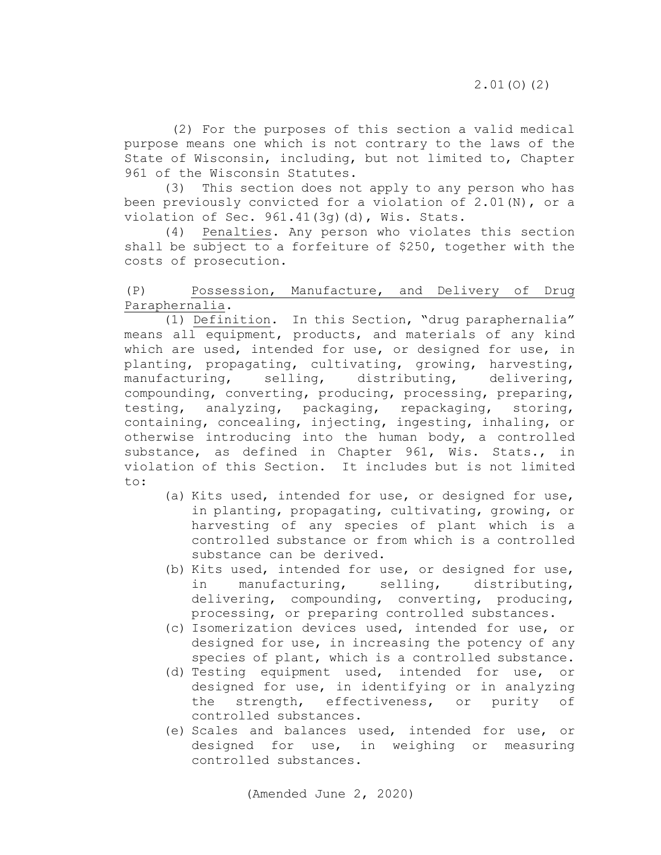(2) For the purposes of this section a valid medical purpose means one which is not contrary to the laws of the State of Wisconsin, including, but not limited to, Chapter 961 of the Wisconsin Statutes.

(3) This section does not apply to any person who has been previously convicted for a violation of 2.01(N), or a violation of Sec. 961.41(3g)(d), Wis. Stats.

(4) Penalties. Any person who violates this section shall be subject to a forfeiture of \$250, together with the costs of prosecution.

## <span id="page-28-0"></span>(P) Possession, Manufacture, and Delivery of Drug Paraphernalia.

(1) Definition. In this Section, "drug paraphernalia" means all equipment, products, and materials of any kind which are used, intended for use, or designed for use, in planting, propagating, cultivating, growing, harvesting,<br>manufacturing, selling, distributing, delivering, manufacturing, selling, distributing, compounding, converting, producing, processing, preparing, testing, analyzing, packaging, repackaging, storing, containing, concealing, injecting, ingesting, inhaling, or otherwise introducing into the human body, a controlled substance, as defined in Chapter 961, Wis. Stats., in violation of this Section. It includes but is not limited to:

- (a) Kits used, intended for use, or designed for use, in planting, propagating, cultivating, growing, or harvesting of any species of plant which is a controlled substance or from which is a controlled substance can be derived.
- (b) Kits used, intended for use, or designed for use,<br>in manufacturing, selling, distributing, in manufacturing, delivering, compounding, converting, producing, processing, or preparing controlled substances.
- (c) Isomerization devices used, intended for use, or designed for use, in increasing the potency of any species of plant, which is a controlled substance.
- (d) Testing equipment used, intended for use, or designed for use, in identifying or in analyzing<br>the strength, effectiveness, or purity of effectiveness, or purity of controlled substances.
- (e) Scales and balances used, intended for use, or designed for use, in weighing or measuring controlled substances.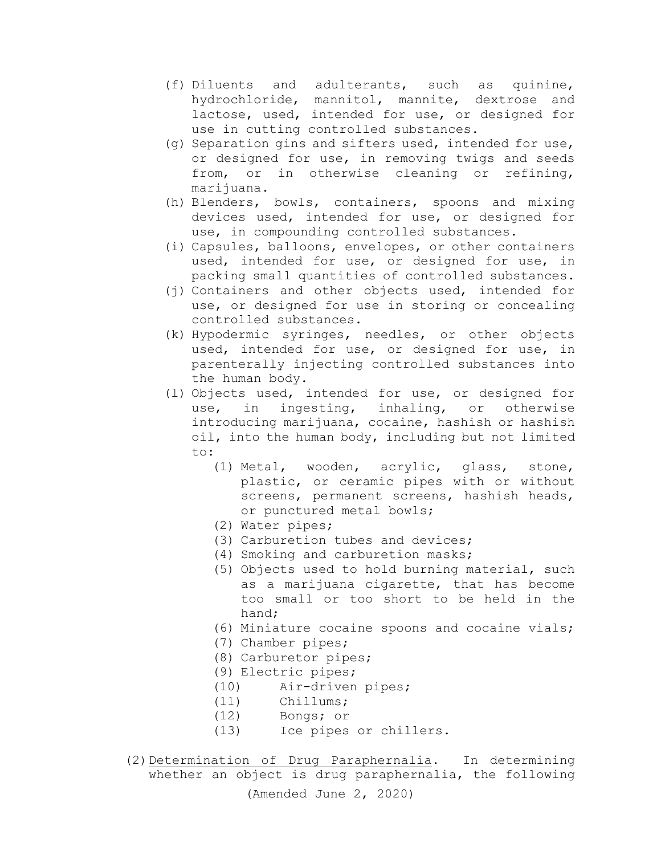- (f) Diluents and adulterants, such as quinine, hydrochloride, mannitol, mannite, dextrose and lactose, used, intended for use, or designed for use in cutting controlled substances.
- (g) Separation gins and sifters used, intended for use, or designed for use, in removing twigs and seeds from, or in otherwise cleaning or refining, marijuana.
- (h) Blenders, bowls, containers, spoons and mixing devices used, intended for use, or designed for use, in compounding controlled substances.
- (i) Capsules, balloons, envelopes, or other containers used, intended for use, or designed for use, in packing small quantities of controlled substances.
- (j) Containers and other objects used, intended for use, or designed for use in storing or concealing controlled substances.
- (k) Hypodermic syringes, needles, or other objects used, intended for use, or designed for use, in parenterally injecting controlled substances into the human body.
- (l) Objects used, intended for use, or designed for use, in ingesting, inhaling, or otherwise introducing marijuana, cocaine, hashish or hashish oil, into the human body, including but not limited to:
	- (1) Metal, wooden, acrylic, glass, stone, plastic, or ceramic pipes with or without screens, permanent screens, hashish heads, or punctured metal bowls;
	- (2) Water pipes;
	- (3) Carburetion tubes and devices;
	- (4) Smoking and carburetion masks;
	- (5) Objects used to hold burning material, such as a marijuana cigarette, that has become too small or too short to be held in the hand;
	- (6) Miniature cocaine spoons and cocaine vials;
	- (7) Chamber pipes;
	- (8) Carburetor pipes;
	- (9) Electric pipes;
	- (10) Air-driven pipes;<br>(11) Chillums;
	- Chillums;
	-
	- (12) Bongs; or<br>(13) Ice pipes Ice pipes or chillers.
- (Amended June 2, 2020) (2)Determination of Drug Paraphernalia. In determining whether an object is drug paraphernalia, the following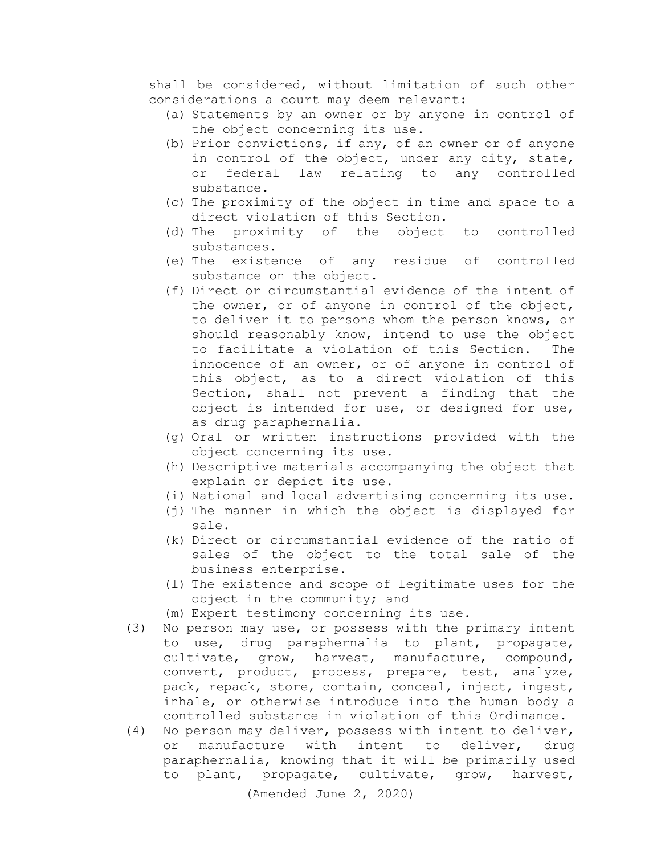shall be considered, without limitation of such other considerations a court may deem relevant:

- (a) Statements by an owner or by anyone in control of the object concerning its use.
- (b) Prior convictions, if any, of an owner or of anyone in control of the object, under any city, state,<br>or federal law relating to any controlled or federal law relating to substance.
- (c) The proximity of the object in time and space to a direct violation of this Section.
- (d) The proximity of the object to controlled substances.<br>(e) The existence of
- any residue of controlled substance on the object.
- (f) Direct or circumstantial evidence of the intent of the owner, or of anyone in control of the object, to deliver it to persons whom the person knows, or should reasonably know, intend to use the object<br>to facilitate a violation of this Section. The to facilitate a violation of this Section. innocence of an owner, or of anyone in control of this object, as to a direct violation of this Section, shall not prevent a finding that the object is intended for use, or designed for use, as drug paraphernalia.
- (g) Oral or written instructions provided with the object concerning its use.
- (h) Descriptive materials accompanying the object that explain or depict its use.
- (i) National and local advertising concerning its use.
- (j) The manner in which the object is displayed for sale.
- (k) Direct or circumstantial evidence of the ratio of sales of the object to the total sale of the business enterprise.
- (l) The existence and scope of legitimate uses for the object in the community; and
- (m) Expert testimony concerning its use.
- (3) No person may use, or possess with the primary intent to use, drug paraphernalia to plant, propagate, cultivate, grow, harvest, manufacture, compound, convert, product, process, prepare, test, analyze, pack, repack, store, contain, conceal, inject, ingest, inhale, or otherwise introduce into the human body a controlled substance in violation of this Ordinance.
- (4) No person may deliver, possess with intent to deliver, or manufacture with intent to deliver, drug paraphernalia, knowing that it will be primarily used to plant, propagate, cultivate, grow, harvest,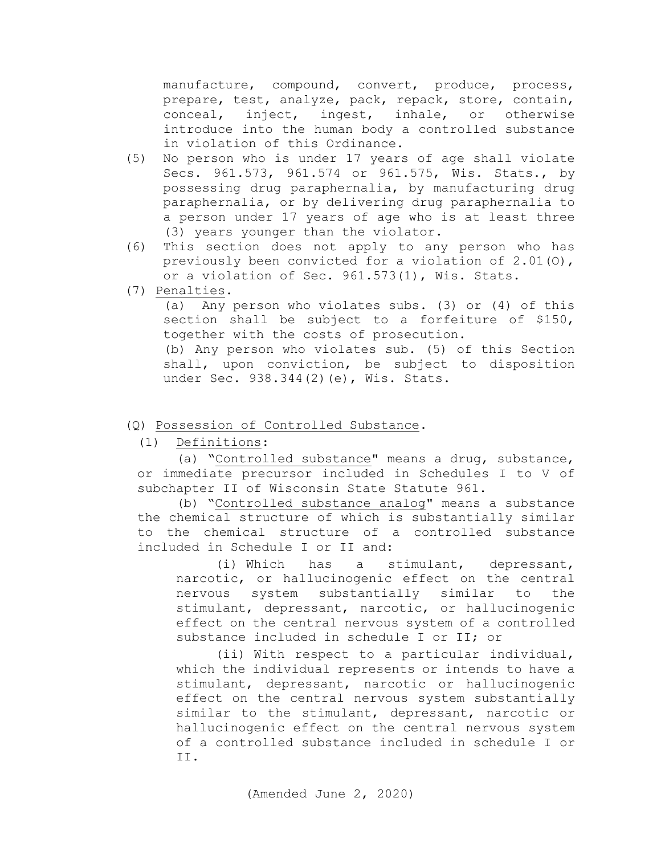manufacture, compound, convert, produce, process, prepare, test, analyze, pack, repack, store, contain, conceal, inject, ingest, inhale, or otherwise introduce into the human body a controlled substance in violation of this Ordinance.

- (5) No person who is under 17 years of age shall violate Secs. 961.573, 961.574 or 961.575, Wis. Stats., by possessing drug paraphernalia, by manufacturing drug paraphernalia, or by delivering drug paraphernalia to a person under 17 years of age who is at least three (3) years younger than the violator.
- (6) This section does not apply to any person who has previously been convicted for a violation of 2.01(O), or a violation of Sec. 961.573(1), Wis. Stats.
- (7) Penalties.

(a) Any person who violates subs. (3) or (4) of this section shall be subject to a forfeiture of \$150, together with the costs of prosecution.

(b) Any person who violates sub. (5) of this Section shall, upon conviction, be subject to disposition under Sec. 938.344(2)(e), Wis. Stats.

(Q) Possession of Controlled Substance.

<span id="page-31-0"></span>(1) Definitions:

(a) "Controlled substance" means a drug, substance, or immediate precursor included in Schedules I to V of subchapter [II](http://docs.legis.wisconsin.gov/document/statutes/subch.%20II%20of%20ch.%20961) of Wisconsin State Statute 961.

(b) "Controlled substance analog" means a substance the chemical structure of which is substantially similar to the chemical structure of a controlled substance included in Schedule I or II and:

(i) Which has a stimulant, depressant, narcotic, or hallucinogenic effect on the central nervous system substantially similar to the stimulant, depressant, narcotic, or hallucinogenic effect on the central nervous system of a controlled substance included in schedule I or II; or

(ii) With respect to a particular individual, which the individual represents or intends to have a stimulant, depressant, narcotic or hallucinogenic effect on the central nervous system substantially similar to the stimulant, depressant, narcotic or hallucinogenic effect on the central nervous system of a controlled substance included in schedule I or II.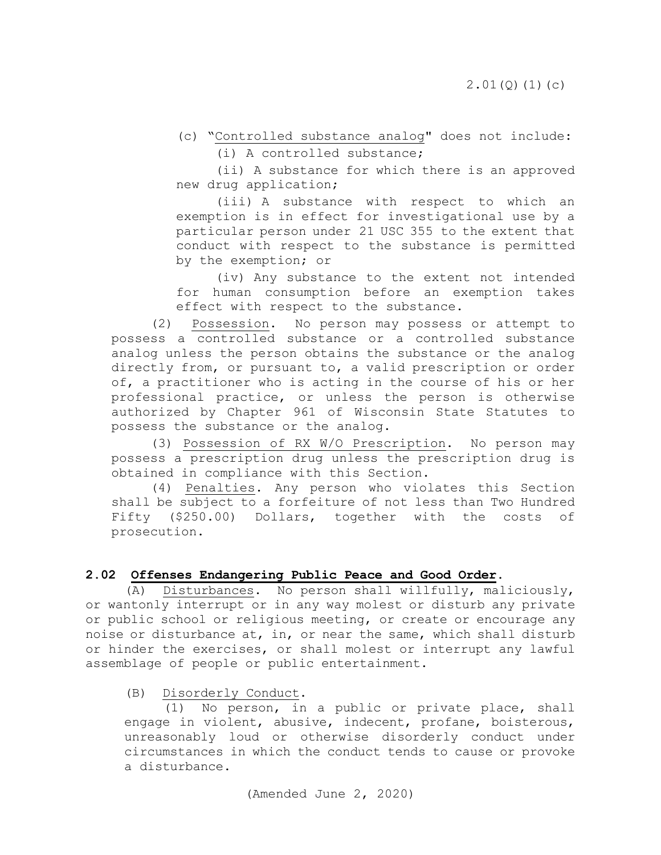(c) "Controlled substance analog" does not include:

(i) A controlled substance;

(ii) A substance for which there is an approved new drug application;

(iii) A substance with respect to which an exemption is in effect for investigational use by a particular person under [21 USC 355](http://docs.legis.wisconsin.gov/document/usc/21%20USC%20355) to the extent that conduct with respect to the substance is permitted by the exemption; or

(iv) Any substance to the extent not intended for human consumption before an exemption takes effect with respect to the substance.

(2) Possession. No person may possess or attempt to possess a controlled substance or a controlled substance analog unless the person obtains the substance or the analog directly from, or pursuant to, a valid prescription or order of, a practitioner who is acting in the course of his or her professional practice, or unless the person is otherwise authorized by Chapter 961 of Wisconsin State Statutes to possess the substance or the analog.

(3) Possession of RX W/O Prescription. No person may possess a prescription drug unless the prescription drug is obtained in compliance with this Section.

(4) Penalties. Any person who violates this Section shall be subject to a forfeiture of not less than Two Hundred Fifty (\$250.00) Dollars, together with the costs of prosecution.

## <span id="page-32-0"></span>**2.02 Offenses Endangering Public Peace and Good Order.**

<span id="page-32-1"></span>(A) Disturbances. No person shall willfully, maliciously, or wantonly interrupt or in any way molest or disturb any private or public school or religious meeting, or create or encourage any noise or disturbance at, in, or near the same, which shall disturb or hinder the exercises, or shall molest or interrupt any lawful assemblage of people or public entertainment.

## <span id="page-32-2"></span>(B) Disorderly Conduct.

(1) No person, in a public or private place, shall engage in violent, abusive, indecent, profane, boisterous, unreasonably loud or otherwise disorderly conduct under circumstances in which the conduct tends to cause or provoke a disturbance.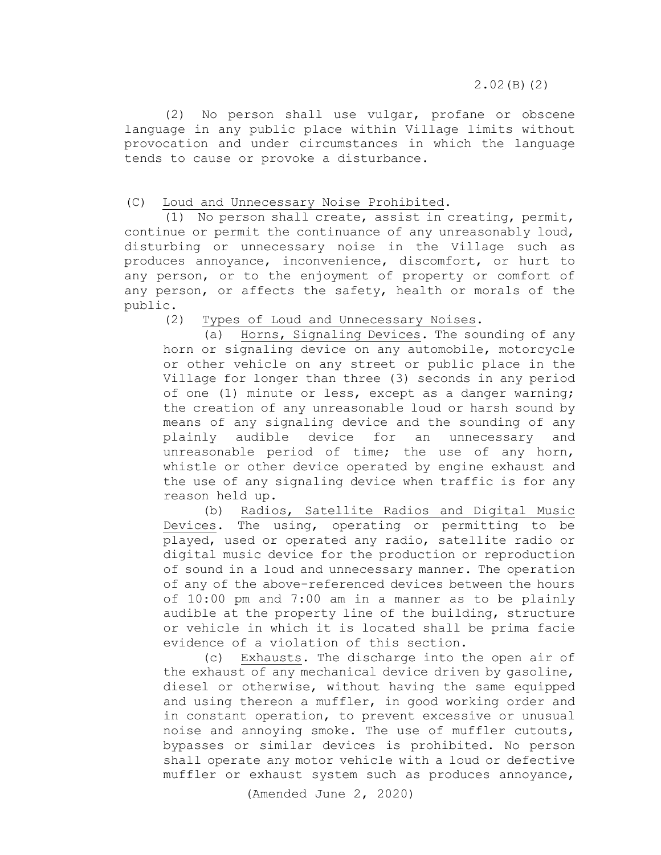(2) No person shall use vulgar, profane or obscene language in any public place within Village limits without provocation and under circumstances in which the language tends to cause or provoke a disturbance.

## <span id="page-33-0"></span>(C) Loud and Unnecessary Noise Prohibited.

(1) No person shall create, assist in creating, permit, continue or permit the continuance of any unreasonably loud, disturbing or unnecessary noise in the Village such as produces annoyance, inconvenience, discomfort, or hurt to any person, or to the enjoyment of property or comfort of any person, or affects the safety, health or morals of the public.

(2) Types of Loud and Unnecessary Noises.

(a) Horns, Signaling Devices. The sounding of any horn or signaling device on any automobile, motorcycle or other vehicle on any street or public place in the Village for longer than three (3) seconds in any period of one (1) minute or less, except as a danger warning; the creation of any unreasonable loud or harsh sound by means of any signaling device and the sounding of any plainly audible device for an unnecessary and unreasonable period of time; the use of any horn, whistle or other device operated by engine exhaust and the use of any signaling device when traffic is for any reason held up.

(b) Radios, Satellite Radios and Digital Music Devices. The using, operating or permitting to be played, used or operated any radio, satellite radio or digital music device for the production or reproduction of sound in a loud and unnecessary manner. The operation of any of the above-referenced devices between the hours of 10:00 pm and 7:00 am in a manner as to be plainly audible at the property line of the building, structure or vehicle in which it is located shall be prima facie evidence of a violation of this section.

(c) Exhausts. The discharge into the open air of the exhaust of any mechanical device driven by gasoline, diesel or otherwise, without having the same equipped and using thereon a muffler, in good working order and in constant operation, to prevent excessive or unusual noise and annoying smoke. The use of muffler cutouts, bypasses or similar devices is prohibited. No person shall operate any motor vehicle with a loud or defective muffler or exhaust system such as produces annoyance,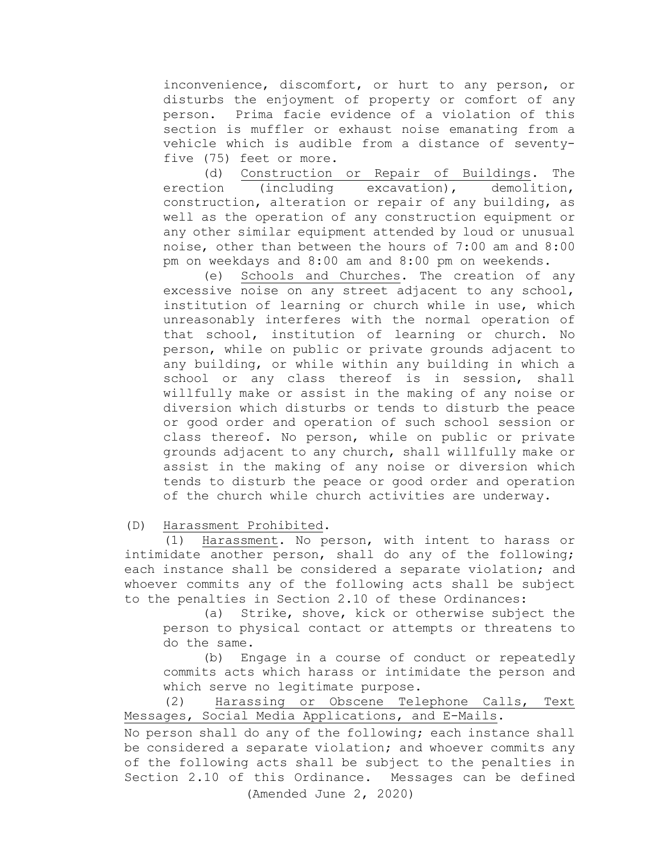inconvenience, discomfort, or hurt to any person, or disturbs the enjoyment of property or comfort of any person. Prima facie evidence of a violation of this section is muffler or exhaust noise emanating from a vehicle which is audible from a distance of seventyfive (75) feet or more.

(d) Construction or Repair of Buildings. The erection (including excavation), demolition, construction, alteration or repair of any building, as well as the operation of any construction equipment or any other similar equipment attended by loud or unusual noise, other than between the hours of 7:00 am and 8:00 pm on weekdays and 8:00 am and 8:00 pm on weekends.

(e) Schools and Churches. The creation of any excessive noise on any street adjacent to any school, institution of learning or church while in use, which unreasonably interferes with the normal operation of that school, institution of learning or church. No person, while on public or private grounds adjacent to any building, or while within any building in which a school or any class thereof is in session, shall willfully make or assist in the making of any noise or diversion which disturbs or tends to disturb the peace or good order and operation of such school session or class thereof. No person, while on public or private grounds adjacent to any church, shall willfully make or assist in the making of any noise or diversion which tends to disturb the peace or good order and operation of the church while church activities are underway.

## <span id="page-34-0"></span>(D) Harassment Prohibited.

(1) Harassment. No person, with intent to harass or intimidate another person, shall do any of the following; each instance shall be considered a separate violation; and whoever commits any of the following acts shall be subject to the penalties in Section 2.10 of these Ordinances:

(a) Strike, shove, kick or otherwise subject the person to physical contact or attempts or threatens to do the same.

(b) Engage in a course of conduct or repeatedly commits acts which harass or intimidate the person and which serve no legitimate purpose.

(2) Harassing or Obscene Telephone Calls, Text Messages, Social Media Applications, and E-Mails.

No person shall do any of the following; each instance shall be considered a separate violation; and whoever commits any of the following acts shall be subject to the penalties in Section 2.10 of this Ordinance. Messages can be defined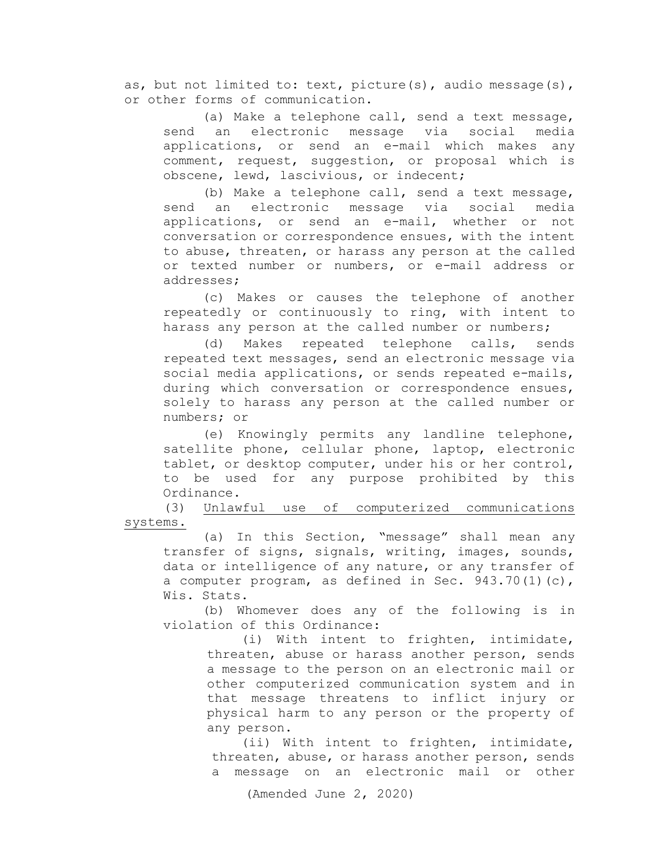as, but not limited to: text, picture(s), audio message(s), or other forms of communication.

(a) Make a telephone call, send a text message, send an electronic message via social media applications, or send an e-mail which makes any comment, request, suggestion, or proposal which is obscene, lewd, lascivious, or indecent;

(b) Make a telephone call, send a text message,<br>an electronic message via social media send an electronic message via applications, or send an e-mail, whether or not conversation or correspondence ensues, with the intent to abuse, threaten, or harass any person at the called or texted number or numbers, or e-mail address or addresses;

(c) Makes or causes the telephone of another repeatedly or continuously to ring, with intent to harass any person at the called number or numbers;

(d) Makes repeated telephone calls, sends repeated text messages, send an electronic message via social media applications, or sends repeated e-mails, during which conversation or correspondence ensues, solely to harass any person at the called number or numbers; or

(e) Knowingly permits any landline telephone, satellite phone, cellular phone, laptop, electronic tablet, or desktop computer, under his or her control, to be used for any purpose prohibited by this Ordinance.

(3) Unlawful use of computerized communications systems.

(a) In this Section, "message" shall mean any transfer of signs, signals, writing, images, sounds, data or intelligence of any nature, or any transfer of a computer program, as defined in Sec. 943.70(1)(c), Wis. Stats.

(b) Whomever does any of the following is in violation of this Ordinance:

> (i) With intent to frighten, intimidate, threaten, abuse or harass another person, sends a message to the person on an electronic mail or other computerized communication system and in that message threatens to inflict injury or physical harm to any person or the property of any person.

(ii) With intent to frighten, intimidate, threaten, abuse, or harass another person, sends a message on an electronic mail or other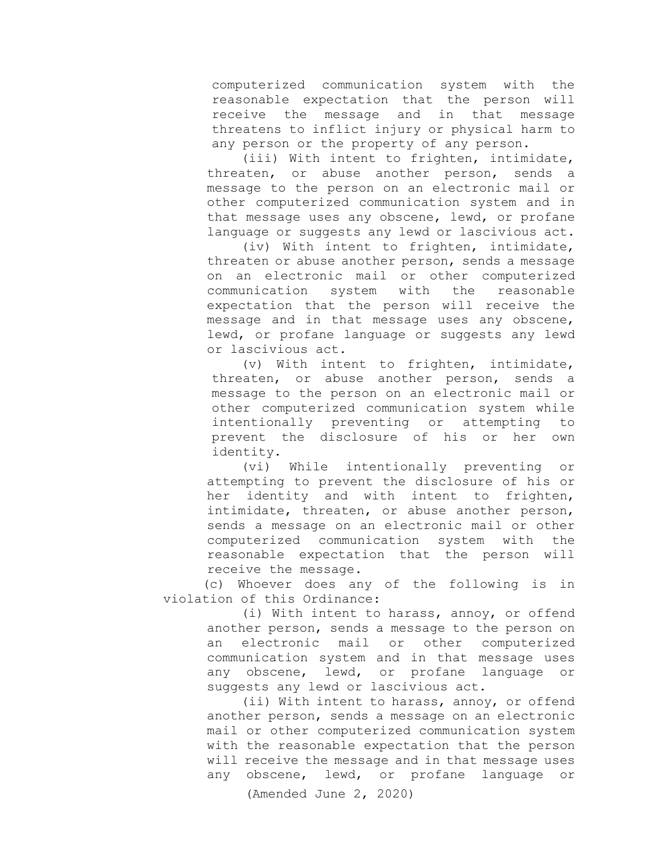computerized communication system with the reasonable expectation that the person will receive the message and in that message threatens to inflict injury or physical harm to any person or the property of any person.

(iii) With intent to frighten, intimidate, threaten, or abuse another person, sends a message to the person on an electronic mail or other computerized communication system and in that message uses any obscene, lewd, or profane language or suggests any lewd or lascivious act.

(iv) With intent to frighten, intimidate, threaten or abuse another person, sends a message on an electronic mail or other computerized<br>communication system with the reasonable communication system with the reasonable expectation that the person will receive the message and in that message uses any obscene, lewd, or profane language or suggests any lewd or lascivious act.

(v) With intent to frighten, intimidate, threaten, or abuse another person, sends a message to the person on an electronic mail or other computerized communication system while intentionally preventing or attempting to prevent the disclosure of his or her own identity.<br>(vi)

While intentionally preventing or attempting to prevent the disclosure of his or her identity and with intent to frighten, intimidate, threaten, or abuse another person, sends a message on an electronic mail or other<br>computerized communication system with the computerized communication reasonable expectation that the person will receive the message.

(c) Whoever does any of the following is in violation of this Ordinance:

> (i) With intent to harass, annoy, or offend another person, sends a message to the person on an electronic mail or other computerized communication system and in that message uses any obscene, lewd, or profane language or suggests any lewd or lascivious act.

> (ii) With intent to harass, annoy, or offend another person, sends a message on an electronic mail or other computerized communication system with the reasonable expectation that the person will receive the message and in that message uses any obscene, lewd, or profane language or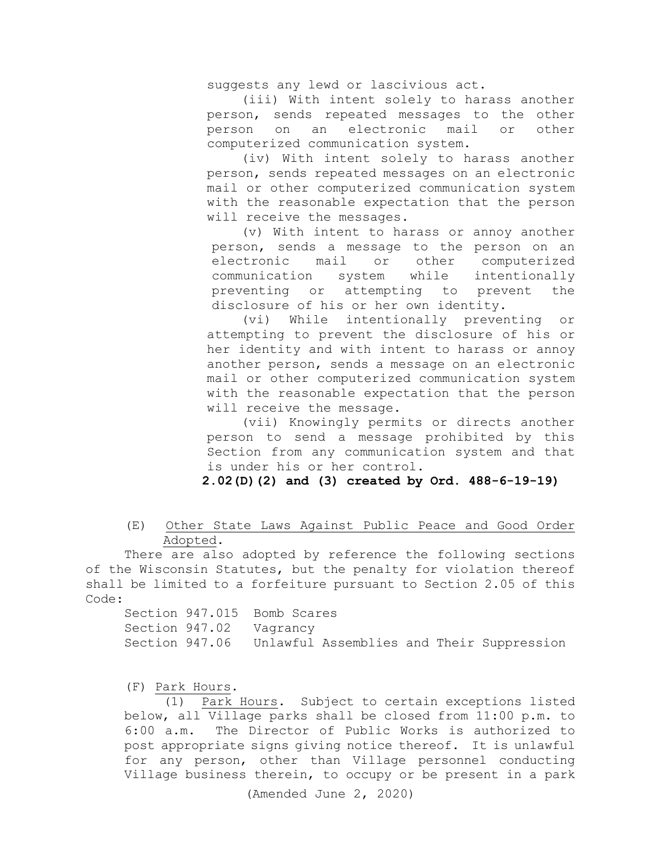suggests any lewd or lascivious act.

(iii) With intent solely to harass another person, sends repeated messages to the other person on an electronic mail or other computerized communication system.

(iv) With intent solely to harass another person, sends repeated messages on an electronic mail or other computerized communication system with the reasonable expectation that the person will receive the messages.

(v) With intent to harass or annoy another person, sends a message to the person on an<br>electronic mail or other computerized electronic mail or other<br>communication system while system while intentionally preventing or attempting to prevent the disclosure of his or her own identity.

(vi) While intentionally preventing or attempting to prevent the disclosure of his or her identity and with intent to harass or annoy another person, sends a message on an electronic mail or other computerized communication system with the reasonable expectation that the person will receive the message.

(vii) Knowingly permits or directs another person to send a message prohibited by this Section from any communication system and that is under his or her control.

**2.02(D)(2) and (3) created by Ord. 488-6-19-19)**

 (E) Other State Laws Against Public Peace and Good Order Adopted.

There are also adopted by reference the following sections of the Wisconsin Statutes, but the penalty for violation thereof shall be limited to a forfeiture pursuant to Section 2.05 of this Code:

|  | Section 947.015 Bomb Scares |  |  |  |                                                          |
|--|-----------------------------|--|--|--|----------------------------------------------------------|
|  | Section 947.02 Vagrancy     |  |  |  |                                                          |
|  |                             |  |  |  | Section 947.06 Unlawful Assemblies and Their Suppression |

(F) Park Hours.

(1) Park Hours. Subject to certain exceptions listed below, all Village parks shall be closed from 11:00 p.m. to 6:00 a.m. The Director of Public Works is authorized to post appropriate signs giving notice thereof. It is unlawful for any person, other than Village personnel conducting Village business therein, to occupy or be present in a park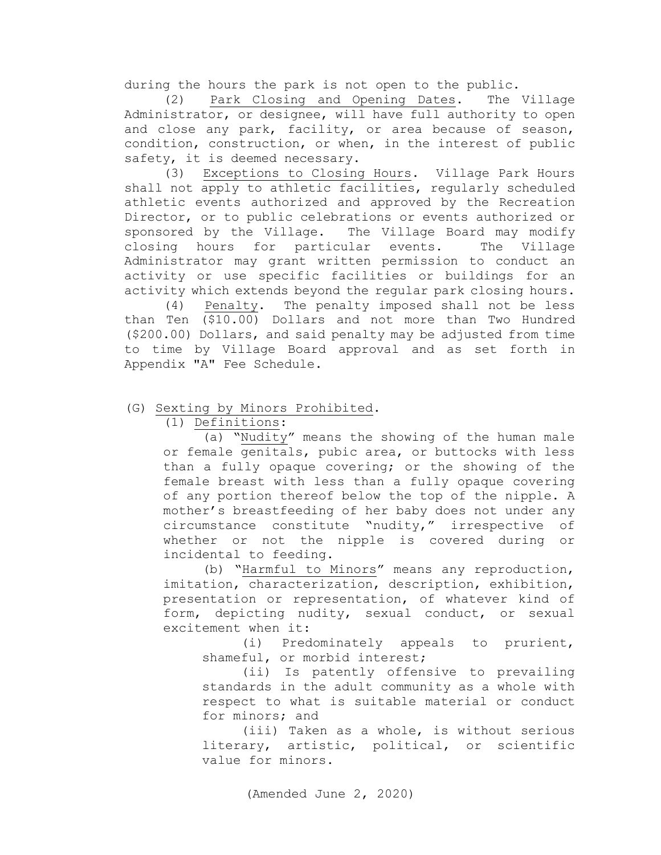during the hours the park is not open to the public.

(2) Park Closing and Opening Dates. The Village Administrator, or designee, will have full authority to open and close any park, facility, or area because of season, condition, construction, or when, in the interest of public safety, it is deemed necessary.

(3) Exceptions to Closing Hours. Village Park Hours shall not apply to athletic facilities, regularly scheduled athletic events authorized and approved by the Recreation Director, or to public celebrations or events authorized or sponsored by the Village. The Village Board may modify<br>closing hours for particular events. The Village closing hours for particular events. Administrator may grant written permission to conduct an activity or use specific facilities or buildings for an activity which extends beyond the regular park closing hours.

(4) Penalty. The penalty imposed shall not be less than Ten (\$10.00) Dollars and not more than Two Hundred (\$200.00) Dollars, and said penalty may be adjusted from time to time by Village Board approval and as set forth in Appendix "A" Fee Schedule.

# (G) Sexting by Minors Prohibited.

(1) Definitions:

(a) "Nudity" means the showing of the human male or female genitals, pubic area, or buttocks with less than a fully opaque covering; or the showing of the female breast with less than a fully opaque covering of any portion thereof below the top of the nipple. A mother's breastfeeding of her baby does not under any circumstance constitute "nudity," irrespective of whether or not the nipple is covered during or incidental to feeding.

(b) "Harmful to Minors" means any reproduction, imitation, characterization, description, exhibition, presentation or representation, of whatever kind of form, depicting nudity, sexual conduct, or sexual excitement when it:

(i) Predominately appeals to prurient, shameful, or morbid interest;

(ii) Is patently offensive to prevailing standards in the adult community as a whole with respect to what is suitable material or conduct for minors; and

(iii) Taken as a whole, is without serious literary, artistic, political, or scientific value for minors.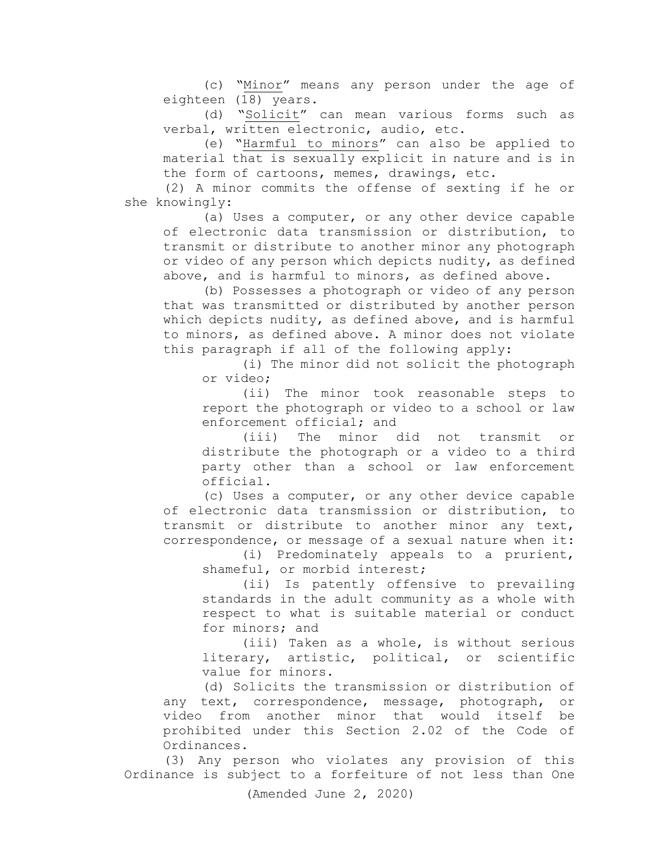(c) "Minor" means any person under the age of eighteen (18) years.

(d) "Solicit" can mean various forms such as verbal, written electronic, audio, etc.

(e) "Harmful to minors" can also be applied to material that is sexually explicit in nature and is in the form of cartoons, memes, drawings, etc.

(2) A minor commits the offense of sexting if he or she knowingly:

(a) Uses a computer, or any other device capable of electronic data transmission or distribution, to transmit or distribute to another minor any photograph or video of any person which depicts nudity, as defined above, and is harmful to minors, as defined above.

(b) Possesses a photograph or video of any person that was transmitted or distributed by another person which depicts nudity, as defined above, and is harmful to minors, as defined above. A minor does not violate this paragraph if all of the following apply:

(i) The minor did not solicit the photograph or video;

(ii) The minor took reasonable steps to report the photograph or video to a school or law enforcement official; and

(iii) The minor did not transmit or distribute the photograph or a video to a third party other than a school or law enforcement official.

(c) Uses a computer, or any other device capable of electronic data transmission or distribution, to transmit or distribute to another minor any text, correspondence, or message of a sexual nature when it:

(i) Predominately appeals to a prurient, shameful, or morbid interest;

(ii) Is patently offensive to prevailing standards in the adult community as a whole with respect to what is suitable material or conduct for minors; and

(iii) Taken as a whole, is without serious literary, artistic, political, or scientific value for minors.

(d) Solicits the transmission or distribution of any text, correspondence, message, photograph, or video from another minor that would itself be prohibited under this Section 2.02 of the Code of Ordinances.

(3) Any person who violates any provision of this Ordinance is subject to a forfeiture of not less than One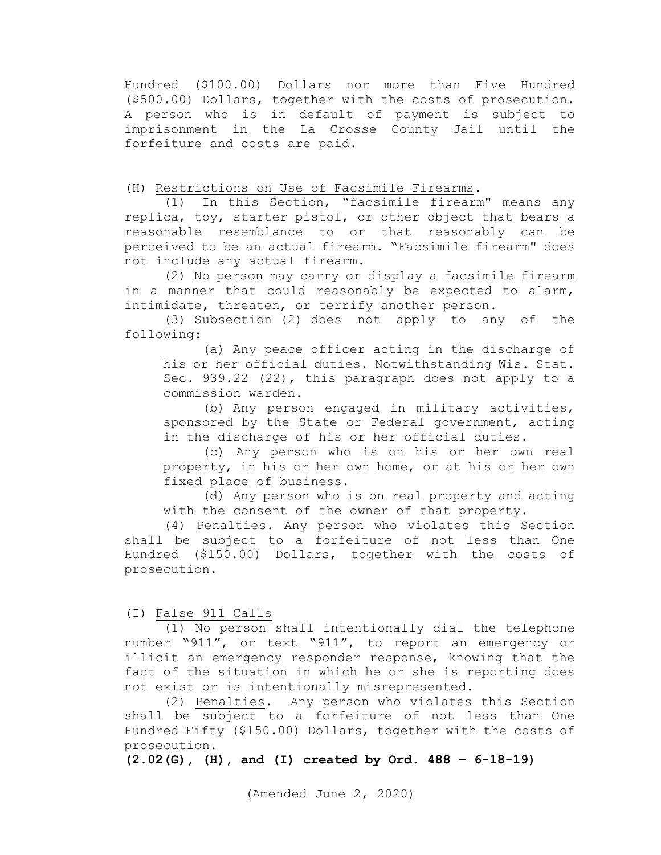Hundred (\$100.00) Dollars nor more than Five Hundred (\$500.00) Dollars, together with the costs of prosecution. A person who is in default of payment is subject to imprisonment in the La Crosse County Jail until the forfeiture and costs are paid.

(H) Restrictions on Use of Facsimile Firearms.

(1) In this Section, "facsimile firearm" means any replica, toy, starter pistol, or other object that bears a reasonable resemblance to or that reasonably can be perceived to be an actual firearm. "Facsimile firearm" does not include any actual firearm.

(2) No person may carry or display a facsimile firearm in a manner that could reasonably be expected to alarm, intimidate, threaten, or terrify another person.

(3) Subsection [\(2\)](http://docs.legis.wisconsin.gov/document/statutes/941.2965(2)) does not apply to any of the following:

(a) Any peace officer acting in the discharge of his or her official duties. Notwithstanding Wis. Stat. Sec. [939.22 \(22\),](http://docs.legis.wisconsin.gov/document/statutes/939.22(22)) this paragraph does not apply to a commission warden.

(b) Any person engaged in military activities, sponsored by the State or Federal government, acting in the discharge of his or her official duties.

(c) Any person who is on his or her own real property, in his or her own home, or at his or her own fixed place of business.

(d) Any person who is on real property and acting with the consent of the owner of that property.

(4) Penalties. Any person who violates this Section shall be subject to a forfeiture of not less than One Hundred (\$150.00) Dollars, together with the costs of prosecution.

(I) False 911 Calls

(1) No person shall intentionally dial the telephone number "911", or text "911", to report an emergency or illicit an emergency responder response, knowing that the fact of the situation in which he or she is reporting does not exist or is intentionally misrepresented.

(2) Penalties. Any person who violates this Section shall be subject to a forfeiture of not less than One Hundred Fifty (\$150.00) Dollars, together with the costs of prosecution.

**(2.02(G), (H), and (I) created by Ord. 488 – 6-18-19)**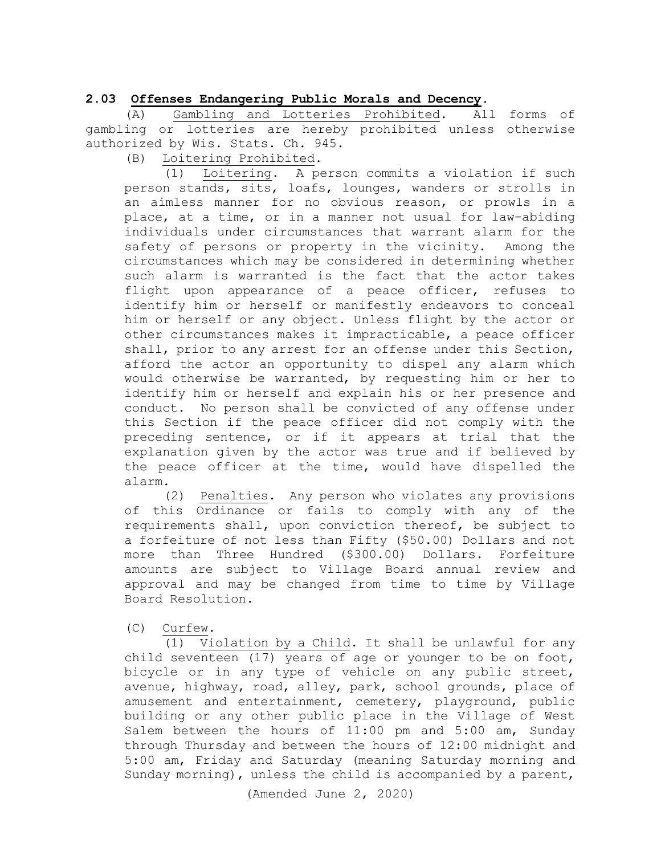2.03 Offenses Endangering Public Morals and Decency.<br>(A) Gambling and Lotteries Prohibited. All forms of (A) Gambling and Lotteries Prohibited. gambling or lotteries are hereby prohibited unless otherwise authorized by Wis. Stats. Ch. 945.

(B) Loitering Prohibited.

(1) Loitering. A person commits a violation if such person stands, sits, loafs, lounges, wanders or strolls in an aimless manner for no obvious reason, or prowls in a place, at a time, or in a manner not usual for law-abiding individuals under circumstances that warrant alarm for the safety of persons or property in the vicinity. Among the circumstances which may be considered in determining whether such alarm is warranted is the fact that the actor takes flight upon appearance of a peace officer, refuses to identify him or herself or manifestly endeavors to conceal him or herself or any object. Unless flight by the actor or other circumstances makes it impracticable, a peace officer shall, prior to any arrest for an offense under this Section, afford the actor an opportunity to dispel any alarm which would otherwise be warranted, by requesting him or her to identify him or herself and explain his or her presence and conduct. No person shall be convicted of any offense under this Section if the peace officer did not comply with the preceding sentence, or if it appears at trial that the explanation given by the actor was true and if believed by the peace officer at the time, would have dispelled the alarm.

(2) Penalties. Any person who violates any provisions of this Ordinance or fails to comply with any of the requirements shall, upon conviction thereof, be subject to a forfeiture of not less than Fifty (\$50.00) Dollars and not more than Three Hundred (\$300.00) Dollars. Forfeiture amounts are subject to Village Board annual review and approval and may be changed from time to time by Village Board Resolution.

(C) Curfew.

(1) Violation by a Child. It shall be unlawful for any child seventeen (17) years of age or younger to be on foot, bicycle or in any type of vehicle on any public street, avenue, highway, road, alley, park, school grounds, place of amusement and entertainment, cemetery, playground, public building or any other public place in the Village of West Salem between the hours of 11:00 pm and 5:00 am, Sunday through Thursday and between the hours of 12:00 midnight and 5:00 am, Friday and Saturday (meaning Saturday morning and Sunday morning), unless the child is accompanied by a parent,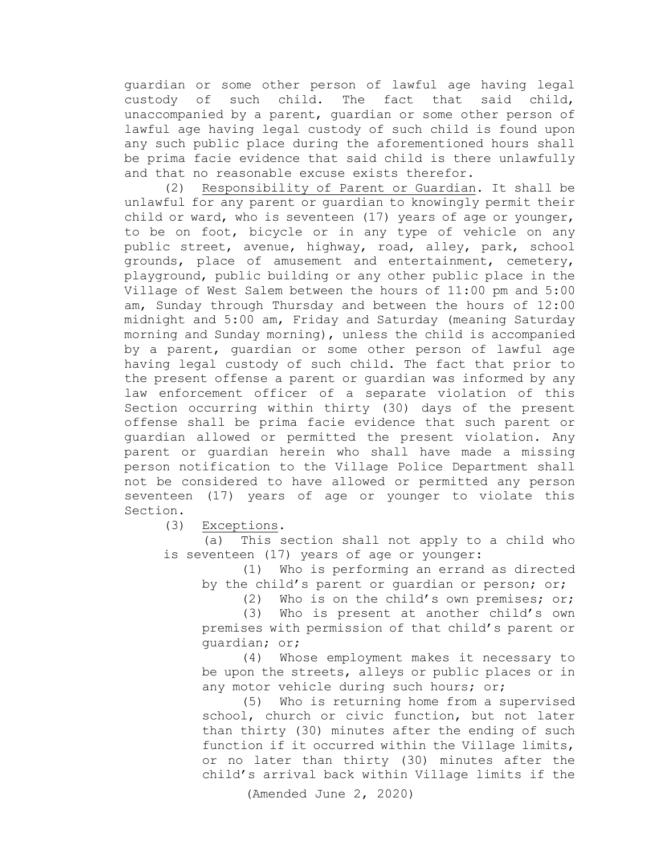guardian or some other person of lawful age having legal custody of such child. The fact that said child, unaccompanied by a parent, guardian or some other person of lawful age having legal custody of such child is found upon any such public place during the aforementioned hours shall be prima facie evidence that said child is there unlawfully and that no reasonable excuse exists therefor.

(2) Responsibility of Parent or Guardian. It shall be unlawful for any parent or guardian to knowingly permit their child or ward, who is seventeen (17) years of age or younger, to be on foot, bicycle or in any type of vehicle on any public street, avenue, highway, road, alley, park, school grounds, place of amusement and entertainment, cemetery, playground, public building or any other public place in the Village of West Salem between the hours of 11:00 pm and 5:00 am, Sunday through Thursday and between the hours of 12:00 midnight and 5:00 am, Friday and Saturday (meaning Saturday morning and Sunday morning), unless the child is accompanied by a parent, guardian or some other person of lawful age having legal custody of such child. The fact that prior to the present offense a parent or guardian was informed by any law enforcement officer of a separate violation of this Section occurring within thirty (30) days of the present offense shall be prima facie evidence that such parent or guardian allowed or permitted the present violation. Any parent or guardian herein who shall have made a missing person notification to the Village Police Department shall not be considered to have allowed or permitted any person seventeen (17) years of age or younger to violate this Section.

(3) Exceptions.

(a) This section shall not apply to a child who is seventeen (17) years of age or younger:

 (1) Who is performing an errand as directed by the child's parent or guardian or person; or;<br>(2) Who is on the child's own premises; or

Who is on the child's own premises; or;

 (3) Who is present at another child's own premises with permission of that child's parent or guardian; or;

 (4) Whose employment makes it necessary to be upon the streets, alleys or public places or in any motor vehicle during such hours; or;

(5) Who is returning home from a supervised school, church or civic function, but not later than thirty (30) minutes after the ending of such function if it occurred within the Village limits, or no later than thirty (30) minutes after the child's arrival back within Village limits if the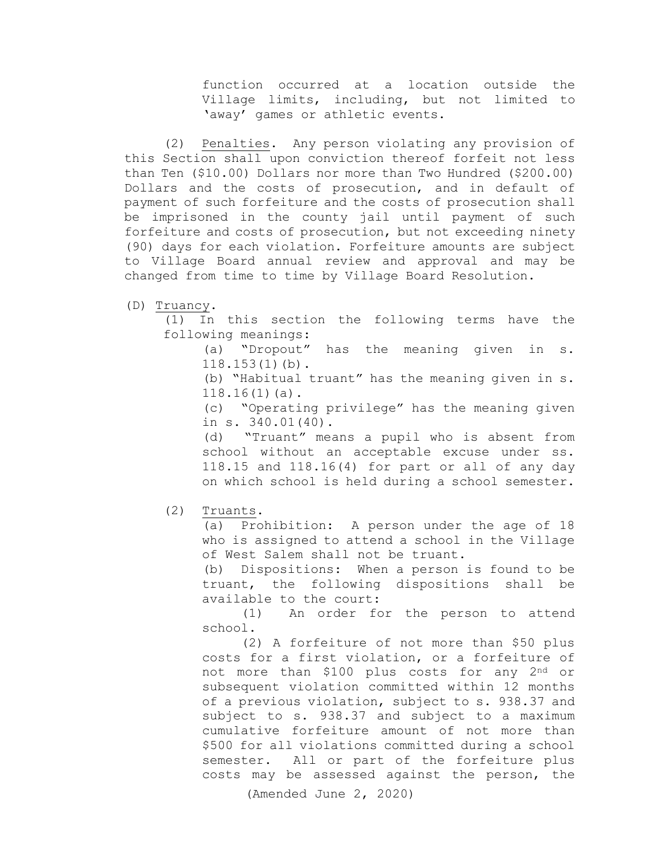function occurred at a location outside the Village limits, including, but not limited to 'away' games or athletic events.

 (2) Penalties. Any person violating any provision of this Section shall upon conviction thereof forfeit not less than Ten (\$10.00) Dollars nor more than Two Hundred (\$200.00) Dollars and the costs of prosecution, and in default of payment of such forfeiture and the costs of prosecution shall be imprisoned in the county jail until payment of such forfeiture and costs of prosecution, but not exceeding ninety (90) days for each violation. Forfeiture amounts are subject to Village Board annual review and approval and may be changed from time to time by Village Board Resolution.

(D) Truancy.

(1) In this section the following terms have the following meanings:

(a) "Dropout" has the meaning given in s. 118.153(1)(b).

(b) "Habitual truant" has the meaning given in s. 118.16(1)(a).

(c) "Operating privilege" has the meaning given in s. 340.01(40).

(d) "Truant" means a pupil who is absent from school without an acceptable excuse under ss. 118.15 and 118.16(4) for part or all of any day on which school is held during a school semester.

(2) Truants.

(a) Prohibition: A person under the age of 18 who is assigned to attend a school in the Village of West Salem shall not be truant.

(b) Dispositions: When a person is found to be truant, the following dispositions shall be available to the court:

(1) An order for the person to attend school.

(2) A forfeiture of not more than \$50 plus costs for a first violation, or a forfeiture of not more than \$100 plus costs for any 2nd or subsequent violation committed within 12 months of a previous violation, subject to s. 938.37 and subject to s. 938.37 and subject to a maximum cumulative forfeiture amount of not more than \$500 for all violations committed during a school semester. All or part of the forfeiture plus costs may be assessed against the person, the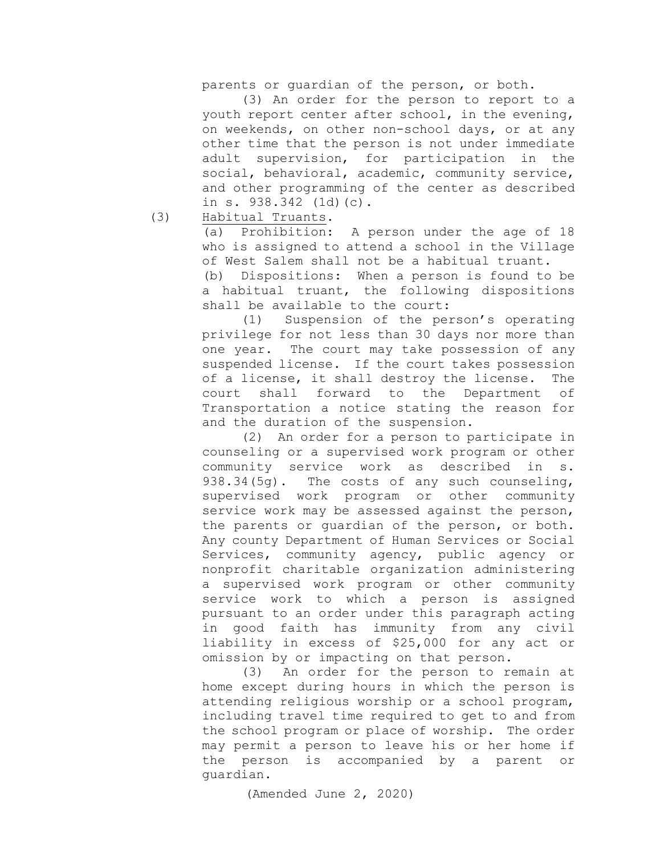parents or guardian of the person, or both.

(3) An order for the person to report to a youth report center after school, in the evening, on weekends, on other non-school days, or at any other time that the person is not under immediate adult supervision, for participation in the social, behavioral, academic, community service, and other programming of the center as described in s. 938.342 (1d)(c).

(3) Habitual Truants.

(a) Prohibition: A person under the age of 18 who is assigned to attend a school in the Village of West Salem shall not be a habitual truant.

(b) Dispositions: When a person is found to be a habitual truant, the following dispositions shall be available to the court:

 (1) Suspension of the person's operating privilege for not less than 30 days nor more than one year. The court may take possession of any suspended license. If the court takes possession of a license, it shall destroy the license. The<br>court shall forward to the Department of shall forward to the Department of Transportation a notice stating the reason for and the duration of the suspension.

 (2) An order for a person to participate in counseling or a supervised work program or other community service work as described in s.<br>938.34(5q). The costs of any such counseling, The costs of any such counseling, supervised work program or other community service work may be assessed against the person, the parents or guardian of the person, or both. Any county Department of Human Services or Social Services, community agency, public agency or nonprofit charitable organization administering a supervised work program or other community service work to which a person is assigned pursuant to an order under this paragraph acting in good faith has immunity from any civil liability in excess of \$25,000 for any act or

omission by or impacting on that person.<br>(3) An order for the person to re An order for the person to remain at home except during hours in which the person is attending religious worship or a school program, including travel time required to get to and from the school program or place of worship. The order may permit a person to leave his or her home if the person is accompanied by a parent or guardian.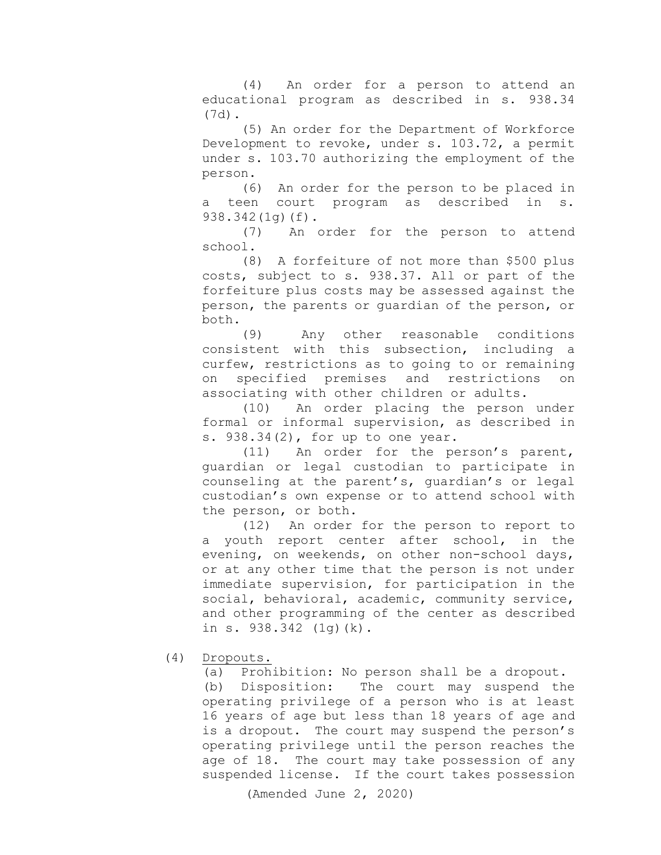(4) An order for a person to attend an educational program as described in s. 938.34 (7d).

(5) An order for the Department of Workforce Development to revoke, under s. 103.72, a permit under s. 103.70 authorizing the employment of the person.

(6) An order for the person to be placed in<br>en court program as described in s. a teen court program as described in s. 938.342(1g)(f).

(7) An order for the person to attend school.

(8) A forfeiture of not more than \$500 plus costs, subject to s. 938.37. All or part of the forfeiture plus costs may be assessed against the person, the parents or guardian of the person, or both.<br> $(9)$ 

Any other reasonable conditions consistent with this subsection, including a curfew, restrictions as to going to or remaining on specified premises and restrictions on associating with other children or adults.

(10) An order placing the person under formal or informal supervision, as described in s. 938.34(2), for up to one year.

(11) An order for the person's parent, guardian or legal custodian to participate in counseling at the parent's, guardian's or legal custodian's own expense or to attend school with the person, or both.

(12) An order for the person to report to a youth report center after school, in the evening, on weekends, on other non-school days, or at any other time that the person is not under immediate supervision, for participation in the social, behavioral, academic, community service, and other programming of the center as described in s. 938.342 (1g)(k).

(4) Dropouts.

(a) Prohibition: No person shall be a dropout. (b) Disposition: The court may suspend the operating privilege of a person who is at least 16 years of age but less than 18 years of age and is a dropout. The court may suspend the person's operating privilege until the person reaches the age of 18. The court may take possession of any suspended license. If the court takes possession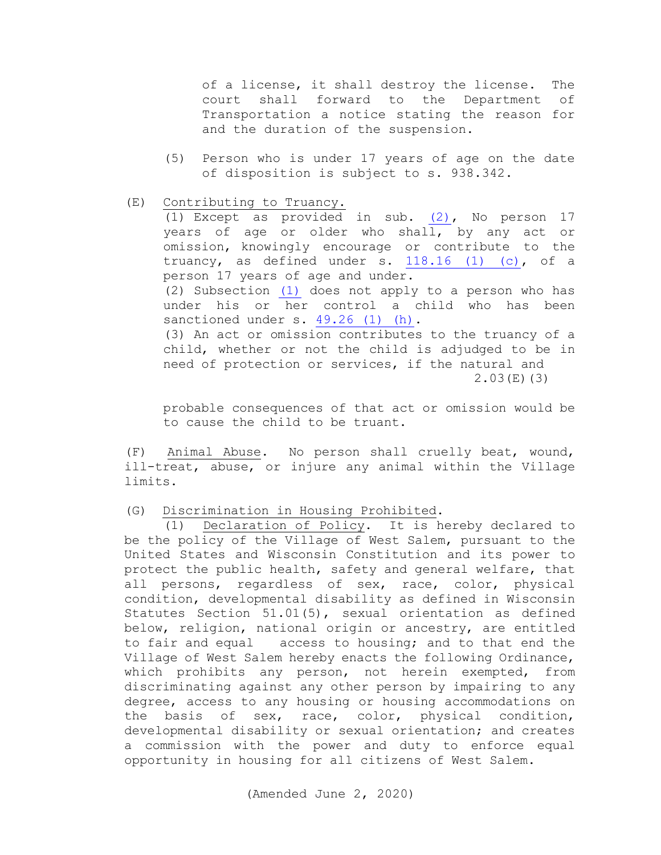of a license, it shall destroy the license. The court shall forward to the Department of Transportation a notice stating the reason for and the duration of the suspension.

- (5) Person who is under 17 years of age on the date of disposition is subject to s. 938.342.
- (E) Contributing to Truancy.

(1) Except as provided in sub. [\(2\),](http://docs.legis.wi.gov/document/statutes/948.45(2)) No person 17 years of age or older who shall, by any act or omission, knowingly encourage or contribute to the truancy, as defined under s. [118.16 \(1\) \(c\),](http://docs.legis.wi.gov/document/statutes/118.16(1)(c)) of a person 17 years of age and under. (2) Subsection [\(1\)](http://docs.legis.wi.gov/document/statutes/948.45(1)) does not apply to a person who has under his or her control a child who has been sanctioned under s. [49.26 \(1\) \(h\).](http://docs.legis.wi.gov/document/statutes/49.26(1)(h)) (3) An act or omission contributes to the truancy of a child, whether or not the child is adjudged to be in need of protection or services, if the natural and 2.03(E)(3)

probable consequences of that act or omission would be to cause the child to be truant.

(F) Animal Abuse. No person shall cruelly beat, wound, ill-treat, abuse, or injure any animal within the Village limits.

### (G) Discrimination in Housing Prohibited.

 (1) Declaration of Policy. It is hereby declared to be the policy of the Village of West Salem, pursuant to the United States and Wisconsin Constitution and its power to protect the public health, safety and general welfare, that all persons, regardless of sex, race, color, physical condition, developmental disability as defined in Wisconsin Statutes Section 51.01(5), sexual orientation as defined below, religion, national origin or ancestry, are entitled to fair and equal access to housing; and to that end the Village of West Salem hereby enacts the following Ordinance, which prohibits any person, not herein exempted, from discriminating against any other person by impairing to any degree, access to any housing or housing accommodations on the basis of sex, race, color, physical condition, developmental disability or sexual orientation; and creates a commission with the power and duty to enforce equal opportunity in housing for all citizens of West Salem.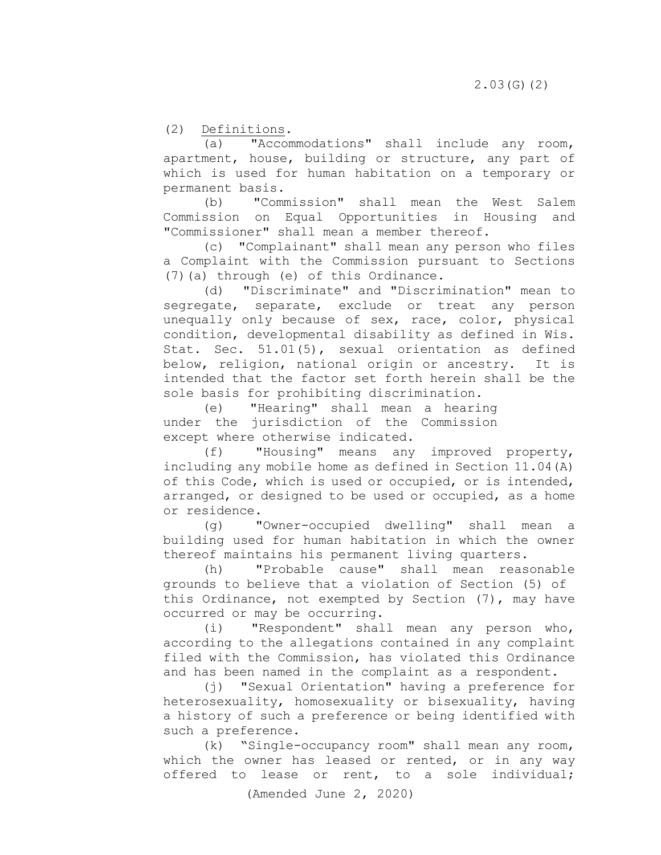(2) Definitions.<br>(a) "Accon

"Accommodations" shall include any room, apartment, house, building or structure, any part of which is used for human habitation on a temporary or permanent basis.

 (b) "Commission" shall mean the West Salem Commission on Equal Opportunities in Housing and "Commissioner" shall mean a member thereof.

(c) "Complainant" shall mean any person who files a Complaint with the Commission pursuant to Sections (7)(a) through (e) of this Ordinance.

(d) "Discriminate" and "Discrimination" mean to segregate, separate, exclude or treat any person unequally only because of sex, race, color, physical condition, developmental disability as defined in Wis. Stat. Sec. 51.01(5), sexual orientation as defined below, religion, national origin or ancestry. It is intended that the factor set forth herein shall be the sole basis for prohibiting discrimination.

 (e) "Hearing" shall mean a hearing under the jurisdiction of the Commission except where otherwise indicated.<br>(f) "Housing" means any

"Housing" means any improved property, including any mobile home as defined in Section 11.04(A) of this Code, which is used or occupied, or is intended, arranged, or designed to be used or occupied, as a home or residence.

(g) "Owner-occupied dwelling" shall mean a building used for human habitation in which the owner thereof maintains his permanent living quarters.<br>(h) "Probable cause" shall mean reas

 (h) "Probable cause" shall mean reasonable grounds to believe that a violation of Section (5) of this Ordinance, not exempted by Section (7), may have occurred or may be occurring.

 (i) "Respondent" shall mean any person who, according to the allegations contained in any complaint filed with the Commission, has violated this Ordinance and has been named in the complaint as a respondent.

 (j) "Sexual Orientation" having a preference for heterosexuality, homosexuality or bisexuality, having a history of such a preference or being identified with such a preference.

 (k) "Single-occupancy room" shall mean any room, which the owner has leased or rented, or in any way offered to lease or rent, to a sole individual;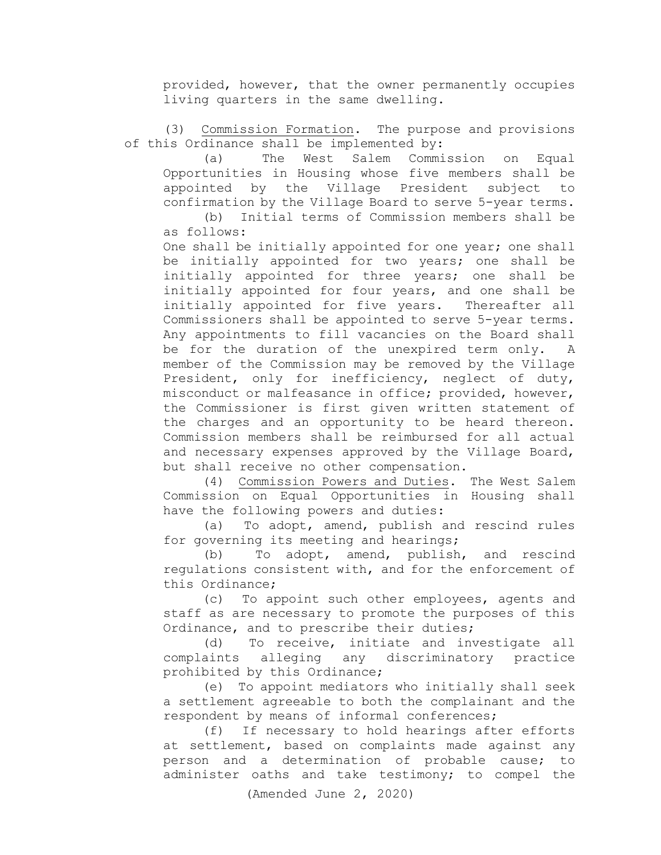provided, however, that the owner permanently occupies living quarters in the same dwelling.

(3) Commission Formation. The purpose and provisions of this Ordinance shall be implemented by:

 (a) The West Salem Commission on Equal Opportunities in Housing whose five members shall be appointed by the Village President subject to confirmation by the Village Board to serve 5-year terms.

 (b) Initial terms of Commission members shall be as follows:

 One shall be initially appointed for one year; one shall be initially appointed for two years; one shall be initially appointed for three years; one shall be initially appointed for four years, and one shall be initially appointed for five years. Thereafter all Commissioners shall be appointed to serve 5-year terms. Any appointments to fill vacancies on the Board shall be for the duration of the unexpired term only. A member of the Commission may be removed by the Village President, only for inefficiency, neglect of duty, misconduct or malfeasance in office; provided, however, the Commissioner is first given written statement of the charges and an opportunity to be heard thereon. Commission members shall be reimbursed for all actual and necessary expenses approved by the Village Board, but shall receive no other compensation.

 (4) Commission Powers and Duties. The West Salem Commission on Equal Opportunities in Housing shall have the following powers and duties:

 (a) To adopt, amend, publish and rescind rules for governing its meeting and hearings;

(b) To adopt, amend, publish, and rescind regulations consistent with, and for the enforcement of this Ordinance;

 (c) To appoint such other employees, agents and staff as are necessary to promote the purposes of this Ordinance, and to prescribe their duties;

(d) To receive, initiate and investigate all complaints alleging any discriminatory practice prohibited by this Ordinance;

 (e) To appoint mediators who initially shall seek a settlement agreeable to both the complainant and the respondent by means of informal conferences;

(f) If necessary to hold hearings after efforts at settlement, based on complaints made against any person and a determination of probable cause; to administer oaths and take testimony; to compel the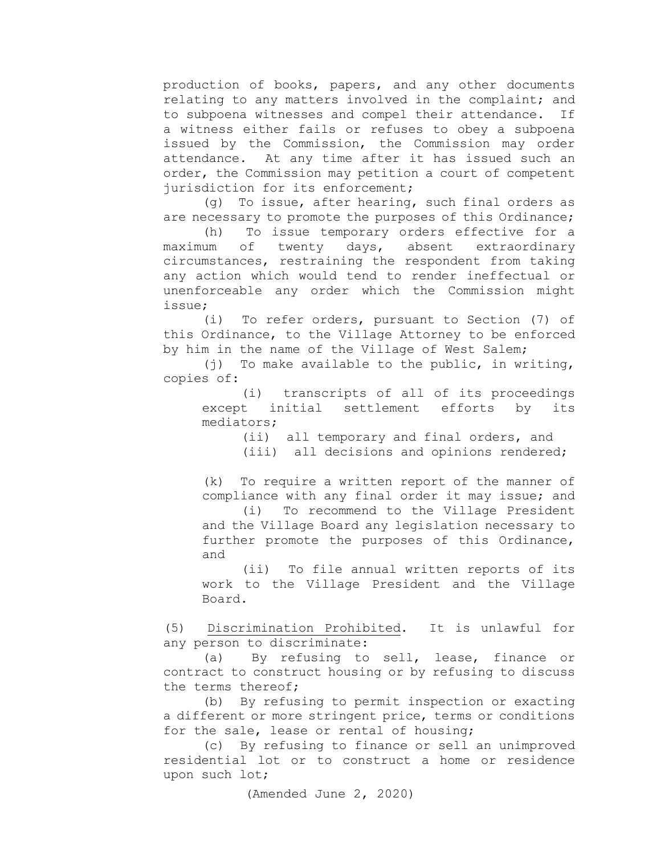production of books, papers, and any other documents relating to any matters involved in the complaint; and<br>to subpoena witnesses and compel their attendance. If to subpoena witnesses and compel their attendance. a witness either fails or refuses to obey a subpoena issued by the Commission, the Commission may order attendance. At any time after it has issued such an order, the Commission may petition a court of competent jurisdiction for its enforcement;

 (g) To issue, after hearing, such final orders as are necessary to promote the purposes of this Ordinance;

(h) To issue temporary orders effective for a<br>um of twenty days, absent extraordinary maximum of twenty circumstances, restraining the respondent from taking any action which would tend to render ineffectual or unenforceable any order which the Commission might issue;

 (i) To refer orders, pursuant to Section (7) of this Ordinance, to the Village Attorney to be enforced by him in the name of the Village of West Salem;

 (j) To make available to the public, in writing, copies of:

 (i) transcripts of all of its proceedings except initial settlement efforts by its mediators;

> (ii) all temporary and final orders, and (iii) all decisions and opinions rendered;

 (k) To require a written report of the manner of compliance with any final order it may issue; and

 (i) To recommend to the Village President and the Village Board any legislation necessary to further promote the purposes of this Ordinance, and

 (ii) To file annual written reports of its work to the Village President and the Village Board.

 (5) Discrimination Prohibited. It is unlawful for any person to discriminate:

 (a) By refusing to sell, lease, finance or contract to construct housing or by refusing to discuss the terms thereof;

(b) By refusing to permit inspection or exacting a different or more stringent price, terms or conditions for the sale, lease or rental of housing;

 (c) By refusing to finance or sell an unimproved residential lot or to construct a home or residence upon such lot;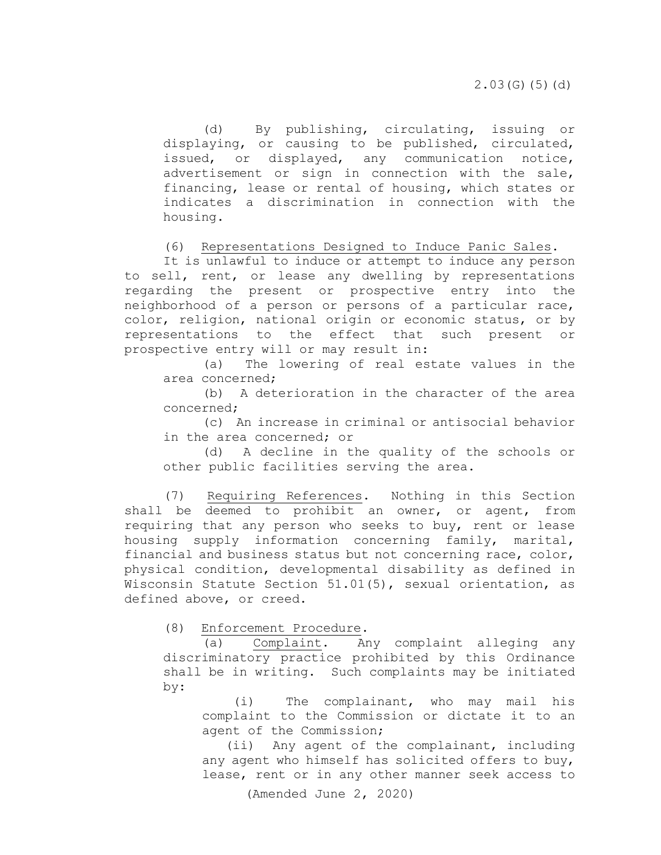(d) By publishing, circulating, issuing or displaying, or causing to be published, circulated, issued, or displayed, any communication notice, advertisement or sign in connection with the sale, financing, lease or rental of housing, which states or indicates a discrimination in connection with the housing.

(6) Representations Designed to Induce Panic Sales.

 It is unlawful to induce or attempt to induce any person to sell, rent, or lease any dwelling by representations regarding the present or prospective entry into the neighborhood of a person or persons of a particular race, color, religion, national origin or economic status, or by representations to the effect that such present or prospective entry will or may result in:

 (a) The lowering of real estate values in the area concerned;

 (b) A deterioration in the character of the area concerned;

 (c) An increase in criminal or antisocial behavior in the area concerned; or

(d) A decline in the quality of the schools or other public facilities serving the area.

 (7) Requiring References. Nothing in this Section shall be deemed to prohibit an owner, or agent, from requiring that any person who seeks to buy, rent or lease housing supply information concerning family, marital, financial and business status but not concerning race, color, physical condition, developmental disability as defined in Wisconsin Statute Section 51.01(5), sexual orientation, as defined above, or creed.

(8) Enforcement Procedure.

 (a) Complaint. Any complaint alleging any discriminatory practice prohibited by this Ordinance shall be in writing. Such complaints may be initiated by:

 (i) The complainant, who may mail his complaint to the Commission or dictate it to an agent of the Commission;

 (ii) Any agent of the complainant, including any agent who himself has solicited offers to buy, lease, rent or in any other manner seek access to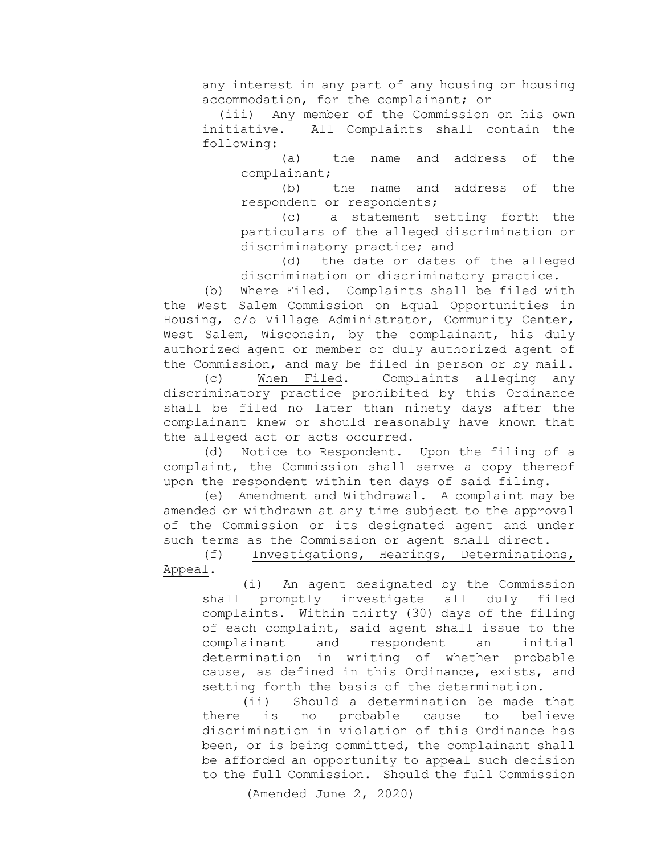any interest in any part of any housing or housing accommodation, for the complainant; or<br>(iii) Anv member of the Commission

Any member of the Commission on his own initiative. All Complaints shall contain the following:

 (a) the name and address of the complainant;

 (b) the name and address of the respondent or respondents;

 (c) a statement setting forth the particulars of the alleged discrimination or discriminatory practice; and<br>(d) the date or dates

the date or dates of the alleged discrimination or discriminatory practice.

 (b) Where Filed. Complaints shall be filed with the West Salem Commission on Equal Opportunities in Housing, c/o Village Administrator, Community Center, West Salem, Wisconsin, by the complainant, his duly authorized agent or member or duly authorized agent of

the Commission, and may be filed in person or by mail.<br>(c) When Filed. Complaints alleging any (c) When Filed. Complaints alleging any discriminatory practice prohibited by this Ordinance shall be filed no later than ninety days after the complainant knew or should reasonably have known that the alleged act or acts occurred.

(d) Notice to Respondent. Upon the filing of a complaint, the Commission shall serve a copy thereof upon the respondent within ten days of said filing.

 (e) Amendment and Withdrawal. A complaint may be amended or withdrawn at any time subject to the approval of the Commission or its designated agent and under such terms as the Commission or agent shall direct.<br>(f) Investigations, Hearings, Determination

Investigations, Hearings, Determinations, Appeal.

 (i) An agent designated by the Commission shall promptly investigate all duly filed complaints. Within thirty (30) days of the filing of each complaint, said agent shall issue to the<br>complainant and respondent an initial complainant and respondent an initial determination in writing of whether probable cause, as defined in this Ordinance, exists, and setting forth the basis of the determination.<br>(ii) Should a determination be made

Should a determination be made that<br>no probable cause to believe there is no probable cause to discrimination in violation of this Ordinance has been, or is being committed, the complainant shall be afforded an opportunity to appeal such decision to the full Commission. Should the full Commission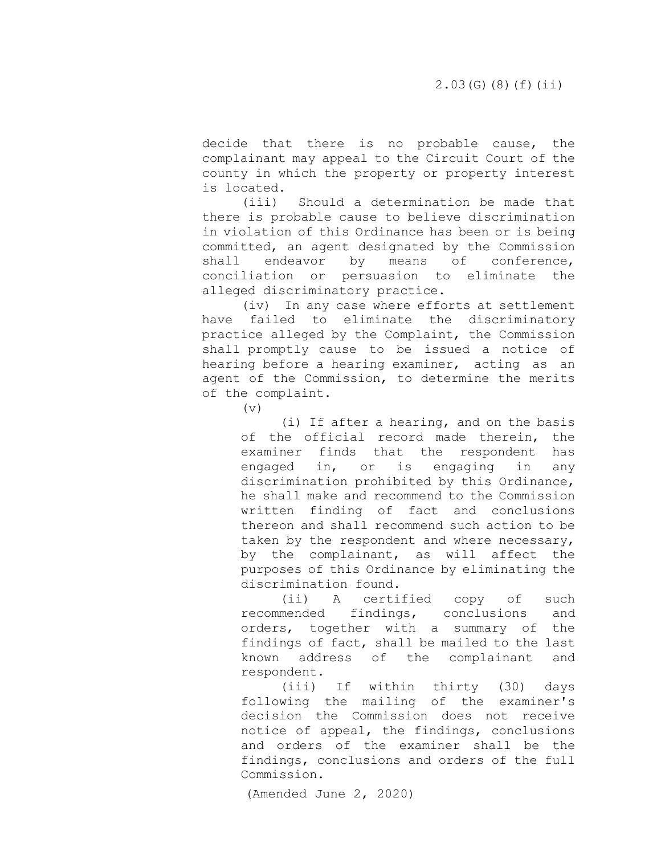decide that there is no probable cause, the complainant may appeal to the Circuit Court of the county in which the property or property interest is located.<br>(iii)

Should a determination be made that there is probable cause to believe discrimination in violation of this Ordinance has been or is being committed, an agent designated by the Commission<br>shall endeavor by means of conference, endeavor by means of conference, conciliation or persuasion to eliminate the alleged discriminatory practice.

(iv) In any case where efforts at settlement have failed to eliminate the discriminatory practice alleged by the Complaint, the Commission shall promptly cause to be issued a notice of hearing before a hearing examiner, acting as an agent of the Commission, to determine the merits of the complaint.

 $(\triangledown)$ 

(i) If after a hearing, and on the basis of the official record made therein, the examiner finds that the respondent has engaged in, or is engaging in any discrimination prohibited by this Ordinance, he shall make and recommend to the Commission written finding of fact and conclusions thereon and shall recommend such action to be taken by the respondent and where necessary, by the complainant, as will affect the purposes of this Ordinance by eliminating the

discrimination found.<br>(ii) A certi A certified copy of such recommended findings, conclusions and orders, together with a summary of the findings of fact, shall be mailed to the last known address of the complainant and respondent.

(iii) If within thirty (30) days following the mailing of the examiner's decision the Commission does not receive notice of appeal, the findings, conclusions and orders of the examiner shall be the findings, conclusions and orders of the full Commission.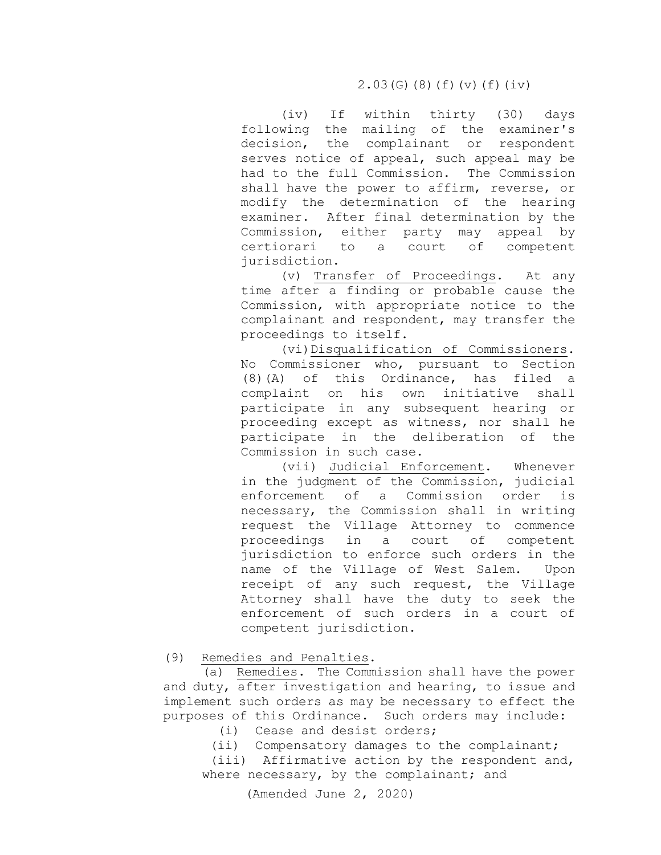(iv) If within thirty (30) days following the mailing of the examiner's decision, the complainant or respondent serves notice of appeal, such appeal may be had to the full Commission. The Commission shall have the power to affirm, reverse, or modify the determination of the hearing examiner. After final determination by the Commission, either party may appeal by certiorari to a court of competent jurisdiction.

 (v) Transfer of Proceedings. At any time after a finding or probable cause the Commission, with appropriate notice to the complainant and respondent, may transfer the proceedings to itself.

 (vi)Disqualification of Commissioners. No Commissioner who, pursuant to Section  $(8)$  (A) of this Ordinance, has filed a<br>complaint on his own initiative shall complaint on his own initiative participate in any subsequent hearing or proceeding except as witness, nor shall he participate in the deliberation of the Commission in such case.

 (vii) Judicial Enforcement. Whenever in the judgment of the Commission, judicial enforcement of a Commission order is necessary, the Commission shall in writing request the Village Attorney to commence proceedings in a court of competent jurisdiction to enforce such orders in the<br>name of the Village of West Salem. Upon name of the Village of West Salem. receipt of any such request, the Village Attorney shall have the duty to seek the enforcement of such orders in a court of competent jurisdiction.

(9) Remedies and Penalties.

 (a) Remedies. The Commission shall have the power and duty, after investigation and hearing, to issue and implement such orders as may be necessary to effect the purposes of this Ordinance. Such orders may include:

(i) Cease and desist orders;

(ii) Compensatory damages to the complainant;

 (iii) Affirmative action by the respondent and, where necessary, by the complainant; and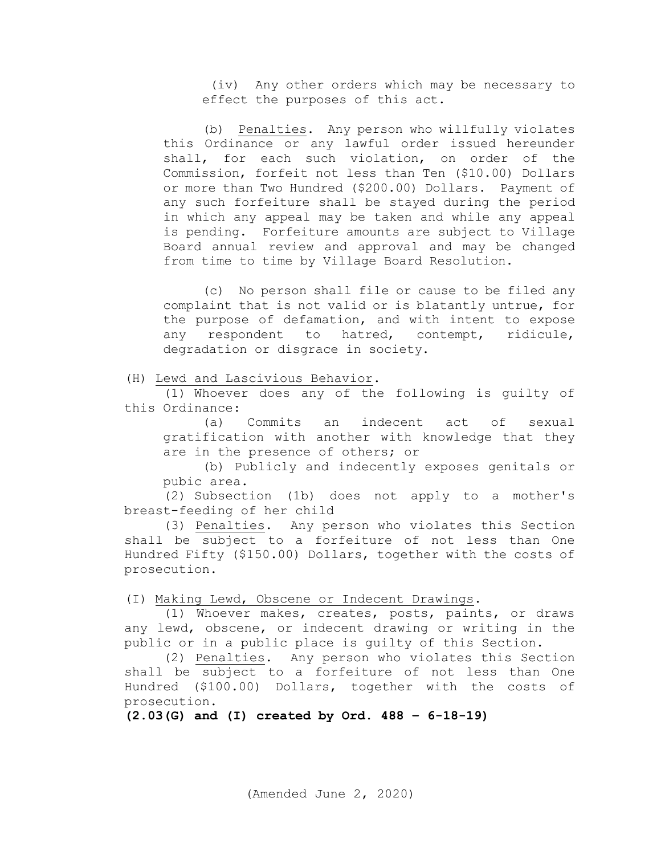(iv) Any other orders which may be necessary to effect the purposes of this act.

 (b) Penalties. Any person who willfully violates this Ordinance or any lawful order issued hereunder shall, for each such violation, on order of the Commission, forfeit not less than Ten (\$10.00) Dollars or more than Two Hundred (\$200.00) Dollars. Payment of any such forfeiture shall be stayed during the period in which any appeal may be taken and while any appeal is pending. Forfeiture amounts are subject to Village Board annual review and approval and may be changed from time to time by Village Board Resolution.

 (c) No person shall file or cause to be filed any complaint that is not valid or is blatantly untrue, for the purpose of defamation, and with intent to expose<br>any respondent to hatred, contempt, ridicule, any respondent to hatred, degradation or disgrace in society.

(H) Lewd and Lascivious Behavior.

(1) Whoever does any of the following is guilty of this Ordinance:

(a) Commits an indecent act of sexual gratification with another with knowledge that they are in the presence of others; or

(b) Publicly and indecently exposes genitals or pubic area.

(2) Subsection [\(1b\)](https://docs.legis.wisconsin.gov/document/statutes/2003/944.20(1)) does not apply to a mother's breast-feeding of her child

(3) Penalties. Any person who violates this Section shall be subject to a forfeiture of not less than One Hundred Fifty (\$150.00) Dollars, together with the costs of prosecution.

(I) Making Lewd, Obscene or Indecent Drawings.

(1) Whoever makes, creates, posts, paints, or draws any lewd, obscene, or indecent drawing or writing in the public or in a public place is guilty of this Section.

(2) Penalties. Any person who violates this Section shall be subject to a forfeiture of not less than One Hundred (\$100.00) Dollars, together with the costs of prosecution.

**(2.03(G) and (I) created by Ord. 488 – 6-18-19)**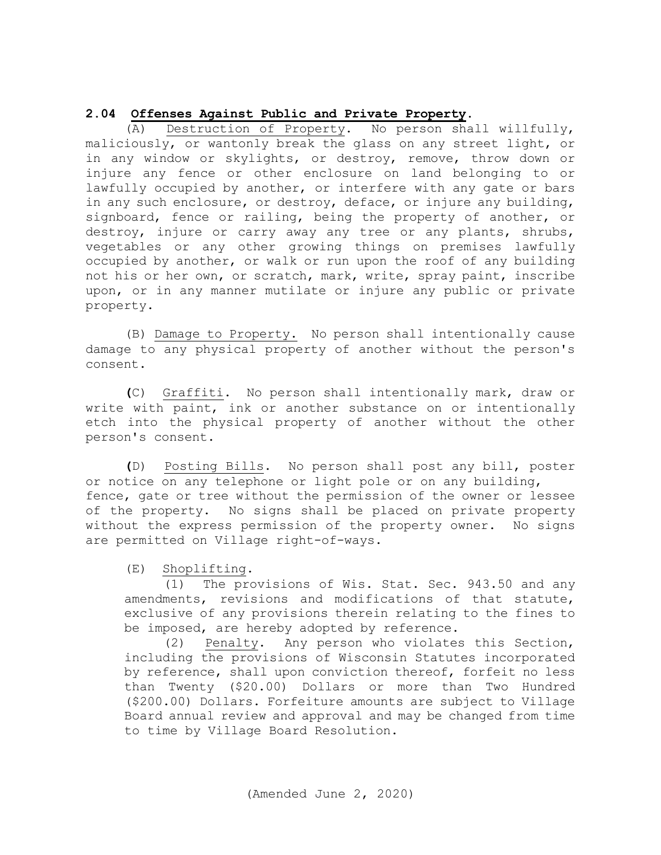## **2.04 Offenses Against Public and Private Property.**

(A) Destruction of Property**.** No person shall willfully, maliciously, or wantonly break the glass on any street light, or in any window or skylights, or destroy, remove, throw down or injure any fence or other enclosure on land belonging to or lawfully occupied by another, or interfere with any gate or bars in any such enclosure, or destroy, deface, or injure any building, signboard, fence or railing, being the property of another, or destroy, injure or carry away any tree or any plants, shrubs, vegetables or any other growing things on premises lawfully occupied by another, or walk or run upon the roof of any building not his or her own, or scratch, mark, write, spray paint, inscribe upon, or in any manner mutilate or injure any public or private property.

(B) Damage to Property**.** No person shall intentionally cause damage to any physical property of another without the person's consent.

**(**C) Graffiti. No person shall intentionally mark, draw or write with paint, ink or another substance on or intentionally etch into the physical property of another without the other person's consent.

**(**D) Posting Bills**.** No person shall post any bill, poster or notice on any telephone or light pole or on any building, fence, gate or tree without the permission of the owner or lessee of the property. No signs shall be placed on private property without the express permission of the property owner. No signs are permitted on Village right-of-ways.

(E) Shoplifting**.**

(1) The provisions of Wis. Stat. Sec. 943.50 and any amendments, revisions and modifications of that statute, exclusive of any provisions therein relating to the fines to be imposed, are hereby adopted by reference.

 (2) Penalty. Any person who violates this Section, including the provisions of Wisconsin Statutes incorporated by reference, shall upon conviction thereof, forfeit no less than Twenty (\$20.00) Dollars or more than Two Hundred (\$200.00) Dollars. Forfeiture amounts are subject to Village Board annual review and approval and may be changed from time to time by Village Board Resolution.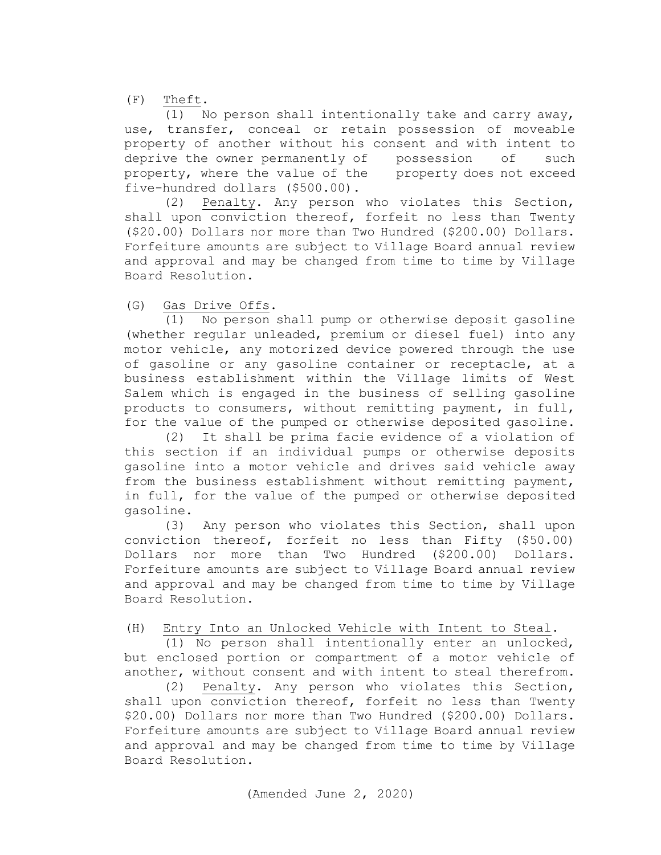(F) Theft.

(1) No person shall intentionally take and carry away, use, transfer, conceal or retain possession of moveable property of another without his consent and with intent to deprive the owner permanently of possession of such property, where the value of the property does not exceed five-hundred dollars (\$500.00).

 (2) Penalty. Any person who violates this Section, shall upon conviction thereof, forfeit no less than Twenty (\$20.00) Dollars nor more than Two Hundred (\$200.00) Dollars. Forfeiture amounts are subject to Village Board annual review and approval and may be changed from time to time by Village Board Resolution.

(G) Gas Drive Offs.

 (1) No person shall pump or otherwise deposit gasoline (whether regular unleaded, premium or diesel fuel) into any motor vehicle, any motorized device powered through the use of gasoline or any gasoline container or receptacle, at a business establishment within the Village limits of West Salem which is engaged in the business of selling gasoline products to consumers, without remitting payment, in full, for the value of the pumped or otherwise deposited gasoline.

 (2) It shall be prima facie evidence of a violation of this section if an individual pumps or otherwise deposits gasoline into a motor vehicle and drives said vehicle away from the business establishment without remitting payment, in full, for the value of the pumped or otherwise deposited gasoline.

 (3) Any person who violates this Section, shall upon conviction thereof, forfeit no less than Fifty (\$50.00) Dollars nor more than Two Hundred (\$200.00) Dollars. Forfeiture amounts are subject to Village Board annual review and approval and may be changed from time to time by Village Board Resolution.

## (H) Entry Into an Unlocked Vehicle with Intent to Steal.

 (1) No person shall intentionally enter an unlocked, but enclosed portion or compartment of a motor vehicle of another, without consent and with intent to steal therefrom.

 (2) Penalty. Any person who violates this Section, shall upon conviction thereof, forfeit no less than Twenty \$20.00) Dollars nor more than Two Hundred (\$200.00) Dollars. Forfeiture amounts are subject to Village Board annual review and approval and may be changed from time to time by Village Board Resolution.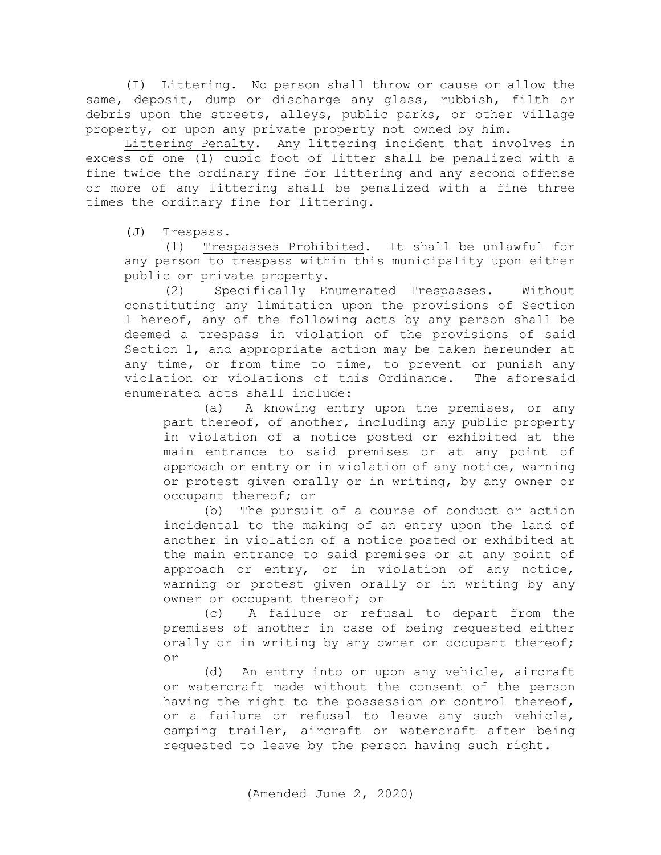(I) Littering. No person shall throw or cause or allow the same, deposit, dump or discharge any glass, rubbish, filth or debris upon the streets, alleys, public parks, or other Village property, or upon any private property not owned by him.

Littering Penalty. Any littering incident that involves in excess of one (1) cubic foot of litter shall be penalized with a fine twice the ordinary fine for littering and any second offense or more of any littering shall be penalized with a fine three times the ordinary fine for littering.

(J)  $\frac{\text{Trespass}}{\text{(1) Tres}}$ 

Trespasses Prohibited. It shall be unlawful for any person to trespass within this municipality upon either public or private property.

 (2) Specifically Enumerated Trespasses. Without constituting any limitation upon the provisions of Section 1 hereof, any of the following acts by any person shall be deemed a trespass in violation of the provisions of said Section 1, and appropriate action may be taken hereunder at any time, or from time to time, to prevent or punish any violation or violations of this Ordinance. The aforesaid violation or violations of this Ordinance. enumerated acts shall include:

 (a) A knowing entry upon the premises, or any part thereof, of another, including any public property in violation of a notice posted or exhibited at the main entrance to said premises or at any point of approach or entry or in violation of any notice, warning or protest given orally or in writing, by any owner or occupant thereof; or

(b) The pursuit of a course of conduct or action incidental to the making of an entry upon the land of another in violation of a notice posted or exhibited at the main entrance to said premises or at any point of approach or entry, or in violation of any notice, warning or protest given orally or in writing by any owner or occupant thereof; or

(c) A failure or refusal to depart from the premises of another in case of being requested either orally or in writing by any owner or occupant thereof; or

 (d) An entry into or upon any vehicle, aircraft or watercraft made without the consent of the person having the right to the possession or control thereof, or a failure or refusal to leave any such vehicle, camping trailer, aircraft or watercraft after being requested to leave by the person having such right.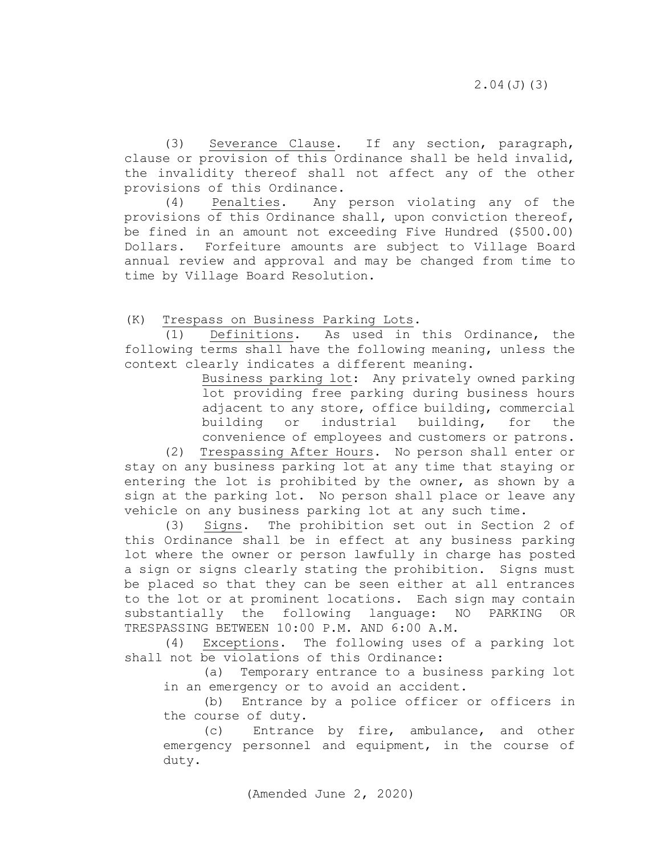(3) Severance Clause. If any section, paragraph, clause or provision of this Ordinance shall be held invalid, the invalidity thereof shall not affect any of the other provisions of this Ordinance.

 (4) Penalties. Any person violating any of the provisions of this Ordinance shall, upon conviction thereof, be fined in an amount not exceeding Five Hundred (\$500.00) Dollars. Forfeiture amounts are subject to Village Board annual review and approval and may be changed from time to time by Village Board Resolution.

(K) Trespass on Business Parking Lots.

 (1) Definitions. As used in this Ordinance, the following terms shall have the following meaning, unless the context clearly indicates a different meaning.

> Business parking lot: Any privately owned parking lot providing free parking during business hours adjacent to any store, office building, commercial building or industrial building, for the convenience of employees and customers or patrons.

(2) Trespassing After Hours. No person shall enter or stay on any business parking lot at any time that staying or entering the lot is prohibited by the owner, as shown by a sign at the parking lot. No person shall place or leave any vehicle on any business parking lot at any such time.

 (3) Signs. The prohibition set out in Section 2 of this Ordinance shall be in effect at any business parking lot where the owner or person lawfully in charge has posted a sign or signs clearly stating the prohibition. Signs must be placed so that they can be seen either at all entrances to the lot or at prominent locations. Each sign may contain substantially the following language: NO PARKING OR TRESPASSING BETWEEN 10:00 P.M. AND 6:00 A.M.

(4) Exceptions. The following uses of a parking lot shall not be violations of this Ordinance:

 (a) Temporary entrance to a business parking lot in an emergency or to avoid an accident.

 (b) Entrance by a police officer or officers in the course of duty.<br>(c) Entrance

Entrance by fire, ambulance, and other emergency personnel and equipment, in the course of duty.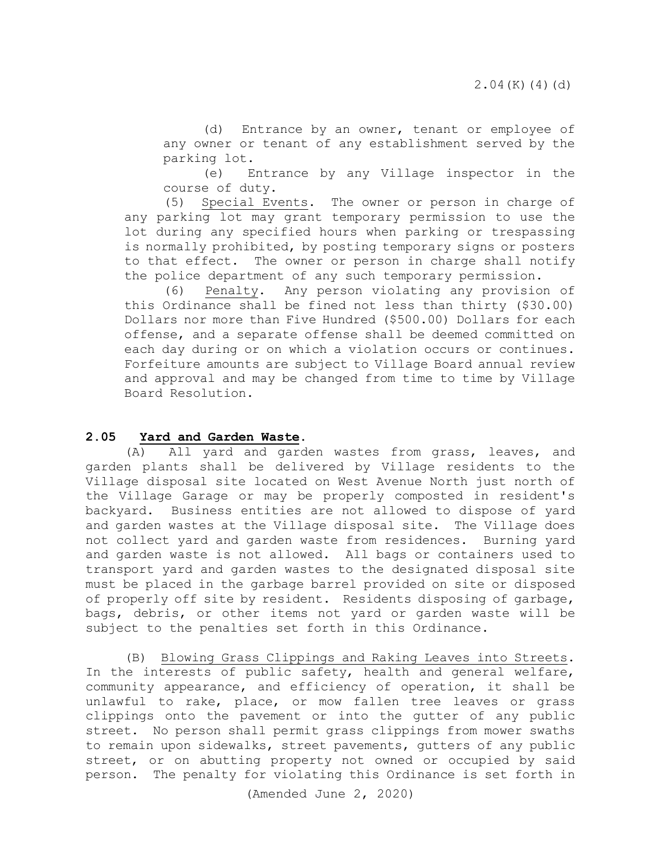(d) Entrance by an owner, tenant or employee of any owner or tenant of any establishment served by the parking lot.

 (e) Entrance by any Village inspector in the course of duty.

 (5) Special Events. The owner or person in charge of any parking lot may grant temporary permission to use the lot during any specified hours when parking or trespassing is normally prohibited, by posting temporary signs or posters to that effect. The owner or person in charge shall notify the police department of any such temporary permission.

(6) Penalty. Any person violating any provision of this Ordinance shall be fined not less than thirty (\$30.00) Dollars nor more than Five Hundred (\$500.00) Dollars for each offense, and a separate offense shall be deemed committed on each day during or on which a violation occurs or continues. Forfeiture amounts are subject to Village Board annual review and approval and may be changed from time to time by Village Board Resolution.

### **2.05 Yard and Garden Waste**.

(A) All yard and garden wastes from grass, leaves, and garden plants shall be delivered by Village residents to the Village disposal site located on West Avenue North just north of the Village Garage or may be properly composted in resident's backyard. Business entities are not allowed to dispose of yard and garden wastes at the Village disposal site. The Village does not collect yard and garden waste from residences. Burning yard and garden waste is not allowed. All bags or containers used to transport yard and garden wastes to the designated disposal site must be placed in the garbage barrel provided on site or disposed of properly off site by resident. Residents disposing of garbage, bags, debris, or other items not yard or garden waste will be subject to the penalties set forth in this Ordinance.

(B) Blowing Grass Clippings and Raking Leaves into Streets. In the interests of public safety, health and general welfare, community appearance, and efficiency of operation, it shall be unlawful to rake, place, or mow fallen tree leaves or grass clippings onto the pavement or into the gutter of any public street. No person shall permit grass clippings from mower swaths to remain upon sidewalks, street pavements, gutters of any public street, or on abutting property not owned or occupied by said person. The penalty for violating this Ordinance is set forth in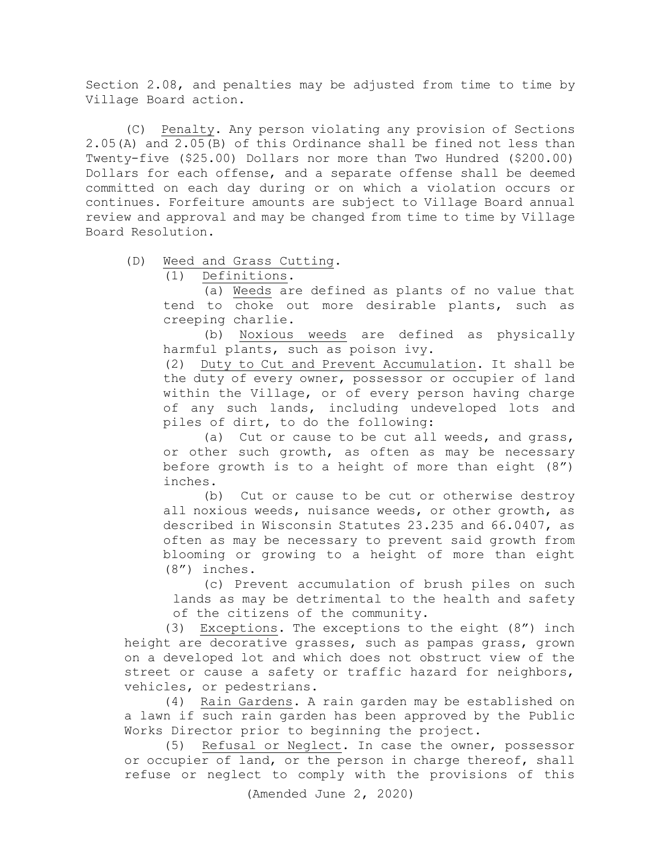Section 2.08, and penalties may be adjusted from time to time by Village Board action.

(C) Penalty. Any person violating any provision of Sections 2.05(A) and 2.05(B) of this Ordinance shall be fined not less than Twenty-five (\$25.00) Dollars nor more than Two Hundred (\$200.00) Dollars for each offense, and a separate offense shall be deemed committed on each day during or on which a violation occurs or continues. Forfeiture amounts are subject to Village Board annual review and approval and may be changed from time to time by Village Board Resolution.

(D) Weed and Grass Cutting.<br>(1) Definitions.

Definitions.

(a) Weeds are defined as plants of no value that tend to choke out more desirable plants, such as creeping charlie.

(b) Noxious weeds are defined as physically harmful plants, such as poison ivy.

(2) Duty to Cut and Prevent Accumulation. It shall be the duty of every owner, possessor or occupier of land within the Village, or of every person having charge of any such lands, including undeveloped lots and piles of dirt, to do the following:

(a) Cut or cause to be cut all weeds, and grass, or other such growth, as often as may be necessary before growth is to a height of more than eight (8") inches.

(b) Cut or cause to be cut or otherwise destroy all noxious weeds, nuisance weeds, or other growth, as described in Wisconsin Statutes 23.235 and 66.0407, as often as may be necessary to prevent said growth from blooming or growing to a height of more than eight (8") inches.

(c) Prevent accumulation of brush piles on such lands as may be detrimental to the health and safety of the citizens of the community.

(3) Exceptions. The exceptions to the eight (8") inch height are decorative grasses, such as pampas grass, grown on a developed lot and which does not obstruct view of the street or cause a safety or traffic hazard for neighbors, vehicles, or pedestrians.

(4) Rain Gardens. A rain garden may be established on a lawn if such rain garden has been approved by the Public Works Director prior to beginning the project.

(5) Refusal or Neglect. In case the owner, possessor or occupier of land, or the person in charge thereof, shall refuse or neglect to comply with the provisions of this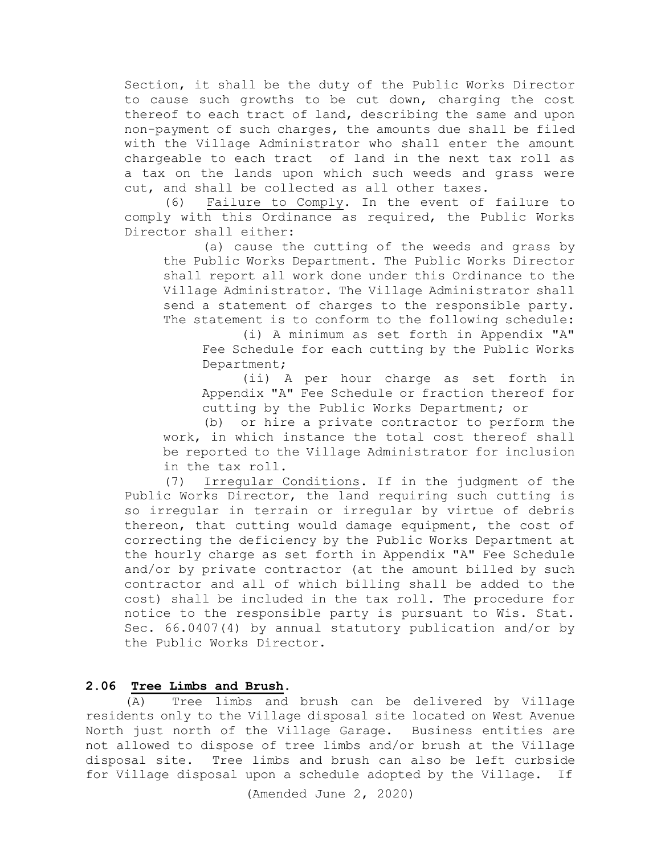Section, it shall be the duty of the Public Works Director to cause such growths to be cut down, charging the cost thereof to each tract of land, describing the same and upon non-payment of such charges, the amounts due shall be filed with the Village Administrator who shall enter the amount chargeable to each tract of land in the next tax roll as a tax on the lands upon which such weeds and grass were cut, and shall be collected as all other taxes.

(6) Failure to Comply. In the event of failure to comply with this Ordinance as required, the Public Works Director shall either:

(a) cause the cutting of the weeds and grass by the Public Works Department. The Public Works Director shall report all work done under this Ordinance to the Village Administrator. The Village Administrator shall send a statement of charges to the responsible party. The statement is to conform to the following schedule:

(i) A minimum as set forth in Appendix "A" Fee Schedule for each cutting by the Public Works Department;

(ii) A per hour charge as set forth in Appendix "A" Fee Schedule or fraction thereof for cutting by the Public Works Department; or

(b) or hire a private contractor to perform the work, in which instance the total cost thereof shall be reported to the Village Administrator for inclusion in the tax roll.

(7) Irregular Conditions. If in the judgment of the Public Works Director, the land requiring such cutting is so irregular in terrain or irregular by virtue of debris thereon, that cutting would damage equipment, the cost of correcting the deficiency by the Public Works Department at the hourly charge as set forth in Appendix "A" Fee Schedule and/or by private contractor (at the amount billed by such contractor and all of which billing shall be added to the cost) shall be included in the tax roll. The procedure for notice to the responsible party is pursuant to Wis. Stat. Sec. 66.0407(4) by annual statutory publication and/or by the Public Works Director.

### **2.06 Tree Limbs and Brush.**

(A) Tree limbs and brush can be delivered by Village residents only to the Village disposal site located on West Avenue North just north of the Village Garage. Business entities are not allowed to dispose of tree limbs and/or brush at the Village disposal site. Tree limbs and brush can also be left curbside for Village disposal upon a schedule adopted by the Village. If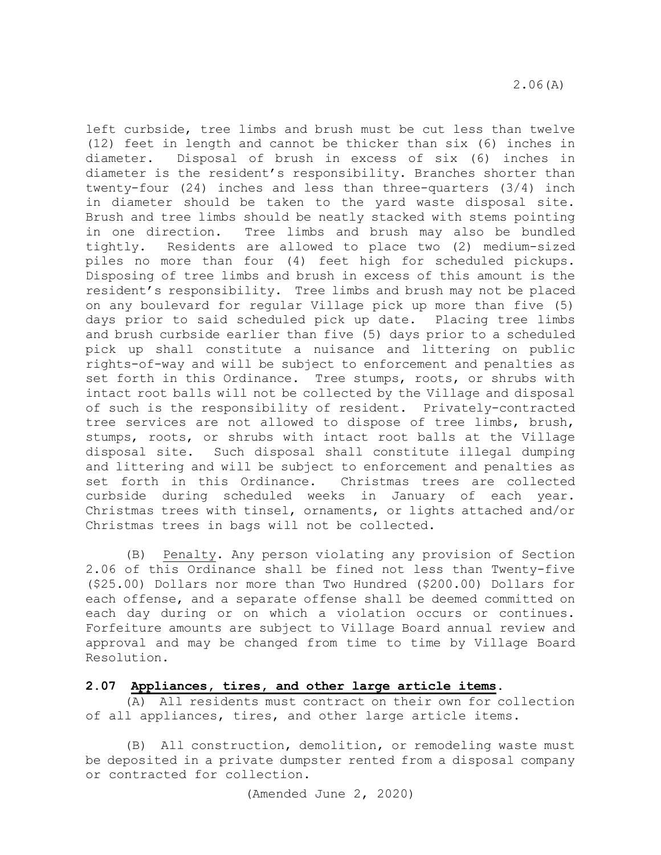left curbside, tree limbs and brush must be cut less than twelve (12) feet in length and cannot be thicker than six (6) inches in diameter. Disposal of brush in excess of six (6) inches in diameter is the resident's responsibility. Branches shorter than twenty-four (24) inches and less than three-quarters (3/4) inch in diameter should be taken to the yard waste disposal site. Brush and tree limbs should be neatly stacked with stems pointing<br>in one direction. Tree limbs and brush may also be bundled in one direction. Tree limbs and brush may also be bundled<br>tightly. Residents are allowed to place two (2) medium-sized Residents are allowed to place two (2) medium-sized piles no more than four (4) feet high for scheduled pickups. Disposing of tree limbs and brush in excess of this amount is the resident's responsibility. Tree limbs and brush may not be placed on any boulevard for regular Village pick up more than five (5) days prior to said scheduled pick up date. Placing tree limbs and brush curbside earlier than five (5) days prior to a scheduled pick up shall constitute a nuisance and littering on public rights-of-way and will be subject to enforcement and penalties as set forth in this Ordinance. Tree stumps, roots, or shrubs with intact root balls will not be collected by the Village and disposal of such is the responsibility of resident. Privately-contracted tree services are not allowed to dispose of tree limbs, brush, stumps, roots, or shrubs with intact root balls at the Village disposal site. Such disposal shall constitute illegal dumping and littering and will be subject to enforcement and penalties as set forth in this Ordinance. Christmas trees are collected curbside during scheduled weeks in January of each year. Christmas trees with tinsel, ornaments, or lights attached and/or Christmas trees in bags will not be collected.

(B) Penalty. Any person violating any provision of Section 2.06 of this Ordinance shall be fined not less than Twenty-five (\$25.00) Dollars nor more than Two Hundred (\$200.00) Dollars for each offense, and a separate offense shall be deemed committed on each day during or on which a violation occurs or continues. Forfeiture amounts are subject to Village Board annual review and approval and may be changed from time to time by Village Board Resolution.

#### **2.07 Appliances, tires, and other large article items.**

(A) All residents must contract on their own for collection of all appliances, tires, and other large article items.

(B) All construction, demolition, or remodeling waste must be deposited in a private dumpster rented from a disposal company or contracted for collection.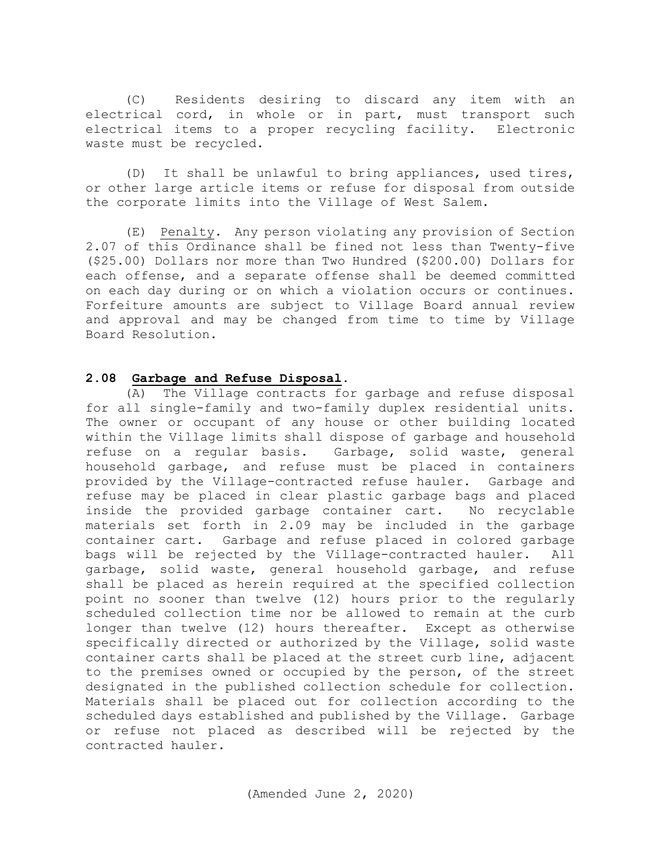(C) Residents desiring to discard any item with an electrical cord, in whole or in part, must transport such electrical items to a proper recycling facility. Electronic waste must be recycled.

(D) It shall be unlawful to bring appliances, used tires, or other large article items or refuse for disposal from outside the corporate limits into the Village of West Salem.

(E) Penalty. Any person violating any provision of Section 2.07 of this Ordinance shall be fined not less than Twenty-five (\$25.00) Dollars nor more than Two Hundred (\$200.00) Dollars for each offense, and a separate offense shall be deemed committed on each day during or on which a violation occurs or continues. Forfeiture amounts are subject to Village Board annual review and approval and may be changed from time to time by Village Board Resolution.

## **2.08 Garbage and Refuse Disposal**.

 (A) The Village contracts for garbage and refuse disposal for all single-family and two-family duplex residential units. The owner or occupant of any house or other building located within the Village limits shall dispose of garbage and household refuse on a regular basis. Garbage, solid waste, general household garbage, and refuse must be placed in containers provided by the Village-contracted refuse hauler. Garbage and refuse may be placed in clear plastic garbage bags and placed inside the provided garbage container cart. No recyclable materials set forth in 2.09 may be included in the garbage container cart. Garbage and refuse placed in colored garbage<br>bags will be rejected by the Village-contracted hauler. All bags will be rejected by the Village-contracted hauler. garbage, solid waste, general household garbage, and refuse shall be placed as herein required at the specified collection point no sooner than twelve (12) hours prior to the regularly scheduled collection time nor be allowed to remain at the curb longer than twelve (12) hours thereafter. Except as otherwise specifically directed or authorized by the Village, solid waste container carts shall be placed at the street curb line, adjacent to the premises owned or occupied by the person, of the street designated in the published collection schedule for collection. Materials shall be placed out for collection according to the scheduled days established and published by the Village. Garbage or refuse not placed as described will be rejected by the contracted hauler.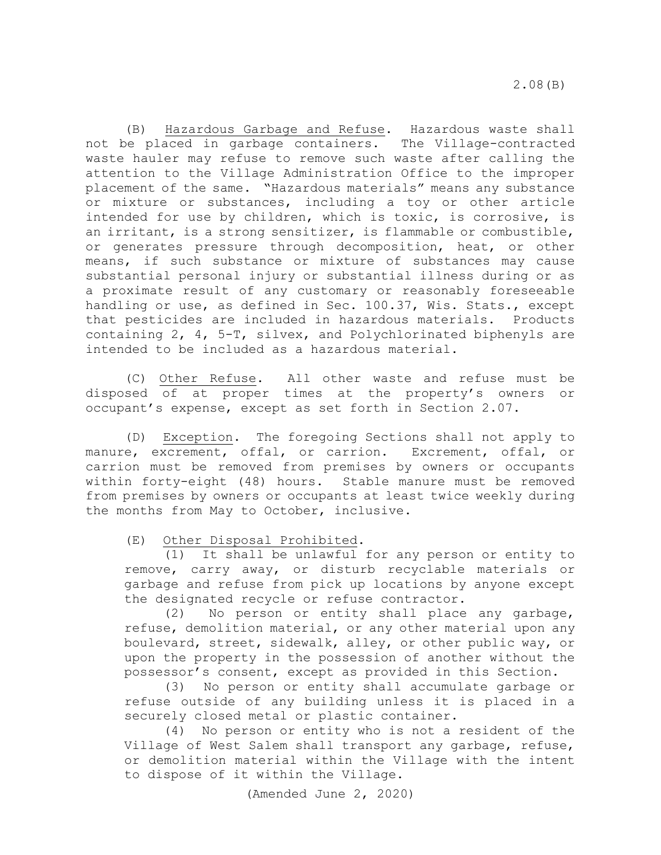(B) Hazardous Garbage and Refuse. Hazardous waste shall not be placed in garbage containers. The Village-contracted waste hauler may refuse to remove such waste after calling the attention to the Village Administration Office to the improper placement of the same. "Hazardous materials" means any substance or mixture or substances, including a toy or other article intended for use by children, which is toxic, is corrosive, is an irritant, is a strong sensitizer, is flammable or combustible, or generates pressure through decomposition, heat, or other means, if such substance or mixture of substances may cause substantial personal injury or substantial illness during or as a proximate result of any customary or reasonably foreseeable handling or use, as defined in Sec. 100.37, Wis. Stats., except that pesticides are included in hazardous materials. Products containing 2, 4, 5-T, silvex, and Polychlorinated biphenyls are intended to be included as a hazardous material.

 (C) Other Refuse. All other waste and refuse must be disposed of at proper times at the property's owners or occupant's expense, except as set forth in Section 2.07.

 (D) Exception. The foregoing Sections shall not apply to manure, excrement, offal, or carrion. Excrement, offal, or carrion must be removed from premises by owners or occupants within forty-eight (48) hours. Stable manure must be removed from premises by owners or occupants at least twice weekly during the months from May to October, inclusive.

(E) Other Disposal Prohibited.

 (1) It shall be unlawful for any person or entity to remove, carry away, or disturb recyclable materials or garbage and refuse from pick up locations by anyone except the designated recycle or refuse contractor.

(2) No person or entity shall place any garbage, refuse, demolition material, or any other material upon any boulevard, street, sidewalk, alley, or other public way, or upon the property in the possession of another without the possessor's consent, except as provided in this Section.

(3) No person or entity shall accumulate garbage or refuse outside of any building unless it is placed in a securely closed metal or plastic container.

(4) No person or entity who is not a resident of the Village of West Salem shall transport any garbage, refuse, or demolition material within the Village with the intent to dispose of it within the Village.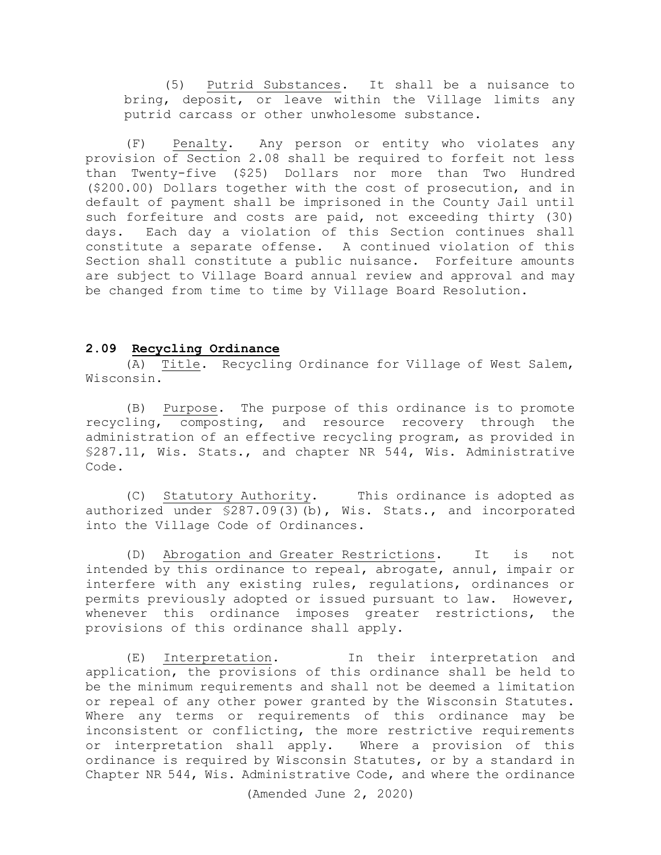(5) Putrid Substances. It shall be a nuisance to bring, deposit, or leave within the Village limits any putrid carcass or other unwholesome substance.

(F) Penalty. Any person or entity who violates any provision of Section 2.08 shall be required to forfeit not less than Twenty-five (\$25) Dollars nor more than Two Hundred (\$200.00) Dollars together with the cost of prosecution, and in default of payment shall be imprisoned in the County Jail until such forfeiture and costs are paid, not exceeding thirty (30) days. Each day a violation of this Section continues shall constitute a separate offense. A continued violation of this Section shall constitute a public nuisance. Forfeiture amounts are subject to Village Board annual review and approval and may be changed from time to time by Village Board Resolution.

#### **2.09 Recycling Ordinance**

(A) Title. Recycling Ordinance for Village of West Salem, Wisconsin.

(B) Purpose. The purpose of this ordinance is to promote recycling, composting, and resource recovery through the administration of an effective recycling program, as provided in §287.11, Wis. Stats., and chapter NR 544, Wis. Administrative Code.

(C) Statutory Authority. This ordinance is adopted as authorized under \$287.09(3)(b), Wis. Stats., and incorporated into the Village Code of Ordinances.

(D) Abrogation and Greater Restrictions. It is not intended by this ordinance to repeal, abrogate, annul, impair or interfere with any existing rules, regulations, ordinances or permits previously adopted or issued pursuant to law. However, whenever this ordinance imposes greater restrictions, the provisions of this ordinance shall apply.

(E) Interpretation. In their interpretation and application, the provisions of this ordinance shall be held to be the minimum requirements and shall not be deemed a limitation or repeal of any other power granted by the Wisconsin Statutes. Where any terms or requirements of this ordinance may be inconsistent or conflicting, the more restrictive requirements or interpretation shall apply. Where a provision of this ordinance is required by Wisconsin Statutes, or by a standard in Chapter NR 544, Wis. Administrative Code, and where the ordinance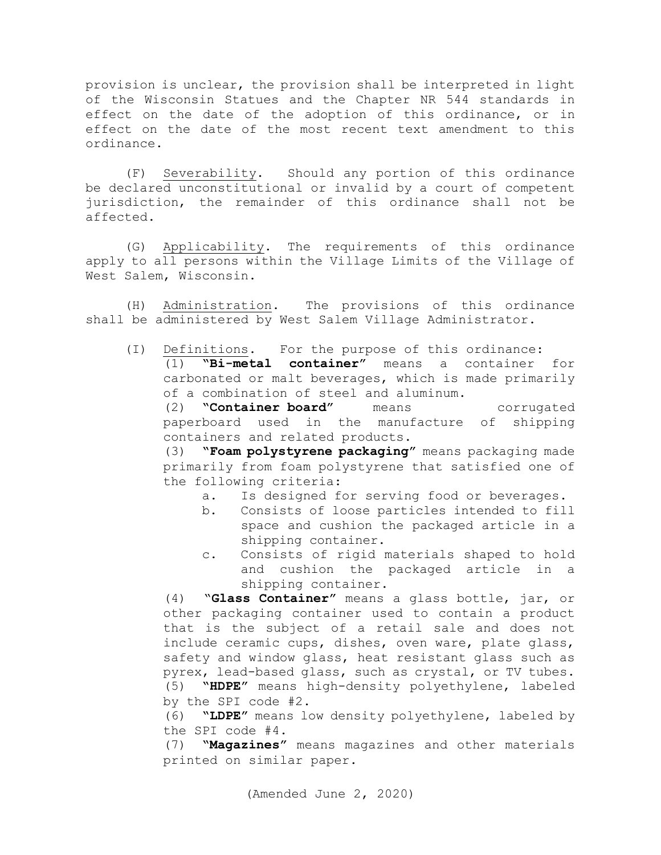provision is unclear, the provision shall be interpreted in light of the Wisconsin Statues and the Chapter NR 544 standards in effect on the date of the adoption of this ordinance, or in effect on the date of the most recent text amendment to this ordinance.

(F) Severability. Should any portion of this ordinance be declared unconstitutional or invalid by a court of competent jurisdiction, the remainder of this ordinance shall not be affected.

(G) Applicability. The requirements of this ordinance apply to all persons within the Village Limits of the Village of West Salem, Wisconsin.

(H) Administration. The provisions of this ordinance shall be administered by West Salem Village Administrator.

(I) Definitions. For the purpose of this ordinance:<br>(1) **"Bi-metal container"** means a container (1) **"Bi-metal container"** means a container for carbonated or malt beverages, which is made primarily of a combination of steel and aluminum.

(2) **"Container board"** means corrugated paperboard used in the manufacture of shipping containers and related products.<br>(3) **"Foam polystyrene packaging**"

**"Foam polystyrene packaging"** means packaging made primarily from foam polystyrene that satisfied one of the following criteria:

- a. Is designed for serving food or beverages.<br>b. Consists of loose particles intended to fill
	- Consists of loose particles intended to fill space and cushion the packaged article in a shipping container.
- c. Consists of rigid materials shaped to hold and cushion the packaged article shipping container.

(4) "**Glass Container"** means a glass bottle, jar, or other packaging container used to contain a product that is the subject of a retail sale and does not include ceramic cups, dishes, oven ware, plate glass, safety and window glass, heat resistant glass such as pyrex, lead-based glass, such as crystal, or TV tubes. (5) **"HDPE"** means high-density polyethylene, labeled by the SPI code #2.

(6) **"LDPE"** means low density polyethylene, labeled by the SPI code #4.

(7) **"Magazines"** means magazines and other materials printed on similar paper.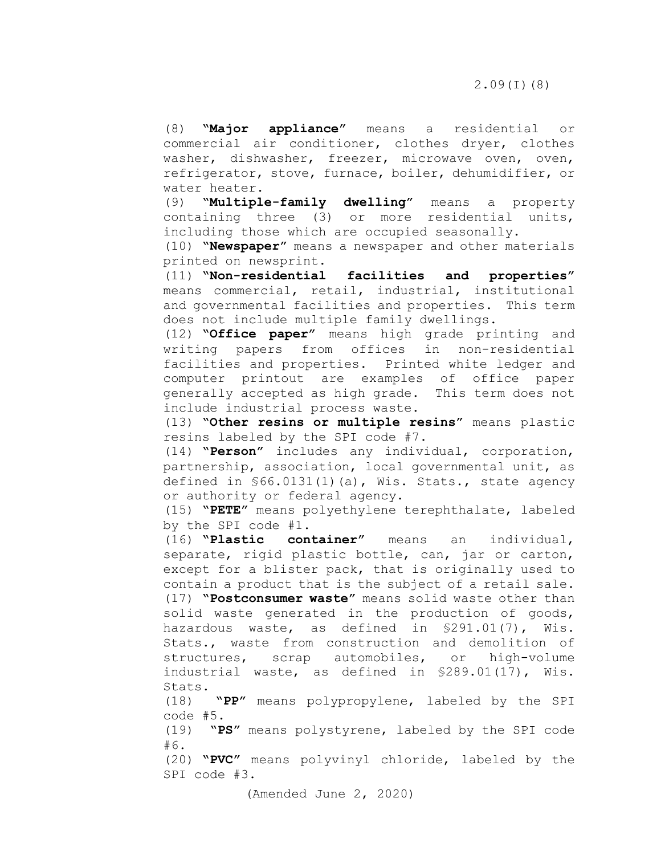(8) **"Major appliance"** means a residential or commercial air conditioner, clothes dryer, clothes washer, dishwasher, freezer, microwave oven, oven, refrigerator, stove, furnace, boiler, dehumidifier, or water heater.<br>(9) **"Multipl**"

(9) **"Multiple-family dwelling"** means a property containing three (3) or more residential units, including those which are occupied seasonally.

(10) **"Newspaper"** means a newspaper and other materials printed on newsprint.<br>(11) **"Non-residential** 

facilities and properties" means commercial, retail, industrial, institutional and governmental facilities and properties. This term does not include multiple family dwellings.

(12) **"Office paper"** means high grade printing and writing papers from offices in non-residential facilities and properties. Printed white ledger and computer printout are examples of office paper generally accepted as high grade. This term does not include industrial process waste.

(13) **"Other resins or multiple resins"** means plastic resins labeled by the SPI code #7.

(14) **"Person"** includes any individual, corporation, partnership, association, local governmental unit, as defined in §66.0131(1)(a), Wis. Stats., state agency or authority or federal agency.

(15) **"PETE"** means polyethylene terephthalate, labeled by the SPI code #1.

(16) **"Plastic container"** means an individual, separate, rigid plastic bottle, can, jar or carton, except for a blister pack, that is originally used to contain a product that is the subject of a retail sale. (17) **"Postconsumer waste"** means solid waste other than solid waste generated in the production of goods, hazardous waste, as defined in §291.01(7), Wis. Stats., waste from construction and demolition of structures, scrap automobiles, or high-volume industrial waste, as defined in §289.01(17), Wis. Stats.<br>(18)

(18) **"PP"** means polypropylene, labeled by the SPI code #5.

(19) **"PS"** means polystyrene, labeled by the SPI code #6.

(20) **"PVC"** means polyvinyl chloride, labeled by the SPI code #3.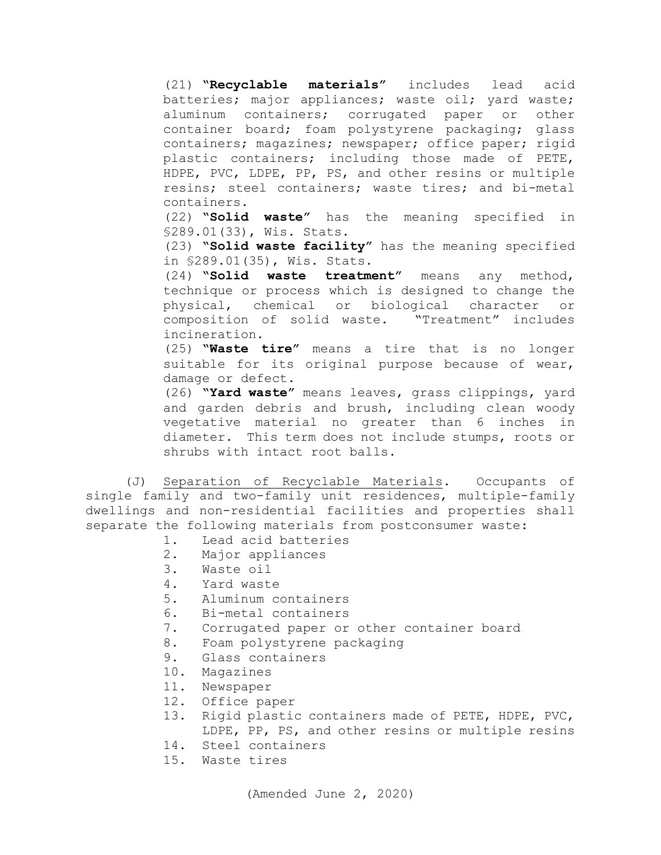(21) **"Recyclable materials"** includes lead acid batteries; major appliances; waste oil; yard waste; aluminum containers; corrugated paper or other container board; foam polystyrene packaging; glass containers; magazines; newspaper; office paper; rigid plastic containers; including those made of PETE, HDPE, PVC, LDPE, PP, PS, and other resins or multiple resins; steel containers; waste tires; and bi-metal containers.

(22) **"Solid waste"** has the meaning specified in §289.01(33), Wis. Stats.

(23) **"Solid waste facility"** has the meaning specified in §289.01(35), Wis. Stats.

(24) **"Solid waste treatment"** means any method, technique or process which is designed to change the physical, chemical or biological character or composition of solid waste. "Treatment" includes incineration.

(25) **"Waste tire"** means a tire that is no longer suitable for its original purpose because of wear, damage or defect.

(26) **"Yard waste"** means leaves, grass clippings, yard and garden debris and brush, including clean woody vegetative material no greater than 6 inches in diameter. This term does not include stumps, roots or shrubs with intact root balls.

(J) Separation of Recyclable Materials. Occupants of single family and two-family unit residences, multiple-family dwellings and non-residential facilities and properties shall separate the following materials from postconsumer waste:

- 1. Lead acid batteries<br>2. Maior appliances
- 2. Major appliances<br>3. Waste oil
- 3. Waste oil<br>4. Yard wast
- 4. Yard waste<br>5. Aluminum c
- 5. Aluminum containers<br>6. Bi-metal containers
- 6. Bi-metal containers<br>7. Corrugated paper or
- 7. Corrugated paper or other container board<br>8. Foam polystyrene packaging
- Foam polystyrene packaging
- 9. Glass containers
- 10. Magazines
- 11. Newspaper
- 12. Office paper
- 13. Rigid plastic containers made of PETE, HDPE, PVC,
	- LDPE, PP, PS, and other resins or multiple resins
- 14. Steel containers
- 15. Waste tires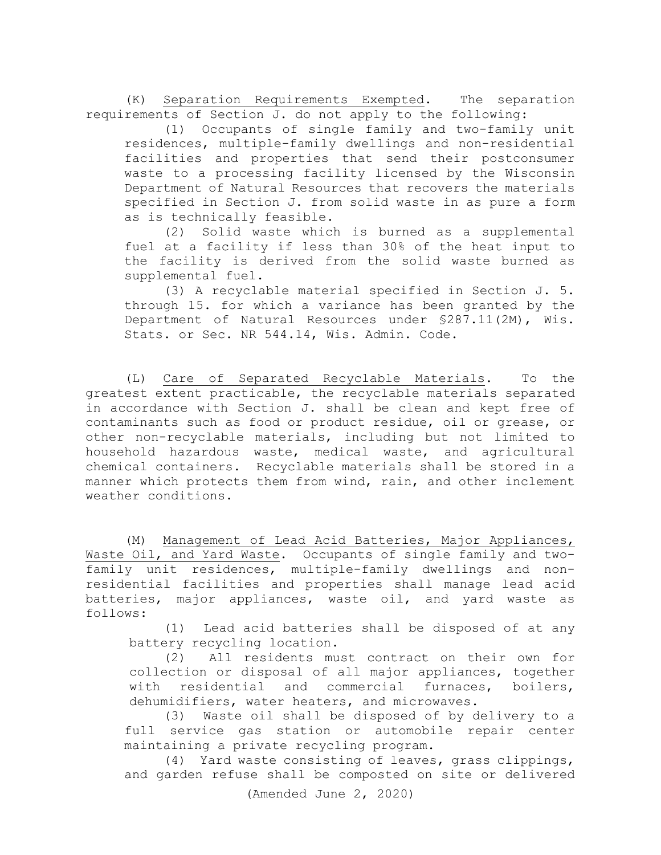(K) Separation Requirements Exempted. The separation requirements of Section J. do not apply to the following:

(1) Occupants of single family and two-family unit residences, multiple-family dwellings and non-residential facilities and properties that send their postconsumer waste to a processing facility licensed by the Wisconsin Department of Natural Resources that recovers the materials specified in Section J. from solid waste in as pure a form as is technically feasible.

(2) Solid waste which is burned as a supplemental fuel at a facility if less than 30% of the heat input to the facility is derived from the solid waste burned as supplemental fuel.

(3) A recyclable material specified in Section J. 5. through 15. for which a variance has been granted by the Department of Natural Resources under §287.11(2M), Wis. Stats. or Sec. NR 544.14, Wis. Admin. Code.

(L) Care of Separated Recyclable Materials. To the greatest extent practicable, the recyclable materials separated in accordance with Section J. shall be clean and kept free of contaminants such as food or product residue, oil or grease, or other non-recyclable materials, including but not limited to household hazardous waste, medical waste, and agricultural chemical containers. Recyclable materials shall be stored in a manner which protects them from wind, rain, and other inclement weather conditions.

 (M) Management of Lead Acid Batteries, Major Appliances, Waste Oil, and Yard Waste. Occupants of single family and twofamily unit residences, multiple-family dwellings and nonresidential facilities and properties shall manage lead acid batteries, major appliances, waste oil, and yard waste as follows:

(1) Lead acid batteries shall be disposed of at any battery recycling location.

(2) All residents must contract on their own for collection or disposal of all major appliances, together with residential and commercial furnaces, boilers, dehumidifiers, water heaters, and microwaves.

(3) Waste oil shall be disposed of by delivery to a full service gas station or automobile repair center maintaining a private recycling program.

(4) Yard waste consisting of leaves, grass clippings, and garden refuse shall be composted on site or delivered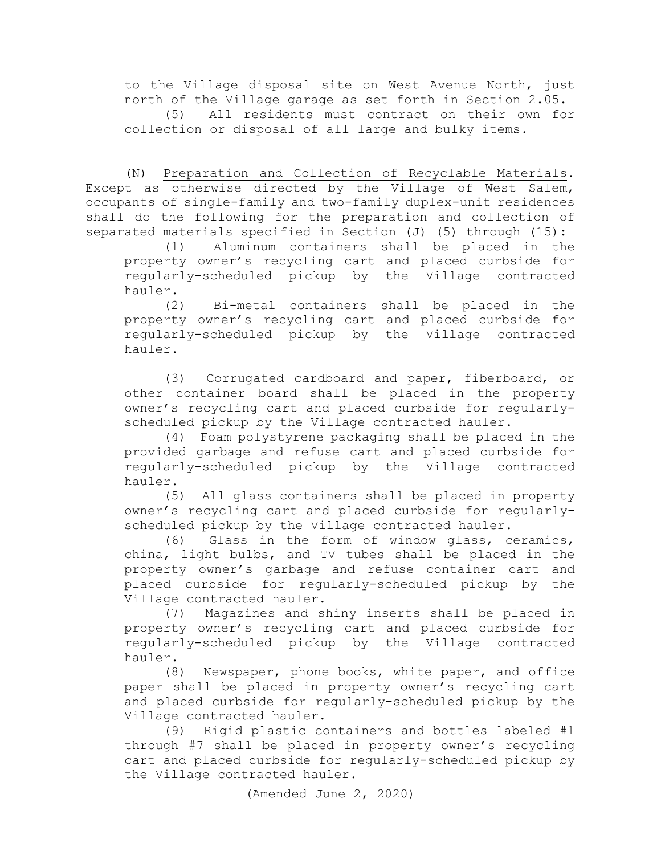to the Village disposal site on West Avenue North, just north of the Village garage as set forth in Section 2.05. All residents must contract on their own for collection or disposal of all large and bulky items.

(N) Preparation and Collection of Recyclable Materials. Except as otherwise directed by the Village of West Salem, occupants of single-family and two-family duplex-unit residences shall do the following for the preparation and collection of separated materials specified in Section (J) (5) through (15):<br>(1) Aluminum containers shall be placed in the

Aluminum containers shall be placed in the property owner's recycling cart and placed curbside for regularly-scheduled pickup by the Village contracted hauler.

(2) Bi-metal containers shall be placed in the property owner's recycling cart and placed curbside for regularly-scheduled pickup by the Village contracted hauler.

(3) Corrugated cardboard and paper, fiberboard, or other container board shall be placed in the property owner's recycling cart and placed curbside for regularlyscheduled pickup by the Village contracted hauler.

(4) Foam polystyrene packaging shall be placed in the provided garbage and refuse cart and placed curbside for regularly-scheduled pickup by the Village contracted hauler.

(5) All glass containers shall be placed in property owner's recycling cart and placed curbside for regularlyscheduled pickup by the Village contracted hauler.

(6) Glass in the form of window glass, ceramics, china, light bulbs, and TV tubes shall be placed in the property owner's garbage and refuse container cart and placed curbside for regularly-scheduled pickup by the Village contracted hauler.

(7) Magazines and shiny inserts shall be placed in property owner's recycling cart and placed curbside for regularly-scheduled pickup by the Village contracted hauler.<br>(8)

Newspaper, phone books, white paper, and office paper shall be placed in property owner's recycling cart and placed curbside for regularly-scheduled pickup by the Village contracted hauler.<br>(9) Rigid plastic co

Rigid plastic containers and bottles labeled #1 through #7 shall be placed in property owner's recycling cart and placed curbside for regularly-scheduled pickup by the Village contracted hauler.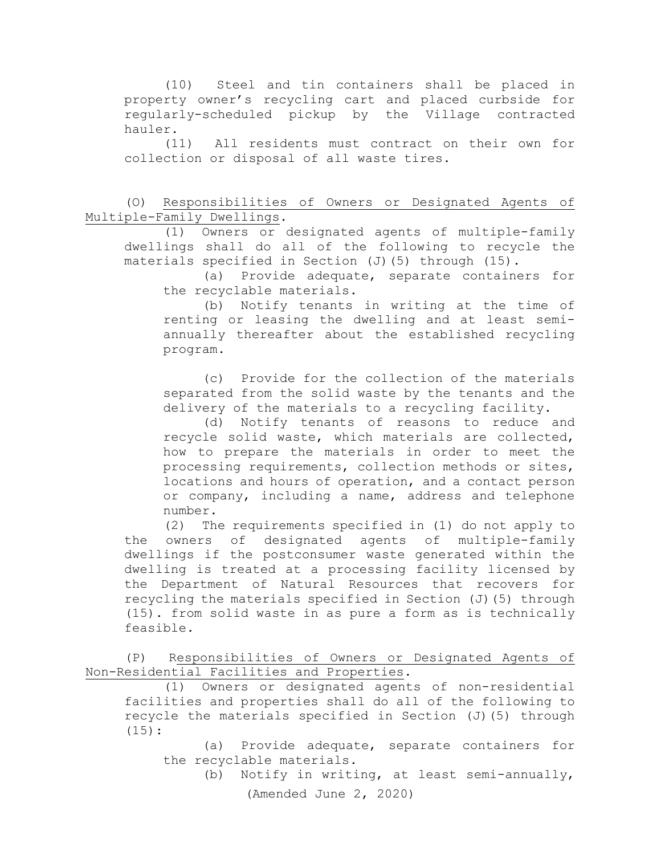(10) Steel and tin containers shall be placed in property owner's recycling cart and placed curbside for regularly-scheduled pickup by the Village contracted hauler.

(11) All residents must contract on their own for collection or disposal of all waste tires.

(O) Responsibilities of Owners or Designated Agents of Multiple-Family Dwellings.

(1) Owners or designated agents of multiple-family dwellings shall do all of the following to recycle the materials specified in Section (J)(5) through (15).

(a) Provide adequate, separate containers for the recyclable materials.

(b) Notify tenants in writing at the time of renting or leasing the dwelling and at least semiannually thereafter about the established recycling program.

(c) Provide for the collection of the materials separated from the solid waste by the tenants and the delivery of the materials to a recycling facility.

(d) Notify tenants of reasons to reduce and recycle solid waste, which materials are collected, how to prepare the materials in order to meet the processing requirements, collection methods or sites, locations and hours of operation, and a contact person or company, including a name, address and telephone number.<br>(2) Th

The requirements specified in (1) do not apply to the owners of designated agents of multiple-family dwellings if the postconsumer waste generated within the dwelling is treated at a processing facility licensed by the Department of Natural Resources that recovers for recycling the materials specified in Section (J)(5) through (15). from solid waste in as pure a form as is technically feasible.

(P) Responsibilities of Owners or Designated Agents of Non-Residential Facilities and Properties.

(1) Owners or designated agents of non-residential facilities and properties shall do all of the following to recycle the materials specified in Section  $(J)$  (5) through (15):

(a) Provide adequate, separate containers for the recyclable materials.

(Amended June 2, 2020) (b) Notify in writing, at least semi-annually,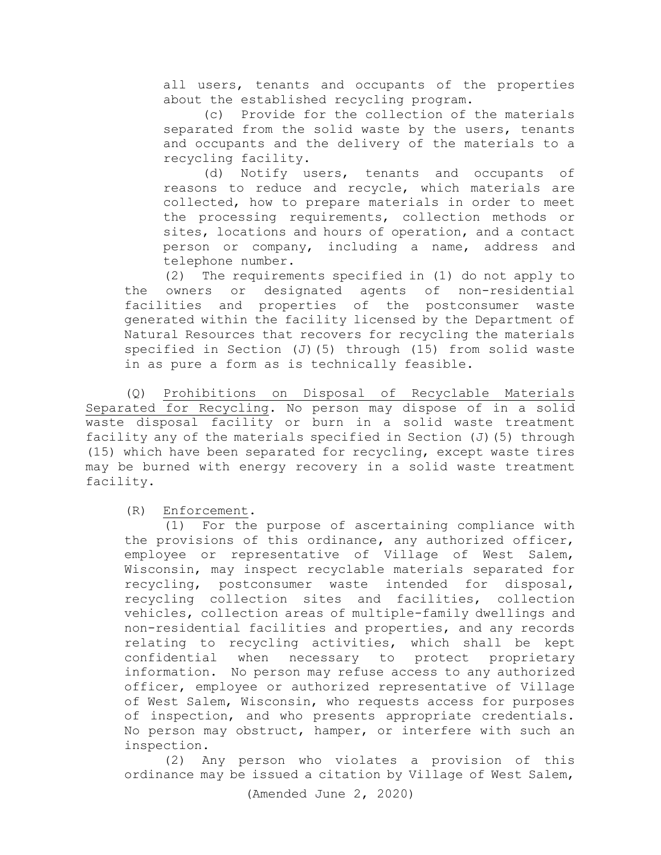all users, tenants and occupants of the properties about the established recycling program.

(c) Provide for the collection of the materials separated from the solid waste by the users, tenants and occupants and the delivery of the materials to a recycling facility.

(d) Notify users, tenants and occupants of reasons to reduce and recycle, which materials are collected, how to prepare materials in order to meet the processing requirements, collection methods or sites, locations and hours of operation, and a contact person or company, including a name, address and telephone number.

(2) The requirements specified in (1) do not apply to the owners or designated agents of non-residential facilities and properties of the postconsumer waste generated within the facility licensed by the Department of Natural Resources that recovers for recycling the materials specified in Section (J)(5) through (15) from solid waste in as pure a form as is technically feasible.

(Q) Prohibitions on Disposal of Recyclable Materials Separated for Recycling. No person may dispose of in a solid waste disposal facility or burn in a solid waste treatment facility any of the materials specified in Section (J)(5) through (15) which have been separated for recycling, except waste tires may be burned with energy recovery in a solid waste treatment facility.

(R) Enforcement.

(1) For the purpose of ascertaining compliance with the provisions of this ordinance, any authorized officer, employee or representative of Village of West Salem, Wisconsin, may inspect recyclable materials separated for recycling, postconsumer waste intended for disposal, recycling collection sites and facilities, collection vehicles, collection areas of multiple-family dwellings and non-residential facilities and properties, and any records relating to recycling activities, which shall be kept confidential when necessary to protect proprietary information. No person may refuse access to any authorized officer, employee or authorized representative of Village of West Salem, Wisconsin, who requests access for purposes of inspection, and who presents appropriate credentials. No person may obstruct, hamper, or interfere with such an inspection.

(2) Any person who violates a provision of this ordinance may be issued a citation by Village of West Salem,

(Amended June 2, 2020)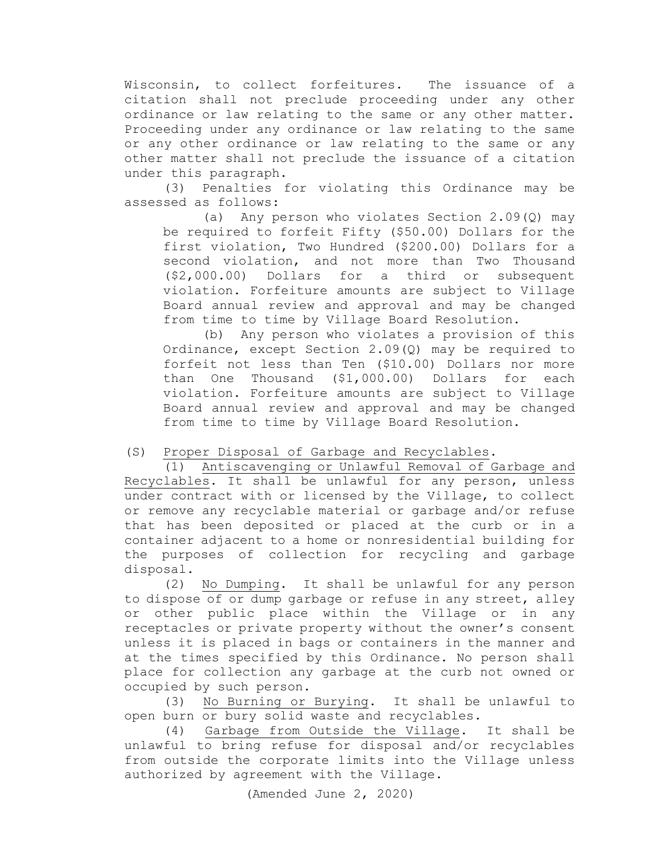Wisconsin, to collect forfeitures. The issuance of a citation shall not preclude proceeding under any other ordinance or law relating to the same or any other matter. Proceeding under any ordinance or law relating to the same or any other ordinance or law relating to the same or any other matter shall not preclude the issuance of a citation under this paragraph.

(3) Penalties for violating this Ordinance may be assessed as follows:

(a) Any person who violates Section 2.09(Q) may be required to forfeit Fifty (\$50.00) Dollars for the first violation, Two Hundred (\$200.00) Dollars for a second violation, and not more than Two Thousand (\$2,000.00) Dollars for a third or subsequent violation. Forfeiture amounts are subject to Village Board annual review and approval and may be changed from time to time by Village Board Resolution.

(b) Any person who violates a provision of this Ordinance, except Section 2.09(Q) may be required to forfeit not less than Ten (\$10.00) Dollars nor more than One Thousand (\$1,000.00) Dollars for each violation. Forfeiture amounts are subject to Village Board annual review and approval and may be changed from time to time by Village Board Resolution.

## (S) Proper Disposal of Garbage and Recyclables.

(1) Antiscavenging or Unlawful Removal of Garbage and Recyclables**.** It shall be unlawful for any person, unless under contract with or licensed by the Village, to collect or remove any recyclable material or garbage and/or refuse that has been deposited or placed at the curb or in a container adjacent to a home or nonresidential building for the purposes of collection for recycling and garbage disposal.

(2) No Dumping. It shall be unlawful for any person to dispose of or dump garbage or refuse in any street, alley or other public place within the Village or in any receptacles or private property without the owner's consent unless it is placed in bags or containers in the manner and at the times specified by this Ordinance. No person shall place for collection any garbage at the curb not owned or occupied by such person.

(3) No Burning or Burying. It shall be unlawful to open burn or bury solid waste and recyclables.<br>(4) Garbage from Outside the Village.

Garbage from Outside the Village. It shall be unlawful to bring refuse for disposal and/or recyclables from outside the corporate limits into the Village unless authorized by agreement with the Village.

(Amended June 2, 2020)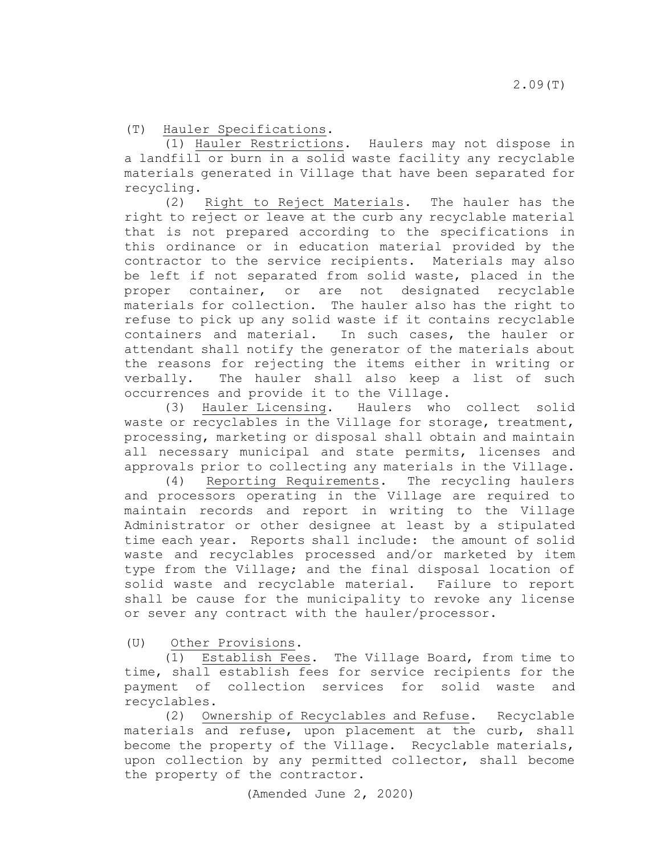(T) Hauler Specifications.

(1) Hauler Restrictions. Haulers may not dispose in a landfill or burn in a solid waste facility any recyclable materials generated in Village that have been separated for recycling.

(2) Right to Reject Materials. The hauler has the right to reject or leave at the curb any recyclable material that is not prepared according to the specifications in this ordinance or in education material provided by the contractor to the service recipients. Materials may also be left if not separated from solid waste, placed in the proper container, or are not designated recyclable materials for collection. The hauler also has the right to refuse to pick up any solid waste if it contains recyclable containers and material. In such cases, the hauler or attendant shall notify the generator of the materials about the reasons for rejecting the items either in writing or verbally. The hauler shall also keep a list of such occurrences and provide it to the Village.

(3) Hauler Licensing**.** Haulers who collect solid waste or recyclables in the Village for storage, treatment, processing, marketing or disposal shall obtain and maintain all necessary municipal and state permits, licenses and approvals prior to collecting any materials in the Village.

(4) Reporting Requirements**.** The recycling haulers and processors operating in the Village are required to maintain records and report in writing to the Village Administrator or other designee at least by a stipulated time each year. Reports shall include: the amount of solid waste and recyclables processed and/or marketed by item type from the Village; and the final disposal location of solid waste and recyclable material. Failure to report shall be cause for the municipality to revoke any license or sever any contract with the hauler/processor.

(U) Other Provisions.

(1) Establish Fees. The Village Board, from time to time, shall establish fees for service recipients for the payment of collection services for solid waste and recyclables.

(2) Ownership of Recyclables and Refuse. Recyclable materials and refuse, upon placement at the curb, shall become the property of the Village. Recyclable materials, upon collection by any permitted collector, shall become the property of the contractor.

(Amended June 2, 2020)